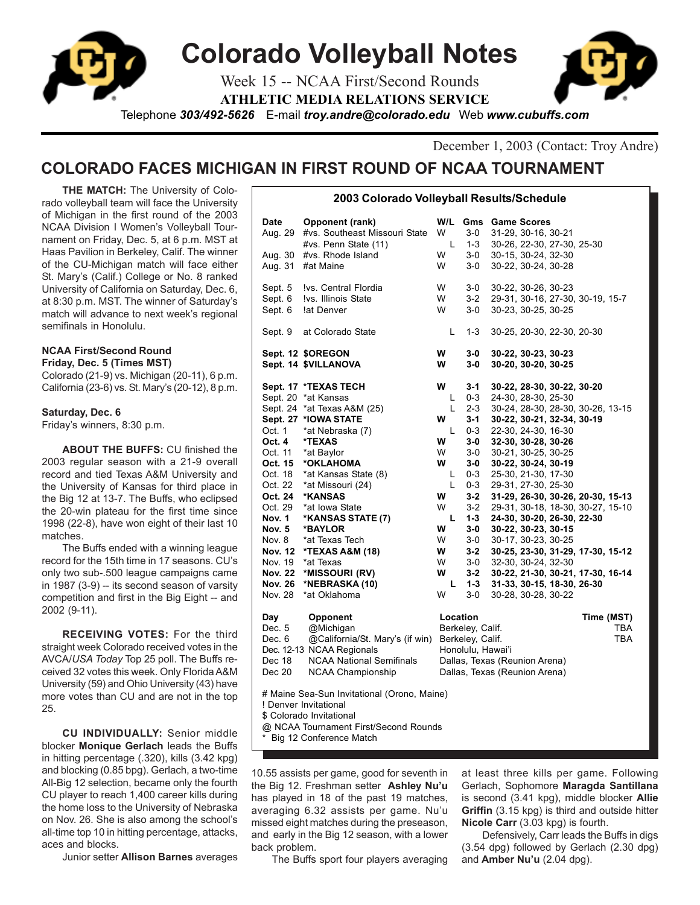

December 1, 2003 (Contact: Troy Andre)

# **COLORADO FACES MICHIGAN IN FIRST ROUND OF NCAA TOURNAMENT**

**THE MATCH:** The University of Colorado volleyball team will face the University of Michigan in the first round of the 2003 NCAA Division I Women's Volleyball Tournament on Friday, Dec. 5, at 6 p.m. MST at Haas Pavilion in Berkeley, Calif. The winner of the CU-Michigan match will face either St. Mary's (Calif.) College or No. 8 ranked University of California on Saturday, Dec. 6, at 8:30 p.m. MST. The winner of Saturday's match will advance to next week's regional semifinals in Honolulu.

# **NCAA First/Second Round Friday, Dec. 5 (Times MST)**

Colorado (21-9) vs. Michigan (20-11), 6 p.m. California (23-6) vs. St. Mary's (20-12), 8 p.m.

# **Saturday, Dec. 6**

Friday's winners, 8:30 p.m.

**ABOUT THE BUFFS:** CU finished the 2003 regular season with a 21-9 overall record and tied Texas A&M University and the University of Kansas for third place in the Big 12 at 13-7. The Buffs, who eclipsed the 20-win plateau for the first time since 1998 (22-8), have won eight of their last 10 matches.

The Buffs ended with a winning league record for the 15th time in 17 seasons. CU's only two sub-.500 league campaigns came in 1987 (3-9) -- its second season of varsity competition and first in the Big Eight -- and 2002 (9-11).

**RECEIVING VOTES:** For the third straight week Colorado received votes in the AVCA/*USA Today* Top 25 poll. The Buffs received 32 votes this week. Only Florida A&M University (59) and Ohio University (43) have more votes than CU and are not in the top 25.

**CU INDIVIDUALLY:** Senior middle blocker **Monique Gerlach** leads the Buffs in hitting percentage (.320), kills (3.42 kpg) and blocking (0.85 bpg). Gerlach, a two-time All-Big 12 selection, became only the fourth CU player to reach 1,400 career kills during the home loss to the University of Nebraska on Nov. 26. She is also among the school's all-time top 10 in hitting percentage, attacks, aces and blocks.

Junior setter **Allison Barnes** averages

| Date<br>Aug. 29<br>Aug. 30<br>Aug. 31<br>Sept. 5<br>Sept. 6<br>Sept. 6                                                                                                                                                                                                                                                                                                      | Opponent (rank)<br>#vs. Southeast Missouri State<br>#vs. Penn State (11)<br>#vs. Rhode Island<br>#at Maine<br>Ivs. Central Flordia<br>Ivs. Illinois State<br>lat Denver                                                                                                                                                                                                                | W/L<br>W<br>L<br>W<br>W<br>W<br>W<br>W                                                            | $3-0$<br>$1-3$<br>3-0<br>$3-0$<br>$3-0$<br>$3-2$<br>$3-0$                                                                                                                                                  | <b>Gms</b> Game Scores<br>31-29, 30-16, 30-21<br>30-26, 22-30, 27-30, 25-30<br>30-15, 30-24, 32-30<br>30-22, 30-24, 30-28<br>30-22, 30-26, 30-23<br>29-31, 30-16, 27-30, 30-19, 15-7<br>30-23, 30-25, 30-25                                                                                                                                                                                                                                                                                                                                                                |                          |
|-----------------------------------------------------------------------------------------------------------------------------------------------------------------------------------------------------------------------------------------------------------------------------------------------------------------------------------------------------------------------------|----------------------------------------------------------------------------------------------------------------------------------------------------------------------------------------------------------------------------------------------------------------------------------------------------------------------------------------------------------------------------------------|---------------------------------------------------------------------------------------------------|------------------------------------------------------------------------------------------------------------------------------------------------------------------------------------------------------------|----------------------------------------------------------------------------------------------------------------------------------------------------------------------------------------------------------------------------------------------------------------------------------------------------------------------------------------------------------------------------------------------------------------------------------------------------------------------------------------------------------------------------------------------------------------------------|--------------------------|
| Sept. 9                                                                                                                                                                                                                                                                                                                                                                     | at Colorado State                                                                                                                                                                                                                                                                                                                                                                      | L                                                                                                 | 1-3                                                                                                                                                                                                        | 30-25, 20-30, 22-30, 20-30                                                                                                                                                                                                                                                                                                                                                                                                                                                                                                                                                 |                          |
|                                                                                                                                                                                                                                                                                                                                                                             | Sept. 12 \$OREGON<br>Sept. 14 \$VILLANOVA                                                                                                                                                                                                                                                                                                                                              | W<br>W                                                                                            | 3-0<br>$3-0$                                                                                                                                                                                               | 30-22, 30-23, 30-23<br>30-20, 30-20, 30-25                                                                                                                                                                                                                                                                                                                                                                                                                                                                                                                                 |                          |
| Oct. 1<br>Oct. 4<br>Oct. 11<br>Oct. 15<br>Oct. 18<br>Oct. 22<br>Oct. 24<br>Oct. 29<br><b>Nov. 1</b><br><b>Nov. 5</b><br>Nov. 8<br><b>Nov. 12</b><br>Nov. 19<br><b>Nov. 22</b><br><b>Nov. 26</b><br>Nov. 28                                                                                                                                                                  | Sept. 17 *TEXAS TECH<br>Sept. 20 *at Kansas<br>Sept. 24 *at Texas A&M (25)<br>Sept. 27 *IOWA STATE<br>*at Nebraska (7)<br>*TEXAS<br>*at Baylor<br>*OKLAHOMA<br>*at Kansas State (8)<br>*at Missouri (24)<br>*KANSAS<br>*at Iowa State<br>*KANSAS STATE (7)<br>*BAYLOR<br>*at Texas Tech<br><b>*TEXAS A&amp;M (18)</b><br>*at Texas<br>*MISSOURI (RV)<br>*NEBRASKA (10)<br>*at Oklahoma | w<br>L<br>L<br>W<br>L<br>W<br>W<br>W<br>L<br>L<br>W<br>W<br>L<br>w<br>W<br>w<br>W<br>W<br>L.<br>W | $3 - 1$<br>$0 - 3$<br>$2 - 3$<br>$3 - 1$<br>$0 - 3$<br>$3-0$<br>$3-0$<br>$3-0$<br>$0 - 3$<br>$0 - 3$<br>$3 - 2$<br>$3 - 2$<br>$1 - 3$<br>$3-0$<br>$3-0$<br>$3 - 2$<br>$3-0$<br>$3 - 2$<br>$1 - 3$<br>$3-0$ | 30-22, 28-30, 30-22, 30-20<br>24-30, 28-30, 25-30<br>30-24, 28-30, 28-30, 30-26, 13-15<br>30-22, 30-21, 32-34, 30-19<br>22-30, 24-30, 16-30<br>32-30, 30-28, 30-26<br>30-21, 30-25, 30-25<br>30-22, 30-24, 30-19<br>25-30, 21-30, 17-30<br>29-31, 27-30, 25-30<br>31-29, 26-30, 30-26, 20-30, 15-13<br>29-31, 30-18, 18-30, 30-27, 15-10<br>24-30, 30-20, 26-30, 22-30<br>30-22, 30-23, 30-15<br>30-17, 30-23, 30-25<br>30-25, 23-30, 31-29, 17-30, 15-12<br>32-30, 30-24, 32-30<br>30-22, 21-30, 30-21, 17-30, 16-14<br>31-33, 30-15, 18-30, 26-30<br>30-28, 30-28, 30-22 |                          |
| Opponent<br>Day<br>Dec. 5<br>@Michigan<br>@California/St. Mary's (if win)<br>Dec. 6<br>Dec. 12-13 NCAA Regionals<br><b>NCAA National Semifinals</b><br>Dec 18<br><b>NCAA Championship</b><br>Dec 20<br># Maine Sea-Sun Invitational (Orono, Maine)<br>! Denver Invitational<br>\$ Colorado Invitational<br>@ NCAA Tournament First/Second Rounds<br>Big 12 Conference Match |                                                                                                                                                                                                                                                                                                                                                                                        |                                                                                                   | Location<br>Berkeley, Calif.<br>Berkeley, Calif.<br>Honolulu, Hawai'i                                                                                                                                      | Dallas, Texas (Reunion Arena)<br>Dallas, Texas (Reunion Arena)                                                                                                                                                                                                                                                                                                                                                                                                                                                                                                             | Time (MST)<br>TBA<br>TBA |

**2003 Colorado Volleyball Results/Schedule**

10.55 assists per game, good for seventh in the Big 12. Freshman setter **Ashley Nu'u** has played in 18 of the past 19 matches, averaging 6.32 assists per game. Nu'u missed eight matches during the preseason, and early in the Big 12 season, with a lower back problem.

The Buffs sport four players averaging

at least three kills per game. Following Gerlach, Sophomore **Maragda Santillana** is second (3.41 kpg), middle blocker **Allie Griffin** (3.15 kpg) is third and outside hitter **Nicole Carr** (3.03 kpg) is fourth.

Defensively, Carr leads the Buffs in digs (3.54 dpg) followed by Gerlach (2.30 dpg) and **Amber Nu'u** (2.04 dpg).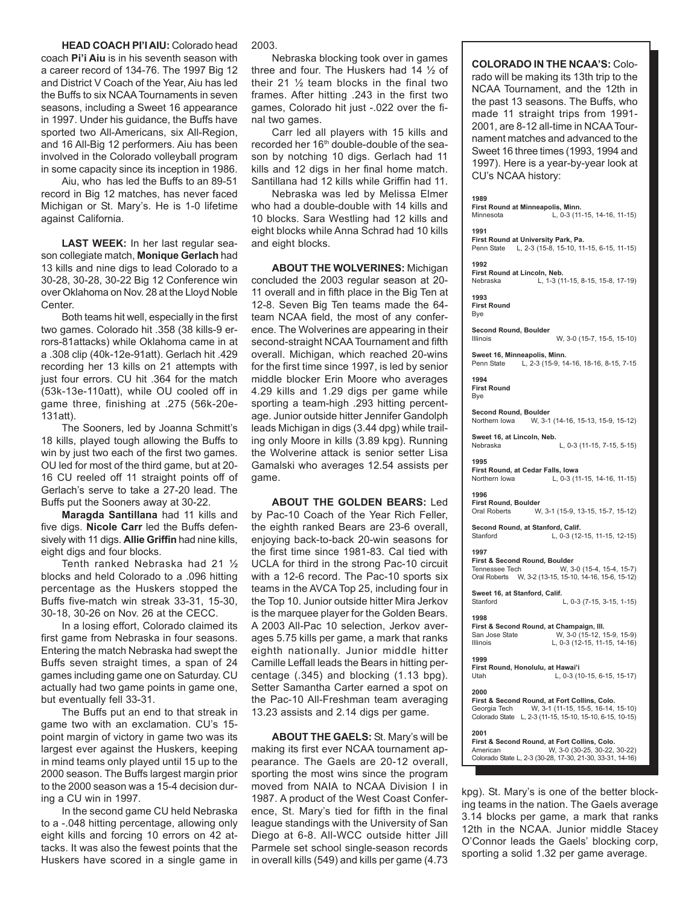# **HEAD COACH PI'I AIU:** Colorado head coach **Pi'i Aiu** is in his seventh season with a career record of 134-76. The 1997 Big 12 and District V Coach of the Year, Aiu has led the Buffs to six NCAA Tournaments in seven seasons, including a Sweet 16 appearance in 1997. Under his guidance, the Buffs have sported two All-Americans, six All-Region, and 16 All-Big 12 performers. Aiu has been involved in the Colorado volleyball program

Aiu, who has led the Buffs to an 89-51 record in Big 12 matches, has never faced Michigan or St. Mary's. He is 1-0 lifetime against California.

in some capacity since its inception in 1986.

**LAST WEEK:** In her last regular season collegiate match, **Monique Gerlach** had 13 kills and nine digs to lead Colorado to a 30-28, 30-28, 30-22 Big 12 Conference win over Oklahoma on Nov. 28 at the Lloyd Noble Center.

Both teams hit well, especially in the first two games. Colorado hit .358 (38 kills-9 errors-81attacks) while Oklahoma came in at a .308 clip (40k-12e-91att). Gerlach hit .429 recording her 13 kills on 21 attempts with just four errors. CU hit .364 for the match (53k-13e-110att), while OU cooled off in game three, finishing at .275 (56k-20e-131att).

The Sooners, led by Joanna Schmitt's 18 kills, played tough allowing the Buffs to win by just two each of the first two games. OU led for most of the third game, but at 20- 16 CU reeled off 11 straight points off of Gerlach's serve to take a 27-20 lead. The Buffs put the Sooners away at 30-22.

**Maragda Santillana** had 11 kills and five digs. **Nicole Carr** led the Buffs defensively with 11 digs. **Allie Griffin** had nine kills, eight digs and four blocks.

Tenth ranked Nebraska had 21 ½ blocks and held Colorado to a .096 hitting percentage as the Huskers stopped the Buffs five-match win streak 33-31, 15-30, 30-18, 30-26 on Nov. 26 at the CECC.

In a losing effort, Colorado claimed its first game from Nebraska in four seasons. Entering the match Nebraska had swept the Buffs seven straight times, a span of 24 games including game one on Saturday. CU actually had two game points in game one, but eventually fell 33-31.

The Buffs put an end to that streak in game two with an exclamation. CU's 15 point margin of victory in game two was its largest ever against the Huskers, keeping in mind teams only played until 15 up to the 2000 season. The Buffs largest margin prior to the 2000 season was a 15-4 decision during a CU win in 1997.

In the second game CU held Nebraska to a -.048 hitting percentage, allowing only eight kills and forcing 10 errors on 42 attacks. It was also the fewest points that the Huskers have scored in a single game in

#### 2003.

Nebraska blocking took over in games three and four. The Huskers had 14 ½ of their 21 ½ team blocks in the final two frames. After hitting .243 in the first two games, Colorado hit just -.022 over the final two games.

Carr led all players with 15 kills and recorded her 16<sup>th</sup> double-double of the season by notching 10 digs. Gerlach had 11 kills and 12 digs in her final home match. Santillana had 12 kills while Griffin had 11.

Nebraska was led by Melissa Elmer who had a double-double with 14 kills and 10 blocks. Sara Westling had 12 kills and eight blocks while Anna Schrad had 10 kills and eight blocks.

**ABOUT THE WOLVERINES:** Michigan concluded the 2003 regular season at 20- 11 overall and in fifth place in the Big Ten at 12-8. Seven Big Ten teams made the 64 team NCAA field, the most of any conference. The Wolverines are appearing in their second-straight NCAA Tournament and fifth overall. Michigan, which reached 20-wins for the first time since 1997, is led by senior middle blocker Erin Moore who averages 4.29 kills and 1.29 digs per game while sporting a team-high .293 hitting percentage. Junior outside hitter Jennifer Gandolph leads Michigan in digs (3.44 dpg) while trailing only Moore in kills (3.89 kpg). Running the Wolverine attack is senior setter Lisa Gamalski who averages 12.54 assists per game.

**ABOUT THE GOLDEN BEARS:** Led by Pac-10 Coach of the Year Rich Feller, the eighth ranked Bears are 23-6 overall, enjoying back-to-back 20-win seasons for the first time since 1981-83. Cal tied with UCLA for third in the strong Pac-10 circuit with a 12-6 record. The Pac-10 sports six teams in the AVCA Top 25, including four in the Top 10. Junior outside hitter Mira Jerkov is the marquee player for the Golden Bears. A 2003 All-Pac 10 selection, Jerkov averages 5.75 kills per game, a mark that ranks eighth nationally. Junior middle hitter Camille Leffall leads the Bears in hitting percentage (.345) and blocking (1.13 bpg). Setter Samantha Carter earned a spot on the Pac-10 All-Freshman team averaging 13.23 assists and 2.14 digs per game.

**ABOUT THE GAELS:** St. Mary's will be making its first ever NCAA tournament appearance. The Gaels are 20-12 overall, sporting the most wins since the program moved from NAIA to NCAA Division I in 1987. A product of the West Coast Conference, St. Mary's tied for fifth in the final league standings with the University of San Diego at 6-8. All-WCC outside hitter Jill Parmele set school single-season records in overall kills (549) and kills per game (4.73

#### **COLORADO IN THE NCAA'S:** Colo-

rado will be making its 13th trip to the NCAA Tournament, and the 12th in the past 13 seasons. The Buffs, who made 11 straight trips from 1991- 2001, are 8-12 all-time in NCAA Tournament matches and advanced to the Sweet 16 three times (1993, 1994 and 1997). Here is a year-by-year look at CU's NCAA history:

#### **1989**

**First Round at Minneapolis, Minn.** Minnesota L, 0-3 (11-15, 14-16, 11-15)

# **1991**

**First Round at University Park, Pa.** Penn State L, 2-3 (15-8, 15-10, 11-15, 6-15, 11-15)

# **1992**

**First Round at Lincoln, Neb.**<br>Nebraska L, 1-3 (1) L, 1-3 (11-15, 8-15, 15-8, 17-19)

**1993 First Round** Bye

**Second Round, Boulder**

Illinois W, 3-0 (15-7, 15-5, 15-10)

**Sweet 16, Minneapolis, Minn.** Penn State L, 2-3 (15-9, 14-16, 18-16, 8-15, 7-15

**1994 First Round** Bye

**Second Round, Boulder**

Northern Iowa W, 3-1 (14-16, 15-13, 15-9, 15-12) **Sweet 16, at Lincoln, Neb.**

Nebraska L, 0-3 (11-15, 7-15, 5-15)

**1995 First Round, at Cedar Falls, Iowa**<br>Northern Iowa<br>L. 0-3 (1 L, 0-3 (11-15, 14-16, 11-15)

**1996 First Round, Boulder**

Oral Roberts W, 3-1 (15-9, 13-15, 15-7, 15-12)

**Second Round, at Stanford, Calif.** Stanford L, 0-3 (12-15, 11-15, 12-15)

**1997 First & Second Round, Boulder** Tennessee Tech W, 3-0 (15-4, 15-4, 15-7) Oral Roberts W, 3-2 (13-15, 15-10, 14-16, 15-6, 15-12)

**Sweet 16, at Stanford, Calif.**

 $L$ , 0-3 (7-15, 3-15, 1-15)

**1998 First & Second Round, at Champaign, Ill.** San Jose State W, 3-0 (15-12, 15-9, 15-9)<br>Illinois L. 0-3 (12-15, 11-15, 14-16) L, 0-3 (12-15, 11-15, 14-16)

**1999 First Round, Honolulu, at Hawai'i** L, 0-3 (10-15, 6-15, 15-17)

**2000 First & Second Round, at Fort Collins, Colo.**<br>Georgia Tech W, 3-1 (11-15, 15-5, 16-14, W, 3-1 (11-15, 15-5, 16-14, 15-10) Colorado State L, 2-3 (11-15, 15-10, 15-10, 6-15, 10-15)

**2001 First & Second Round, at Fort Collins, Colo.** American W, 3-0 (30-25, 30-22, 30-22) Colorado State L, 2-3 (30-28, 17-30, 21-30, 33-31, 14-16)

kpg). St. Mary's is one of the better blocking teams in the nation. The Gaels average 3.14 blocks per game, a mark that ranks 12th in the NCAA. Junior middle Stacey O'Connor leads the Gaels' blocking corp, sporting a solid 1.32 per game average.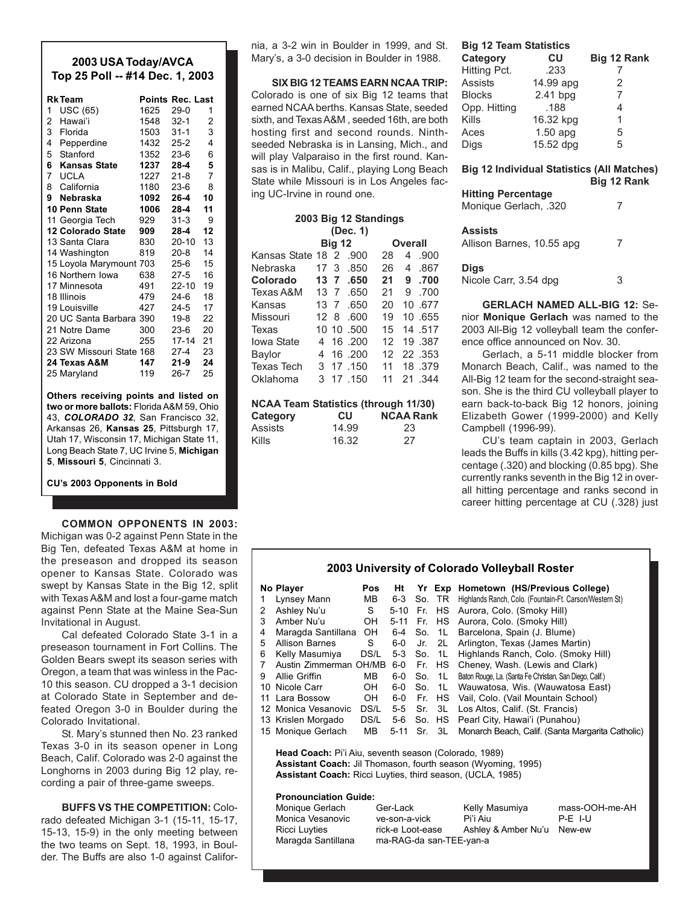# **2003 USA Today/AVCA Top 25 Poll -- #14 Dec. 1, 2003**

|                | <b>RkTeam</b>            |      | <b>Points Rec. Last</b> |    |
|----------------|--------------------------|------|-------------------------|----|
| 1              | <b>USC (65)</b>          | 1625 | $29-0$                  | 1  |
| $\mathbf{2}$   | Hawai'i                  | 1548 | $32-1$                  | 2  |
| 3              | Florida                  | 1503 | $31 - 1$                | 3  |
| $\overline{4}$ | Pepperdine               | 1432 | $25-2$                  | 4  |
|                | 5 Stanford               | 1352 | $23-6$                  | 6  |
|                | 6 Kansas State           | 1237 | $28 - 4$                | 5  |
|                | 7 UCLA                   | 1227 | $21 - 8$                | 7  |
|                | 8 California             | 1180 | 23-6                    | 8  |
|                | 9 Nebraska               | 1092 | 26-4                    | 10 |
|                | 10 Penn State            | 1006 | 28-4                    | 11 |
|                | 11 Georgia Tech          | 929  | 31-3                    | 9  |
|                | <b>12 Colorado State</b> | 909  | 28-4                    | 12 |
|                | 13 Santa Clara           | 830  | $20-10$                 | 13 |
|                | 14 Washington            | 819  | $20-8$                  | 14 |
|                | 15 Loyola Marymount 703  |      | 25-6                    | 15 |
|                | 16 Northern Iowa         | 638  | $27 - 5$                | 16 |
|                | 17 Minnesota             | 491  | $22 - 10$               | 19 |
|                | 18 Illinois              | 479. | 24-6                    | 18 |
|                | 19 Louisville            | 427  | 24-5                    | 17 |
|                | 20 UC Santa Barbara      | 390  | 19-8                    | 22 |
|                | 21 Notre Dame            | 300  | 23-6                    | 20 |
|                | 22 Arizona               | 255  | 17-14                   | 21 |
|                | 23 SW Missouri State 168 |      | 27-4                    | 23 |
|                | 24 Texas A&M             | 147  | 21-9                    | 24 |
|                | 25 Maryland              | 119  | $26 - 7$                | 25 |

**Others receiving points and listed on two or more ballots:** Florida A&M 59, Ohio 43, *COLORADO 32*, San Francisco 32, Arkansas 26, **Kansas 25**, Pittsburgh 17, Utah 17, Wisconsin 17, Michigan State 11, Long Beach State 7, UC Irvine 5, **Michigan 5**, **Missouri 5**, Cincinnati 3.

**CU's 2003 Opponents in Bold**

**COMMON OPPONENTS IN 2003:** Michigan was 0-2 against Penn State in the Big Ten, defeated Texas A&M at home in the preseason and dropped its season opener to Kansas State. Colorado was swept by Kansas State in the Big 12, split with Texas A&M and lost a four-game match against Penn State at the Maine Sea-Sun Invitational in August.

Cal defeated Colorado State 3-1 in a preseason tournament in Fort Collins. The Golden Bears swept its season series with Oregon, a team that was winless in the Pac-10 this season. CU dropped a 3-1 decision at Colorado State in September and defeated Oregon 3-0 in Boulder during the Colorado Invitational.

St. Mary's stunned then No. 23 ranked Texas 3-0 in its season opener in Long Beach, Calif. Colorado was 2-0 against the Longhorns in 2003 during Big 12 play, recording a pair of three-game sweeps.

**BUFFS VS THE COMPETITION:** Colorado defeated Michigan 3-1 (15-11, 15-17, 15-13, 15-9) in the only meeting between the two teams on Sept. 18, 1993, in Boulder. The Buffs are also 1-0 against California, a 3-2 win in Boulder in 1999, and St. Mary's, a 3-0 decision in Boulder in 1988.

**SIX BIG 12 TEAMS EARN NCAA TRIP:** Colorado is one of six Big 12 teams that earned NCAA berths. Kansas State, seeded sixth, and Texas A&M , seeded 16th, are both hosting first and second rounds. Ninthseeded Nebraska is in Lansing, Mich., and will play Valparaiso in the first round. Kansas is in Malibu, Calif., playing Long Beach State while Missouri is in Los Angeles facing UC-Irvine in round one.

| 2003 Big 12 Standings                |                 |    |            |    |            |  |
|--------------------------------------|-----------------|----|------------|----|------------|--|
| (Dec. 1)<br><b>Big 12</b><br>Overall |                 |    |            |    |            |  |
| Kansas State 18 2                    |                 |    | .900       | 28 | .900<br>4  |  |
| Nebraska                             | 17 <sub>3</sub> |    | .850       | 26 | .867<br>4  |  |
| Colorado                             | 13 7            |    | .650       | 21 | 9.700      |  |
| Texas A&M                            | $13 \t7$        |    | .650       | 21 | 9<br>.700  |  |
| Kansas                               | 13              | -7 | .650       | 20 | 10.677     |  |
| Missouri                             | 12 8            |    | .600       | 19 | 10 .655    |  |
| Texas                                |                 |    | 10 10 .500 | 15 | 14 .517    |  |
| <b>Iowa State</b>                    | 4               |    | 16 .200    | 12 | 19.387     |  |
| Baylor                               | 4               |    | 16,200     | 12 | 22.353     |  |
| <b>Texas Tech</b>                    |                 |    | 3 17 150   | 11 | 18.379     |  |
| Oklahoma                             | 3               |    | 17 150     | 11 | 21<br>.344 |  |

| <b>NCAA Team Statistics (through 11/30)</b> |       |                  |  |  |  |
|---------------------------------------------|-------|------------------|--|--|--|
| Category                                    | СU    | <b>NCAA Rank</b> |  |  |  |
| Assists                                     | 14.99 | 23               |  |  |  |
| <b>Kills</b>                                | 16.32 | 27               |  |  |  |

# **Big 12 Team Statistics**

| Category      | CU         | Big 12 Rank    |
|---------------|------------|----------------|
| Hitting Pct.  | .233       |                |
| Assists       | 14.99 apg  | 2              |
| <b>Blocks</b> | $2.41$ bpg | $\overline{7}$ |
| Opp. Hitting  | .188       | 4              |
| Kills         | 16.32 kpg  | 1              |
| Aces          | $1.50$ apg | 5              |
| Digs          | 15.52 dpg  | 5              |
|               |            |                |

**Big 12 Individual Statistics (All Matches) Big 12 Rank**

# **Hitting Percentage**

| Monique Gerlach, .320                |   |
|--------------------------------------|---|
| Assists<br>Allison Barnes, 10.55 apg |   |
| <b>Digs</b><br>Nicole Carr, 3.54 dpg | 3 |

**GERLACH NAMED ALL-BIG 12:** Senior **Monique Gerlach** was named to the 2003 All-Big 12 volleyball team the conference office announced on Nov. 30.

Gerlach, a 5-11 middle blocker from Monarch Beach, Calif., was named to the All-Big 12 team for the second-straight season. She is the third CU volleyball player to earn back-to-back Big 12 honors, joining Elizabeth Gower (1999-2000) and Kelly Campbell (1996-99).

CU's team captain in 2003, Gerlach leads the Buffs in kills (3.42 kpg), hitting percentage (.320) and blocking (0.85 bpg). She currently ranks seventh in the Big 12 in overall hitting percentage and ranks second in career hitting percentage at CU (.328) just

| 2003 University of Colorado Volleyball Roster |                                                        |            |             |  |            |                                                          |  |
|-----------------------------------------------|--------------------------------------------------------|------------|-------------|--|------------|----------------------------------------------------------|--|
|                                               | No Player                                              | <b>Pos</b> | Ηt          |  |            | Yr Exp Hometown (HS/Previous College)                    |  |
|                                               | Lynsey Mann                                            | MВ         | 6-3         |  | So. TR     | Highlands Ranch, Colo. (Fountain-Ft. Carson/Western St)  |  |
| 2                                             | Ashley Nu'u                                            | S.         | $5 - 10$    |  |            | Fr. HS Aurora, Colo. (Smoky Hill)                        |  |
| 3                                             | Amber Nu'u                                             | OH         | 5-11 Fr. HS |  |            | Aurora, Colo. (Smoky Hill)                               |  |
| 4                                             | Maragda Santillana                                     | OH.        |             |  | 6-4 So. 1L | Barcelona, Spain (J. Blume)                              |  |
| 5                                             | <b>Allison Barnes</b>                                  | S          | 6-0         |  | Jr. 2L     | Arlington, Texas (James Martin)                          |  |
| 6                                             | Kelly Masumiya                                         | DS/L       | 5-3 So. 1L  |  |            | Highlands Ranch, Colo. (Smoky Hill)                      |  |
| 7                                             | Austin Zimmerman OH/MB                                 |            | 6-0         |  | Fr. HS     | Cheney, Wash. (Lewis and Clark)                          |  |
| 9                                             | Allie Griffin                                          | MB.        | 6-0         |  | So. 1L     | Baton Rouge, La. (Santa Fe Christian, San Diego, Calif.) |  |
|                                               | 10 Nicole Carr                                         | OH         | 6-0         |  | So. 1L     | Wauwatosa, Wis. (Wauwatosa East)                         |  |
| 11                                            | Lara Bossow                                            | OH         | 6-0         |  | Fr. HS     | Vail, Colo. (Vail Mountain School)                       |  |
|                                               | 12 Monica Vesanovic                                    | DS/L       | 5-5         |  | Sr. 3L     | Los Altos, Calif. (St. Francis)                          |  |
|                                               | 13 Krislen Morgado                                     | DS/L       |             |  | 5-6 So. HS | Pearl City, Hawai'i (Punahou)                            |  |
|                                               | 15 Monique Gerlach                                     | MВ         | 5-11 Sr.    |  | 3L         | Monarch Beach, Calif. (Santa Margarita Catholic)         |  |
|                                               | Head Coach: Pi'i Aiu, seventh season (Colorado, 1989). |            |             |  |            |                                                          |  |

**Head Coach:** Pi'i Aiu, seventh season (Colorado, 1989) **Assistant Coach:** Jil Thomason, fourth season (Wyoming, 1995) **Assistant Coach:** Ricci Luyties, third season, (UCLA, 1985)

# **Pronounciation Guide:**

| Ger-Lack      |                  | mass-OOH-me-AH                                                   |
|---------------|------------------|------------------------------------------------------------------|
| ve-son-a-vick | Pi'i Aiu         | $P-F$ I-U                                                        |
|               |                  | New-ew                                                           |
|               |                  |                                                                  |
|               | rick-e Loot-ease | Kelly Masumiya<br>Ashley & Amber Nu'u<br>ma-RAG-da san-TEE-yan-a |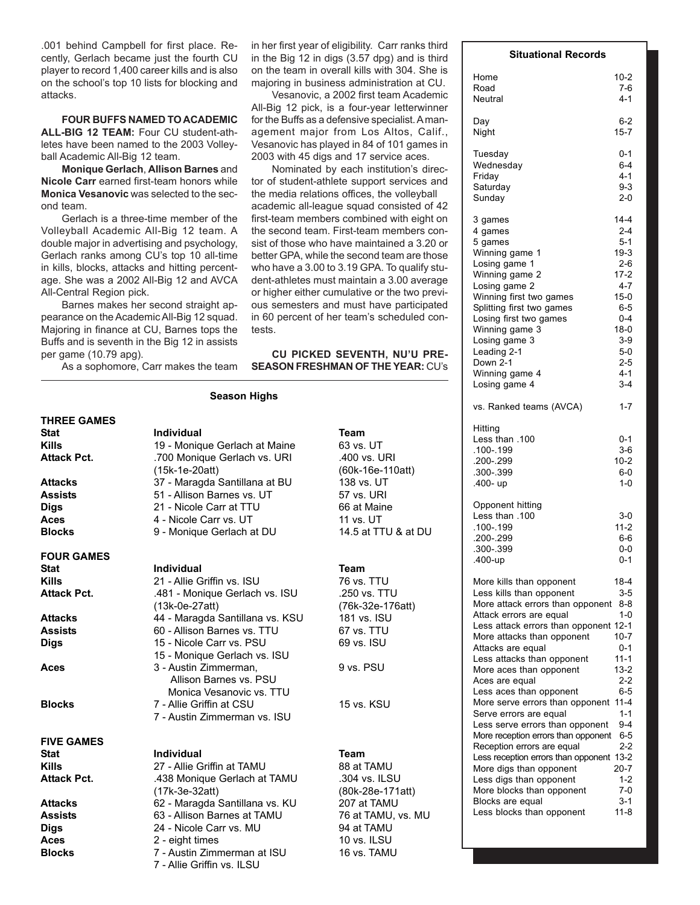.001 behind Campbell for first place. Recently, Gerlach became just the fourth CU player to record 1,400 career kills and is also on the school's top 10 lists for blocking and attacks.

**FOUR BUFFS NAMED TO ACADEMIC ALL-BIG 12 TEAM:** Four CU student-athletes have been named to the 2003 Volleyball Academic All-Big 12 team.

**Monique Gerlach**, **Allison Barnes** and **Nicole Carr** earned first-team honors while **Monica Vesanovic** was selected to the second team.

Gerlach is a three-time member of the Volleyball Academic All-Big 12 team. A double major in advertising and psychology, Gerlach ranks among CU's top 10 all-time in kills, blocks, attacks and hitting percentage. She was a 2002 All-Big 12 and AVCA All-Central Region pick.

Barnes makes her second straight appearance on the Academic All-Big 12 squad. Majoring in finance at CU, Barnes tops the Buffs and is seventh in the Big 12 in assists per game (10.79 apg).

As a sophomore, Carr makes the team

in her first year of eligibility. Carr ranks third in the Big 12 in digs (3.57 dpg) and is third on the team in overall kills with 304. She is majoring in business administration at CU.

Vesanovic, a 2002 first team Academic All-Big 12 pick, is a four-year letterwinner for the Buffs as a defensive specialist. A management major from Los Altos, Calif., Vesanovic has played in 84 of 101 games in 2003 with 45 digs and 17 service aces.

Nominated by each institution's director of student-athlete support services and the media relations offices, the volleyball academic all-league squad consisted of 42 first-team members combined with eight on the second team. First-team members consist of those who have maintained a 3.20 or better GPA, while the second team are those who have a 3.00 to 3.19 GPA. To qualify student-athletes must maintain a 3.00 average or higher either cumulative or the two previous semesters and must have participated in 60 percent of her team's scheduled contests.

# **CU PICKED SEVENTH, NU'U PRE-SEASON FRESHMAN OF THE YEAR:** CU's

# **Season Highs**

# **THREE GAMES**

**FOUR GAMES**

# **FIVE GAMES**

# Stat **Individual Team Kills** 19 - Monique Gerlach at Maine 63 vs. UT Attack Pct. 700 Monique Gerlach vs. URI .400 vs. URI (15k-1e-20att) (60k-16e-110att) Attacks 37 - Maragda Santillana at BU 138 vs. UT Assists 51 - Allison Barnes vs. UT 57 vs. URI **Digs** 21 - Nicole Carr at TTU 66 at Maine **Aces** 4 - Nicole Carr vs. UT 11 vs. UT **Blocks** 9 - Monique Gerlach at DU 14.5 at TTU & at DU

# **Stat Individual Team**

| <b>Kills</b>       | 21 - Allie Griffin vs. ISU      | 76 vs. TTU   |
|--------------------|---------------------------------|--------------|
| <b>Attack Pct.</b> | .481 - Monique Gerlach vs. ISU  | .250 vs. TTU |
|                    | $(13k-0e-27att)$                | 76k-32e-176) |
| <b>Attacks</b>     | 44 - Maragda Santillana vs. KSU | 181 vs. ISU  |
| <b>Assists</b>     | 60 - Allison Barnes vs. TTU     | 67 vs. TTU   |
| <b>Digs</b>        | 15 - Nicole Carr vs. PSU        | 69 vs. ISU   |
|                    | 15 - Monique Gerlach vs. ISU    |              |
| Aces               | 3 - Austin Zimmerman,           | 9 vs. PSU    |
|                    | Allison Barnes vs. PSU          |              |
|                    | Monica Vesanovic vs. TTU        |              |
| <b>Blocks</b>      | 7 - Allie Griffin at CSU        | 15 vs. KSU   |
|                    | 7 - Austin Zimmerman vs. ISU    |              |

# **Stat Contract Individual Contract Contract Contract Contract Contract Contract Contract Contract Contract Contract Contract Contract Contract Contract Contract Contract Contract Contract Contract Contract Contract Contrac Kills** 27 - Allie Griffin at TAMU 88 at TAMU Attack Pct. 438 Monique Gerlach at TAMU .304 vs. ILSU (17k-3e-32att) (80k-28e-171att) **Attacks** 62 - Maragda Santillana vs. KU 207 at TAMU **Assists** 63 - Allison Barnes at TAMU 76 at TAMU, vs. MU **Digs** 24 - Nicole Carr vs. MU 94 at TAMU **Aces** 2 - eight times 10 vs. ILSU **Blocks** 7 - Austin Zimmerman at ISU 16 vs. TAMU 7 - Allie Griffin vs. ILSU

# (13k-0e-27att) (76k-32e-176att)

# **Situational Records**

| Home                                                                                 | $10 - 2$                                       |
|--------------------------------------------------------------------------------------|------------------------------------------------|
| Road                                                                                 | $7-6$                                          |
| Neutral                                                                              | $4 - 1$                                        |
| Day                                                                                  | $6 - 2$                                        |
| Night                                                                                | $15 - 7$                                       |
| Tuesday                                                                              | $0 - 1$                                        |
| Wednesday                                                                            | $6 - 4$                                        |
| Friday                                                                               | $4 - 1$                                        |
| Saturday                                                                             | $9 - 3$                                        |
| Sunday                                                                               | $2 - 0$                                        |
| 3 games                                                                              | $14 - 4$                                       |
| 4 games                                                                              | $2 - 4$                                        |
| 5 games                                                                              | $5-1$                                          |
| Winning game 1                                                                       | $19-3$                                         |
| Losing game 1                                                                        | $2-6$                                          |
| Winning game 2                                                                       | $17 - 2$                                       |
| Losing game 2                                                                        | $4 - 7$                                        |
| Winning first two games                                                              | $15-0$                                         |
| Splitting first two games                                                            | 6-5                                            |
| Losing first two games                                                               | $0 - 4$                                        |
| Winning game 3                                                                       | $18-0$                                         |
| Losing game 3                                                                        | $3-9$                                          |
| Leading 2-1                                                                          | 5-0                                            |
| Down 2-1                                                                             | $2 - 5$                                        |
| Winning game 4                                                                       | $4 - 1$                                        |
| Losing game 4                                                                        | $3 - 4$                                        |
| vs. Ranked teams (AVCA)                                                              | $1 - 7$                                        |
| Hitting<br>Less than .100<br>.100-.199<br>.200-.299<br>.300-.399<br>.400- up         | $0 - 1$<br>$3-6$<br>$10-2$<br>$6-0$<br>$1 - 0$ |
| Opponent hitting<br>Less than .100<br>.100-.199<br>.200-.299<br>.300-.399<br>.400-up | $3-0$<br>$11 - 2$<br>$6-6$<br>$0-0$<br>$0 - 1$ |
| More kills than opponent                                                             | 18-4                                           |
| Less kills than opponent                                                             | $3-5$                                          |
| More attack errors than opponent                                                     | $8 - 8$                                        |
| Attack errors are equal                                                              | $1 - 0$                                        |
| Less attack errors than opponent                                                     | $12 - 1$                                       |
| More attacks than opponent                                                           | $10 - 7$                                       |
| Attacks are equal                                                                    | $0 - 1$                                        |
| Less attacks than opponent                                                           | $11 - 1$                                       |
| More aces than opponent                                                              | $13 - 2$                                       |
| Aces are equal                                                                       | $2-2$                                          |
| Less aces than opponent                                                              | $6 - 5$                                        |
| More serve errors than opponent                                                      | $11 - 4$                                       |
| Serve errors are equal                                                               | $1 - 1$                                        |
| Less serve errors than opponent                                                      | 9-4                                            |
| More reception errors than opponent                                                  | $6-5$                                          |
| Reception errors are equal                                                           | $2 - 2$                                        |
| Less reception errors than opponent                                                  | $13 - 2$                                       |
| More digs than opponent                                                              | $20 - 7$                                       |
| Less digs than opponent                                                              | $1 - 2$                                        |
| More blocks than opponent                                                            | $7-0$                                          |
| Blocks are equal                                                                     | $3-1$                                          |
| Less blocks than opponent                                                            | $11 - 8$                                       |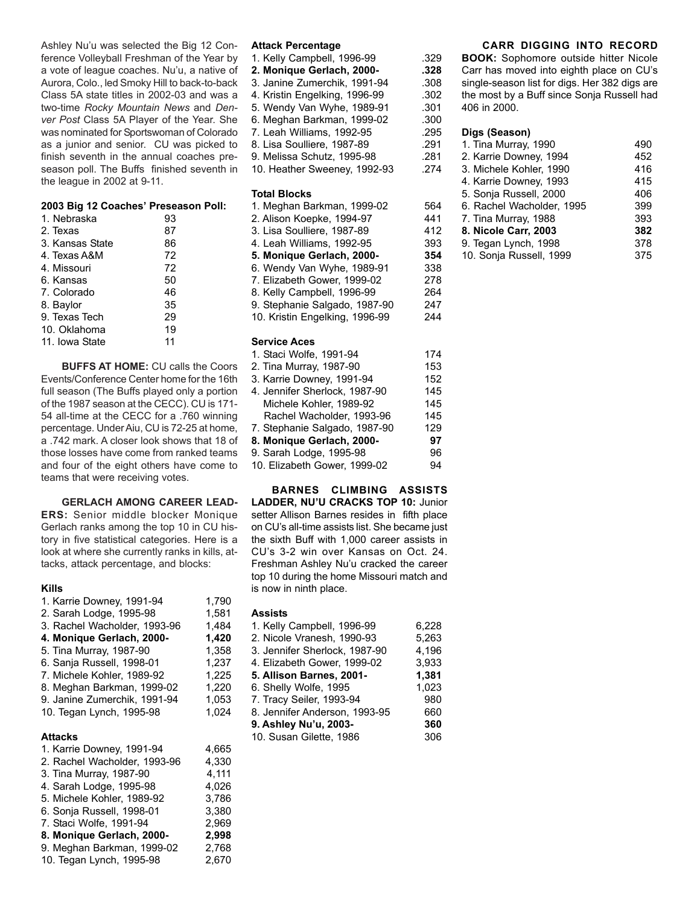Ashley Nu'u was selected the Big 12 Conference Volleyball Freshman of the Year by a vote of league coaches. Nu'u, a native of Aurora, Colo., led Smoky Hill to back-to-back Class 5A state titles in 2002-03 and was a two-time *Rocky Mountain News* and *Denver Post* Class 5A Player of the Year. She was nominated for Sportswoman of Colorado as a junior and senior. CU was picked to finish seventh in the annual coaches preseason poll. The Buffs finished seventh in the league in 2002 at 9-11.

# **2003 Big 12 Coaches' Preseason Poll:**

| 1. Nebraska     | 93 |
|-----------------|----|
| 2. Texas        | 87 |
| 3. Kansas State | 86 |
| 4. Texas A&M    | 72 |
| 4. Missouri     | 72 |
| 6. Kansas       | 50 |
| 7. Colorado     | 46 |
| 8. Baylor       | 35 |
| 9. Texas Tech   | 29 |
| 10. Oklahoma    | 19 |
| 11. Iowa State  | 11 |
|                 |    |

**BUFFS AT HOME:** CU calls the Coors Events/Conference Center home for the 16th full season (The Buffs played only a portion 4 of the 1987 season at the CECC). CU is 171- 54 all-time at the CECC for a .760 winning percentage. Under Aiu, CU is 72-25 at home, a .742 mark. A closer look shows that 18 of those losses have come from ranked teams and four of the eight others have come to teams that were receiving votes.

**GERLACH AMONG CAREER LEAD-ERS:** Senior middle blocker Monique Gerlach ranks among the top 10 in CU history in five statistical categories. Here is a look at where she currently ranks in kills, attacks, attack percentage, and blocks:

# **Kills**

| 1. Karrie Downey, 1991-94    | 1,790 |
|------------------------------|-------|
| 2. Sarah Lodge, 1995-98      | 1.581 |
| 3. Rachel Wacholder, 1993-96 | 1,484 |
| 4. Monique Gerlach, 2000-    | 1.420 |
| 5. Tina Murray, 1987-90      | 1,358 |
| 6. Sanja Russell, 1998-01    | 1,237 |
| 7. Michele Kohler, 1989-92   | 1.225 |
| 8. Meghan Barkman, 1999-02   | 1.220 |
| 9. Janine Zumerchik, 1991-94 | 1,053 |
| 10. Tegan Lynch, 1995-98     | 1,024 |
| <b>Attacks</b>               |       |
| 1. Karrie Downey, 1991-94    | 4,665 |
| 2. Rachel Wacholder, 1993-96 | 4.330 |

| 2. Rachel Wacholder, 1993-96 | 4.330 |
|------------------------------|-------|
| 3. Tina Murray, 1987-90      | 4,111 |
| 4. Sarah Lodge, 1995-98      | 4,026 |
| 5. Michele Kohler, 1989-92   | 3,786 |
| 6. Sonja Russell, 1998-01    | 3.380 |
| 7. Staci Wolfe, 1991-94      | 2.969 |
| 8. Monique Gerlach, 2000-    | 2,998 |
| 9. Meghan Barkman, 1999-02   | 2,768 |
| 10. Tegan Lynch, 1995-98     | 2,670 |

#### **Attack Percentage**

1. Kelly Campbell, 1996-99 .329<br>2. Monique Gerlach. 2000- .328 2. Monique Gerlach, 2000-3. Janine Zumerchik, 1991-94 .308<br>4. Kristin Engelking, 1996-99 .302 4. Kristin Engelking, 1996-99 5. Wendy Van Wyhe, 1989-91 .301 6. Meghan Barkman, 1999-02 .300<br>7. Leah Williams, 1992-95 .295 7. Leah Williams, 1992-95 8. Lisa Soulliere, 1987-89 .291

9. Melissa Schutz, 1995-98 .281 10. Heather Sweeney, 1992-93 .274

#### **Total Blocks**

| 564 |
|-----|
| 441 |
| 412 |
| 393 |
| 354 |
| 338 |
| 278 |
| 264 |
| 247 |
| 244 |
|     |
| 174 |
| 153 |
| 152 |
|     |

| 3. Karrie Downey, 1991-94     | 152 |
|-------------------------------|-----|
| 4. Jennifer Sherlock, 1987-90 | 145 |
| Michele Kohler, 1989-92       | 145 |
| Rachel Wacholder, 1993-96     | 145 |
| 7. Stephanie Salgado, 1987-90 | 129 |
| 8. Monique Gerlach, 2000-     | 97  |
| 9. Sarah Lodge, 1995-98       | 96  |
| 10. Elizabeth Gower, 1999-02  | 94  |

**BARNES CLIMBING ASSISTS LADDER, NU'U CRACKS TOP 10:** Junior setter Allison Barnes resides in fifth place on CU's all-time assists list. She became just the sixth Buff with 1,000 career assists in CU's 3-2 win over Kansas on Oct. 24. Freshman Ashley Nu'u cracked the career top 10 during the home Missouri match and is now in ninth place.

#### **Assists**

| 1. Kelly Campbell, 1996-99    | 6.228 |
|-------------------------------|-------|
| 2. Nicole Vranesh, 1990-93    | 5,263 |
| 3. Jennifer Sherlock, 1987-90 | 4,196 |
| 4. Elizabeth Gower, 1999-02   | 3.933 |
| 5. Allison Barnes, 2001-      | 1,381 |
| 6. Shelly Wolfe, 1995         | 1,023 |
| 7. Tracy Seiler, 1993-94      | 980   |
| 8. Jennifer Anderson, 1993-95 | 660   |
| 9. Ashley Nu'u, 2003-         | 360   |
| 10. Susan Gilette, 1986       | 306   |

# **CARR DIGGING INTO RECORD**

**BOOK:** Sophomore outside hitter Nicole Carr has moved into eighth place on CU's single-season list for digs. Her 382 digs are the most by a Buff since Sonja Russell had 406 in 2000.

#### **Digs (Season)**

| 1. Tina Murray, 1990      | 490 |
|---------------------------|-----|
| 2. Karrie Downey, 1994    | 452 |
| 3. Michele Kohler, 1990   | 416 |
| 4. Karrie Downey, 1993    | 415 |
| 5. Sonja Russell, 2000    | 406 |
| 6. Rachel Wacholder, 1995 | 399 |
| 7. Tina Murray, 1988      | 393 |
| 8. Nicole Carr, 2003      | 382 |
| 9. Tegan Lynch, 1998      | 378 |
| 10. Sonja Russell, 1999   | 375 |
|                           |     |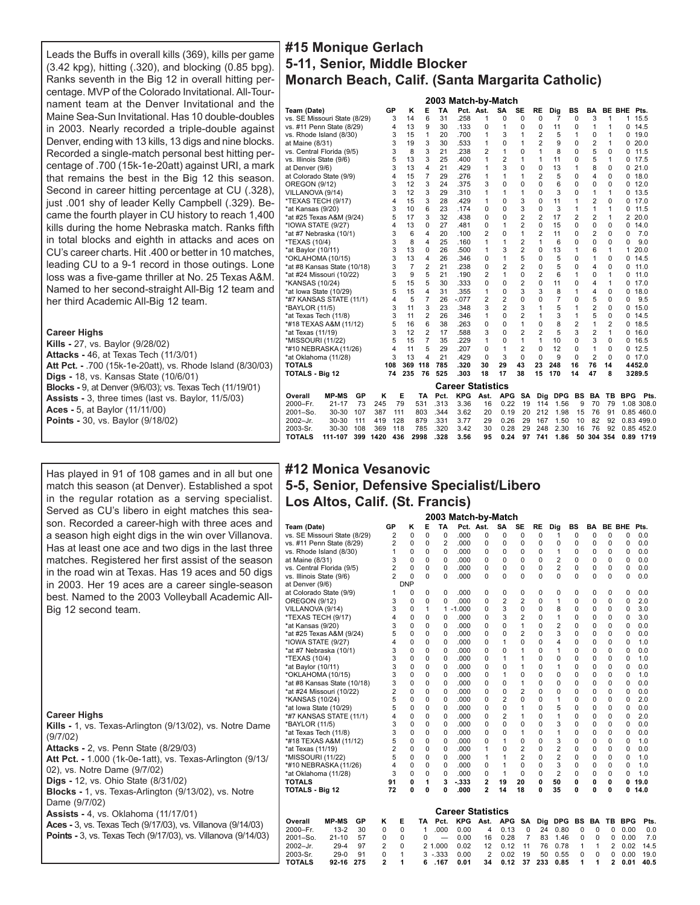Leads the Buffs in overall kills (369), kills per game (3.42 kpg), hitting (.320), and blocking (0.85 bpg). Ranks seventh in the Big 12 in overall hitting percentage. MVP of the Colorado Invitational. All-Tournament team at the Denver Invitational and the Maine Sea-Sun Invitational. Has 10 double-doubles in 2003. Nearly recorded a triple-double against Denver, ending with 13 kills, 13 digs and nine blocks. Recorded a single-match personal best hitting percentage of .700 (15k-1e-20att) against URI, a mark that remains the best in the Big 12 this season. Second in career hitting percentage at CU (.328), just .001 shy of leader Kelly Campbell (.329). Became the fourth player in CU history to reach 1,400 kills during the home Nebraska match. Ranks fifth in total blocks and eighth in attacks and aces on CU's career charts. Hit .400 or better in 10 matches, leading CU to a 9-1 record in those outings. Lone loss was a five-game thriller at No. 25 Texas A&M. Named to her second-straight All-Big 12 team and her third Academic All-Big 12 team.

#### **Career Highs**

**Kills -** 27, vs. Baylor (9/28/02) **Attacks -** 46, at Texas Tech (11/3/01) **Att Pct. -** .700 (15k-1e-20att), vs. Rhode Island (8/30/03) **Digs -** 18, vs. Kansas State (10/6/01) **Blocks -** 9, at Denver (9/6/03); vs. Texas Tech (11/19/01) **Assists -** 3, three times (last vs. Baylor, 11/5/03) **Aces -** 5, at Baylor (11/11/00) **Points -** 30, vs. Baylor (9/18/02)

Has played in 91 of 108 games and in all but one match this season (at Denver). Established a spot in the regular rotation as a serving specialist. Served as CU's libero in eight matches this season. Recorded a career-high with three aces and a season high eight digs in the win over Villanova. Has at least one ace and two digs in the last three matches. Registered her first assist of the season in the road win at Texas. Has 19 aces and 50 digs in 2003. Her 19 aces are a career single-season best. Named to the 2003 Volleyball Academic All-Big 12 second team.

#### **Career Highs**

**Kills -** 1, vs. Texas-Arlington (9/13/02), vs. Notre Dame (9/7/02) **Attacks -** 2, vs. Penn State (8/29/03) **Att Pct. -** 1.000 (1k-0e-1att), vs. Texas-Arlington (9/13/ 02), vs. Notre Dame (9/7/02) **Digs -** 12, vs. Ohio State (8/31/02) **Blocks -** 1, vs. Texas-Arlington (9/13/02), vs. Notre Dame (9/7/02) **Assists -** 4, vs. Oklahoma (11/17/01) **Aces -** 3, vs. Texas Tech (9/17/03), vs. Villanova (9/14/03) **Points -** 3, vs. Texas Tech (9/17/03), vs. Villanova (9/14/03)

# **#15 Monique Gerlach 5-11, Senior, Middle Blocker Monarch Beach, Calif. (Santa Margarita Catholic)**

|                              |              |     |      |     |                |                |           | 2003 Match-by-Match      |           |                |                |                |                |                |                |                |             |            |
|------------------------------|--------------|-----|------|-----|----------------|----------------|-----------|--------------------------|-----------|----------------|----------------|----------------|----------------|----------------|----------------|----------------|-------------|------------|
| Team (Date)                  |              |     |      | GP  | κ              | E              | <b>TA</b> |                          | Pct. Ast. | SA             | <b>SE</b>      | <b>RE</b>      | Dig            | BS             | BA             | <b>BE BHE</b>  |             | Pts.       |
| vs. SE Missouri State (8/29) |              |     |      | 3   | 14             | 6              | 31        | .258                     | 1         | $\Omega$       | $\Omega$       | $\Omega$       | $\overline{7}$ | $\Omega$       | 3              | $\mathbf{1}$   | 1           | 15.5       |
| vs. #11 Penn State (8/29)    |              |     |      | 4   | 13             | 9              | 30        | .133                     | $\Omega$  | 1              | $\Omega$       | $\Omega$       | 11             | $\Omega$       | 1              | 1              | $\Omega$    | 14.5       |
| vs. Rhode Island (8/30)      |              |     |      | 3   | 15             | 1              | 20        | .700                     | 1         | 3              | 1              | 2              | 5              | 1              | 0              | 1              | $\Omega$    | 19.0       |
| at Maine (8/31)              |              |     |      | 3   | 19             | 3              | 30        | .533                     | 1         | 0              | 1              | $\overline{2}$ | 9              | 0              | 2              | 1              | 0           | 20.0       |
| vs. Central Florida (9/5)    |              |     |      | 3   | 8              | 3              | 21        | .238                     | 2         | 1              | 0              | 1              | 8              | $\Omega$       | 5              | $\Omega$       | $\Omega$    | 11.5       |
| vs. Illinois State (9/6)     |              |     |      | 5   | 13             | 3              | 25        | .400                     | 1         | $\overline{2}$ | 1              | 1              | 11             | 0              | 5              | 1              | $\Omega$    | 17.5       |
| at Denver (9/6)              |              |     |      | 3   | 13             | 4              | 21        | .429                     | 1         | 3              | 0              | $\mathbf 0$    | 13             | 1              | 8              | $\Omega$       | 0           | 21.0       |
| at Colorado State (9/9)      |              |     |      | 4   | 15             | 7              | 29        | .276                     | 1         | 1              | 1              | $\overline{2}$ | 5              | $\Omega$       | 4              | $\Omega$       | $\Omega$    | 18.0       |
| <b>OREGON (9/12)</b>         |              |     |      | 3   | 12             | 3              | 24        | .375                     | 3         | 0              | 0              | $\Omega$       | 6              | 0              | 0              | 0              | $\Omega$    | 12.0       |
| VILLANOVA (9/14)             |              |     |      | 3   | 12             | 3              | 29        | .310                     | 1         | 1              | 1              | $\Omega$       | 3              | $\mathbf 0$    | 1              | 1              | $\Omega$    | 13.5       |
| *TEXAS TECH (9/17)           |              |     |      | 4   | 15             | 3              | 28        | .429                     | 1         | 0              | 3              | $\Omega$       | 11             | 1              | $\overline{2}$ | $\Omega$       | $\Omega$    | 17.0       |
| *at Kansas (9/20)            |              |     |      | 3   | 10             | 6              | 23        | .174                     | 0         | 0              | 3              | $\Omega$       | 3              | 1              | 1              | 1              | $\Omega$    | 11.5       |
| *at #25 Texas A&M (9/24)     |              |     |      | 5   | 17             | 3              | 32        | .438                     | 0         | 0              | $\overline{2}$ | $\overline{2}$ | 17             | $\overline{2}$ | $\overline{2}$ | 1              | 2           | 20.0       |
| *IOWA STATE (9/27)           |              |     |      | 4   | 13             | 0              | 27        | .481                     | 0         | 1              | $\overline{2}$ | $\Omega$       | 15             | 0              | 0              | $\Omega$       | 0           | 14.0       |
| *at #7 Nebraska (10/1)       |              |     |      | 3   | 6              | 4              | 20        | .100                     | 2         | 0              | 1              | $\overline{2}$ | 11             | $\Omega$       | 2              | $\Omega$       | $\Omega$    | 7.0        |
| *TEXAS (10/4)                |              |     |      | 3   | 8              | 4              | 25        | .160                     | 1         | 1              | 2              | 1              | 6              | 0              | 0              | $\Omega$       | $\Omega$    | 9.0        |
| *at Baylor (10/11)           |              |     |      | 3   | 13             | 0              | 26        | .500                     | 1         | 3              | 2              | $\Omega$       | 13             | 1              | 6              | 1              | 1           | 20.0       |
| *OKLAHOMA (10/15)            |              |     |      | 3   | 13             | 4              | 26        | .346                     | 0         | 1              | 5              | $\Omega$       | 5              | $\Omega$       | 1              | 0              | $\Omega$    | 14.5       |
| *at #8 Kansas State (10/18)  |              |     |      | 3   | $\overline{7}$ | $\overline{2}$ | 21        | .238                     | 0         | $\overline{2}$ | $\overline{2}$ | $\Omega$       | 5              | $\Omega$       | 4              | $\Omega$       | $\Omega$    | 11.0       |
| *at #24 Missouri (10/22)     |              |     |      | 3   | 9              | 5              | 21        | .190                     | 2         | 1              | 0              | $\overline{2}$ | 6              | 1              | 0              | 1              | $\Omega$    | 11.0       |
| *KANSAS (10/24)              |              |     |      | 5   | 15             | 5              | 30        | .333                     | 0         | 0              | $\overline{c}$ | $\Omega$       | 11             | 0              | 4              | 1              | $\Omega$    | 17.0       |
| *at lowa State (10/29)       |              |     |      | 5   | 15             | 4              | 31        | .355                     | 1         | 0              | 3              | 3              | 8              | 1              | 4              | 0              | 0           | 18.0       |
| *#7 KANSAS STATE (11/1)      |              |     |      | 4   | 5              | 7              | 26        | $-.077$                  | 2         | $\overline{2}$ | 0              | $\mathbf 0$    | 7              | $\mathbf 0$    | 5              | $\Omega$       | $\mathbf 0$ | 9.5        |
| *BAYLOR (11/5)               |              |     |      | 3   | 11             | 3              | 23        | .348                     | 3         | 2              | 3              | 1              | 5              | 1              | 2              | $\Omega$       | $\Omega$    | 15.0       |
| *at Texas Tech (11/8)        |              |     |      | 3   | 11             | 2              | 26        | .346                     | 1         | $\Omega$       | 2              | 1              | 3              | 1              | 5              | 0              | $\Omega$    | 14.5       |
| *#18 TEXAS A&M (11/12)       |              |     |      | 5   | 16             | 6              | 38        | .263                     | $\Omega$  | $\Omega$       | 1              | $\Omega$       | 8              | 2              | 1              | $\overline{c}$ | $\Omega$    | 18.5       |
| *at Texas (11/19)            |              |     |      | 3   | 12             | 2              | 17        | .588                     | 3         | 0              | $\overline{2}$ | $\overline{2}$ | 5              | 3              | 2              | 1              | $\Omega$    | 16.0       |
| *MISSOURI (11/22)            |              |     |      | 5   | 15             | $\overline{7}$ | 35        | .229                     | 1         | $\Omega$       | 1              | 1              | 10             | 0              | 3              | $\Omega$       | $\Omega$    | 16.5       |
| *#10 NEBRASKA (11/26)        |              |     |      | 4   | 11             | 5              | 29        | .207                     | 0         | 1              | $\overline{2}$ | $\Omega$       | 12             | 0              | 1              | $\Omega$       | 0           | 12.5       |
| *at Oklahoma (11/28)         |              |     |      | 3   | 13             | 4              | 21        | .429                     | 0         | 3              | 0              | $\Omega$       | 9              | $\mathbf 0$    | $\overline{2}$ | $\Omega$       |             | 0, 17.0    |
| <b>TOTALS</b>                |              |     |      | 108 | 369            | 118            | 785       | .320                     | 30        | 29             | 43             | 23             | 248            | 16             | 76             | 14             |             | 4452.0     |
| <b>TOTALS - Big 12</b>       |              |     |      | 74  | 235            | 76             | 525       | .303                     | 18        | 17             | 38             | 15             | 170            | 14             | 47             | 8              |             | 3289.5     |
|                              |              |     |      |     |                |                |           | <b>Career Statistics</b> |           |                |                |                |                |                |                |                |             |            |
| Overall                      | <b>MP MS</b> | GP  | κ    | E   |                | TA             | Pct.      | <b>KPG</b>               | Ast.      | <b>APG</b>     | <b>SA</b>      | Dig            | <b>DPG</b>     | <b>BS</b>      | BA             | TВ             | <b>BPG</b>  | Pts.       |
| 2000-Fr.                     | $21 - 17$    | 73  | 245  | 79  |                | 531            | .313      | 3.36                     | 16        | 0.22           | 19             | 114            | 1.56           | 9              | 70             | 79             |             | 1.08 308.0 |
| 2001-So.                     | 30-30        | 107 | 387  | 111 |                | 803            | .344      | 3.62                     | 20        | 0.19           | 20             | 212            | 1.98           | 15             | 76             | 91             |             | 0.85 460.0 |
| 2002-Jr.                     | $30 - 30$    | 111 | 419  | 128 |                | 879            | .331      | 3.77                     | 29        | 0.26           | 29             | 167            | 1.50           | 10             | 82             | 92             |             | 0.83 499.0 |
| 2003-Sr.                     | 30-30        | 108 | 369  | 118 |                | 785            | .320      | 3.42                     | 30        | 0.28           | 29             | 248            | 2.30           | 16             | 76             | 92             |             | 0.85 452.0 |
| <b>TOTALS</b>                | 111-107      | 399 | 1420 | 436 |                | 2998           | .328      | 3.56                     | 95        | 0.24           | 97             | 741            | 1.86           | 50             |                | 304 354        | 0.89        | 1719       |

# **#12 Monica Vesanovic 5-5, Senior, Defensive Specialist/Libero Los Altos, Calif. (St. Francis)**

|                               |                |            |          |                          | 2003 Match-by-Match      |                |                |                |           |                         |           |          |                |            |      |
|-------------------------------|----------------|------------|----------|--------------------------|--------------------------|----------------|----------------|----------------|-----------|-------------------------|-----------|----------|----------------|------------|------|
| Team (Date)                   | GP             | κ          | Е        | TA                       |                          | Pct. Ast.      | <b>SA</b>      | SE             | <b>RE</b> | Dig                     | <b>BS</b> | BA       | <b>BE BHE</b>  |            | Pts. |
| vs. SE Missouri State (8/29)  | 2              | 0          | $\Omega$ | 0                        | .000                     | 0              | 0              | $\Omega$       | 0         | 1                       | 0         | 0        | 0              | 0          | 0.0  |
| vs. #11 Penn State (8/29)     | 2              | 0          | 0        | $\overline{2}$           | .000                     | 0              | 0              | $\mathbf 0$    | 0         | 0                       | 0         | 0        | 0              | 0          | 0.0  |
| vs. Rhode Island (8/30)       | 1              | 0          | $\Omega$ | 0                        | .000                     | 0              | 0              | $\mathbf 0$    | 0         | 1                       | 0         | 0        | 0              | 0          | 0.0  |
| at Maine (8/31)               | 3              | 0          | $\Omega$ | 0                        | .000                     | 0              | 0              | $\Omega$       | 0         | $\overline{2}$          | 0         | $\Omega$ | $\Omega$       | $\Omega$   | 0.0  |
| vs. Central Florida (9/5)     | 2              | 0          | $\Omega$ | 0                        | .000                     | 0              | 0              | $\mathbf 0$    | 0         | $\overline{2}$          | $\Omega$  | $\Omega$ | $\Omega$       | $\Omega$   | 0.0  |
| vs. Illinois State (9/6)      | $\overline{c}$ | $\Omega$   | $\Omega$ | 0                        | .000                     | 0              | 0              | $\Omega$       | O         | $\Omega$                | $\Omega$  | $\Omega$ | $\Omega$       | 0          | 0.0  |
| at Denver (9/6)               |                | <b>DNP</b> |          |                          |                          |                |                |                |           |                         |           |          |                |            |      |
| at Colorado State (9/9)       | 1              | 0          | $\Omega$ | 0                        | .000                     | 0              | 0              | $\mathbf 0$    | 0         | $\Omega$                | 0         | 0        | 0              | 0          | 0.0  |
| <b>OREGON (9/12)</b>          | 3              | 0          | 0        | 0                        | .000                     | 0              | 2              | 2              | 0         | 1                       | 0         | 0        | $\Omega$       | 0          | 2.0  |
| VILLANOVA (9/14)              | 3              | 0          | 1        | 1                        | $-1.000$                 | 0              | 3              | $\mathbf 0$    | 0         | 8                       | 0         | 0        | 0              | 0          | 3.0  |
| *TEXAS TECH (9/17)            | 4              | 0          | $\Omega$ | 0                        | .000                     | 0              | 3              | $\overline{2}$ | 0         | 1                       | 0         | 0        | $\Omega$       | 0          | 3.0  |
| *at Kansas (9/20)             | 3              | $\Omega$   | $\Omega$ | 0                        | .000                     | 0              | 0              | 1              | 0         | $\overline{2}$          | 0         | $\Omega$ | $\Omega$       | $\Omega$   | 0.0  |
| *at #25 Texas A&M (9/24)      | 5              | 0          | $\Omega$ | 0                        | .000                     | 0              | 0              | 2              | 0         | 3                       | 0         | 0        | $\Omega$       | 0          | 0.0  |
| *IOWA STATE (9/27)            | 4              | $\Omega$   | $\Omega$ | 0                        | .000                     | 0              | 1              | $\Omega$       | 0         | $\overline{\mathbf{4}}$ | $\Omega$  | $\Omega$ | $\Omega$       | $\Omega$   | 1.0  |
| *at #7 Nebraska (10/1)        | 3              | $\Omega$   | $\Omega$ | 0                        | .000                     | 0              | 0              | 1              | 0         | 1                       | $\Omega$  | 0        | $\Omega$       | $\Omega$   | 0.0  |
| *TEXAS (10/4)                 | 3              | $\Omega$   | $\Omega$ | 0                        | .000                     | $\Omega$       | 1              | 1              | 0         | $\Omega$                | 0         | $\Omega$ | $\Omega$       | $\Omega$   | 1.0  |
| *at Baylor (10/11)            | 3              | $\Omega$   | $\Omega$ | 0                        | .000                     | 0              | 0              | 1              | 0         | 1                       | 0         | 0        | 0              | $\Omega$   | 0.0  |
| *OKLAHOMA (10/15)             | 3              | $\Omega$   | $\Omega$ | $\Omega$                 | .000                     | 0              | 1              | $\Omega$       | 0         | $\Omega$                | $\Omega$  | $\Omega$ | $\Omega$       | $\Omega$   | 1.0  |
| *at #8 Kansas State (10/18)   | 3              | 0          | $\Omega$ | 0                        | .000                     | $\Omega$       | 0              | 1              | 0         | $\Omega$                | $\Omega$  | $\Omega$ | $\Omega$       | $\Omega$   | 0.0  |
| *at #24 Missouri (10/22)      | 2              | $\Omega$   | $\Omega$ | 0                        | .000                     | 0              | 0              | $\overline{2}$ | 0         | $\Omega$                | 0         | $\Omega$ | $\Omega$       | $\Omega$   | 0.0  |
| *KANSAS (10/24)               | 5              | 0          | $\Omega$ | 0                        | .000                     | 0              | 2              | 0              | 0         | 1                       | 0         | 0        | $\Omega$       | 0          | 2.0  |
| *at lowa State (10/29)        | 5              | $\Omega$   | $\Omega$ | $\Omega$                 | .000                     | 0              | 0              | 1              | 0         | 5                       | $\Omega$  | $\Omega$ | $\Omega$       | $\Omega$   | 0.0  |
| *#7 KANSAS STATE (11/1)       | 4              | $\Omega$   | $\Omega$ | 0                        | .000                     | $\Omega$       | $\overline{2}$ | 1              | 0         | 1                       | $\Omega$  | $\Omega$ | $\Omega$       | $\Omega$   | 2.0  |
| *BAYLOR (11/5)                | 3              | 0          | $\Omega$ | 0                        | .000                     | 0              | 0              | 0              | 0         | 3                       | 0         | 0        | 0              | $\Omega$   | 0.0  |
| *at Texas Tech (11/8)         | 3              | 0          | $\Omega$ | 0                        | .000                     | 0              | 0              | 1              | 0         | 1                       | $\Omega$  | 0        | $\Omega$       | $\Omega$   | 0.0  |
| *#18 TEXAS A&M (11/12)        | 5              | $\Omega$   | $\Omega$ | $\Omega$                 | .000                     | 0              | 1              | $\Omega$       | 0         | 3                       | $\Omega$  | $\Omega$ | $\Omega$       | $\Omega$   | 1.0  |
| *at Texas (11/19)             | $\overline{2}$ | $\Omega$   | $\Omega$ | 0                        | .000                     | 1              | 0              | $\overline{2}$ | 0         | $\overline{2}$          | $\Omega$  | $\Omega$ | $\Omega$       | $\Omega$   | 0.0  |
| *MISSOURI (11/22)             | 5              | 0          | $\Omega$ | 0                        | .000                     | 1              | 1              | $\overline{2}$ | 0         | $\overline{2}$          | 0         | 0        | $\Omega$       | $\Omega$   | 1.0  |
| *#10 NEBRASKA (11/26)         | 4              | 0          | $\Omega$ | 0                        | .000                     | $\Omega$       | 1              | $\Omega$       | 0         | 3                       | $\Omega$  | $\Omega$ | $\Omega$       | $\Omega$   | 1.0  |
| *at Oklahoma (11/28)          | 3              | $\Omega$   | $\Omega$ | $\Omega$                 | .000                     | $\Omega$       | 1              | $\Omega$       | 0         | $\overline{2}$          | $\Omega$  | $\Omega$ | $\Omega$       | 0          | 1.0  |
| <b>TOTALS</b>                 | 91             | 0          | 1        | 3                        | $-333$                   | $\overline{2}$ | 19             | 20             | 0         | 50                      | 0         | 0        | 0              | 0          | 19.0 |
| <b>TOTALS - Big 12</b>        | 72             | 0          | 0        | 0                        | .000                     | $\overline{2}$ | 14             | 18             | 0         | 35                      | 0         | 0        | 0              | 0          | 14.0 |
|                               |                |            |          |                          |                          |                |                |                |           |                         |           |          |                |            |      |
|                               |                |            |          |                          | <b>Career Statistics</b> |                |                |                |           |                         |           |          |                |            |      |
| <b>MP MS</b><br>GР<br>Overall | κ              | E          | TA       | Pct.                     | <b>KPG</b>               | Ast.           | <b>APG</b>     | SA             | Dig       | <b>DPG</b>              | <b>BS</b> | BA       | TB             | <b>BPG</b> | Pts. |
| $13 - 2$<br>2000-Fr.<br>30    | 0              | 0          | 1        | .000                     | 0.00                     | 4              | 0.13           | 0              | 24        | 0.80                    | 0         | 0        | 0              | 0.00       | 0.0  |
| $21 - 10$<br>57<br>2001-So.   | 0              | $\Omega$   | $\Omega$ | $\overline{\phantom{0}}$ | 0.00                     | 16             | 0.28           | $\overline{7}$ | 83        | 1.46                    | 0         | $\Omega$ | 0              | 0.00       | 7.0  |
| 97<br>2002-Jr.<br>$29 - 4$    | 2              | 0          |          | 2 1.000                  | 0.02                     | 12             | 0.12           | 11             | 76        | 0.78                    | 1         | 1        | 2              | 0.02       | 14.5 |
| $29-0$<br>2003-Sr.<br>91      | 0              | 1          | 3        | $-.333$                  | 0.00                     | 2              | 0.02           | 19             | 50        | 0.55                    | 0         | $\Omega$ | 0              | 0.00       | 19.0 |
| <b>TOTALS</b><br>92-16<br>275 | $\overline{2}$ | 1          | 6        | .167                     | 0.01                     | 34             | 0.12           | 37             | 233       | 0.85                    | 1         | 1        | $\overline{2}$ | 0.01       | 40.5 |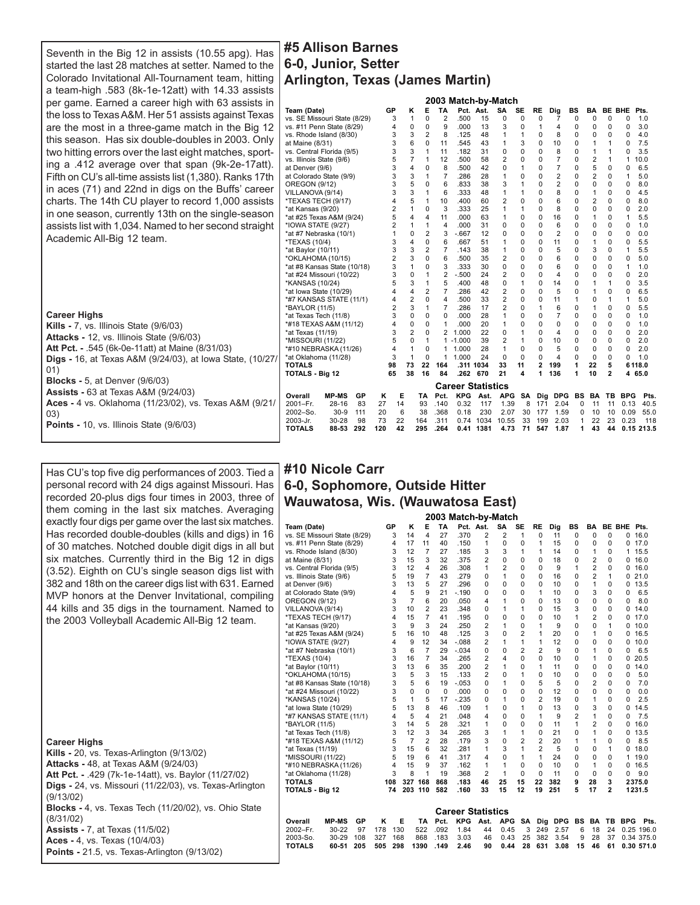Seventh in the Big 12 in assists (10.55 apg). Has started the last 28 matches at setter. Named to the Colorado Invitational All-Tournament team, hitting a team-high .583 (8k-1e-12att) with 14.33 assists per game. Earned a career high with 63 assists in the loss to Texas A&M. Her 51 assists against Texas are the most in a three-game match in the Big 12 this season. Has six double-doubles in 2003. Only two hitting errors over the last eight matches, sporting a .412 average over that span (9k-2e-17att). Fifth on CU's all-time assists list (1,380). Ranks 17th in aces (71) and 22nd in digs on the Buffs' career charts. The 14th CU player to record 1,000 assists in one season, currently 13th on the single-season assists list with 1,034. Named to her second straight Academic All-Big 12 team.

#### **Career Highs Kills -** 7, vs. Illinois State (9/6/03) **Attacks -** 12, vs. Illinois State (9/6/03) **Att Pct. -** .545 (6k-0e-11att) at Maine (8/31/03) **Digs -** 16, at Texas A&M (9/24/03), at Iowa State, (10/27/ 01) **Blocks -** 5, at Denver (9/6/03) **Assists -** 63 at Texas A&M (9/24/03) **Aces -** 4 vs. Oklahoma (11/23/02), vs. Texas A&M (9/21/ 03) **Points -** 10, vs. Illinois State (9/6/03)

# Has CU's top five dig performances of 2003. Tied a personal record with 24 digs against Missouri. Has recorded 20-plus digs four times in 2003, three of them coming in the last six matches. Averaging exactly four digs per game over the last six matches. Has recorded double-doubles (kills and digs) in 16 of 30 matches. Notched double digit digs in all but six matches. Currently third in the Big 12 in digs (3.52). Eighth on CU's single season digs list with 382 and 18th on the career digs list with 631. Earned MVP honors at the Denver Invitational, compiling 44 kills and 35 digs in the tournament. Named to the 2003 Volleyball Academic All-Big 12 team.

# **Career Statistics Career Highs Kills -** 20, vs. Texas-Arlington (9/13/02) **Attacks -** 48, at Texas A&M (9/24/03) **Att Pct. -** .429 (7k-1e-14att), vs. Baylor (11/27/02) **Digs -** 24, vs. Missouri (11/22/03), vs. Texas-Arlington (9/13/02) **Blocks -** 4, vs. Texas Tech (11/20/02), vs. Ohio State (8/31/02) **Assists -** 7, at Texas (11/5/02) **Aces -** 4, vs. Texas (10/4/03) **Points -** 21.5, vs. Texas-Arlington (9/13/02)

# **#5 Allison Barnes 6-0, Junior, Setter Arlington, Texas (James Martin)**

|                               |                |                |                |                | 2003 Match-by-Match      |           |                |           |                |                |           |          |                |             |            |
|-------------------------------|----------------|----------------|----------------|----------------|--------------------------|-----------|----------------|-----------|----------------|----------------|-----------|----------|----------------|-------------|------------|
| Team (Date)                   | GP             | κ              | Е              | TA             |                          | Pct. Ast. | SA             | <b>SE</b> | <b>RE</b>      | Dig            | BS        | BA       | <b>BE BHE</b>  |             | Pts.       |
| vs. SE Missouri State (8/29)  | 3              | 1              | 0              | $\overline{2}$ | .500                     | 15        | 0              | 0         | 0              | 7              | 0         | $\Omega$ | 0              | 0           | 1.0        |
| vs. #11 Penn State (8/29)     | 4              | 0              | 0              | 9              | .000                     | 13        | 3              | 0         | 1              | 4              | $\Omega$  | $\Omega$ | 0              | $\Omega$    | 3.0        |
| vs. Rhode Island (8/30)       | 3              | 3              | $\overline{2}$ | 8              | .125                     | 48        | 1              | 1         | $\Omega$       | 8              | $\Omega$  | $\Omega$ | 0              | $\Omega$    | 4.0        |
| at Maine (8/31)               | 3              | 6              | $\Omega$       | 11             | .545                     | 43        | 1              | 3         | $\Omega$       | 10             | $\Omega$  | 1        | 1              | $\Omega$    | 7.5        |
| vs. Central Florida (9/5)     | 3              | 3              | 1              | 11             | .182                     | 31        | $\Omega$       | $\Omega$  | $\Omega$       | 8              | $\Omega$  | 1        | 1              | $\Omega$    | 3.5        |
| vs. Illinois State (9/6)      | 5              | $\overline{7}$ | 1              | 12             | .500                     | 58        | 2              | $\Omega$  | $\Omega$       | 7              | $\Omega$  | 2        | 1              | 1           | 10.0       |
| at Denver (9/6)               | 3              | 4              | $\Omega$       | 8              | .500                     | 42        | $\Omega$       | 1         | $\Omega$       | 7              | $\Omega$  | 5        | 0              | $\Omega$    | 6.5        |
| at Colorado State (9/9)       | 3              | 3              | $\mathbf{1}$   | $\overline{7}$ | .286                     | 28        | 1              | 0         | 0              | $\overline{2}$ | 0         | 2        | 0              | 1           | 5.0        |
| <b>OREGON (9/12)</b>          | 3              | 5              | $\Omega$       | 6              | .833                     | 38        | 3              | 1         | 0              | $\overline{2}$ | $\Omega$  | 0        | 0              | $\mathbf 0$ | 8.0        |
| VILLANOVA (9/14)              | 3              | 3              | 1              | 6              | .333                     | 48        | 1              | 1         | O              | 8              | $\Omega$  | 1        | 0              | $\Omega$    | 4.5        |
| *TEXAS TECH (9/17)            | 4              | 5              | $\mathbf{1}$   | 10             | .400                     | 60        | 2              | 0         | 0              | 6              | 0         | 2        | 0              | 0           | 8.0        |
| *at Kansas (9/20)             | $\overline{2}$ | 1              | $\Omega$       | 3              | .333                     | 25        | 1              | 1         | $\Omega$       | 8              | $\Omega$  | 0        | 0              | 0           | 2.0        |
| *at #25 Texas A&M (9/24)      | 5              | 4              | 4              | 11             | .000                     | 63        | 1              | $\Omega$  | $\Omega$       | 16             | $\Omega$  | 1        | 0              | 1           | 5.5        |
| *IOWA STATE (9/27)            | $\overline{2}$ | 1              | $\mathbf{1}$   | 4              | .000                     | 31        | $\Omega$       | $\Omega$  | $\Omega$       | 6              | $\Omega$  | $\Omega$ | 0              | $\Omega$    | 1.0        |
| *at #7 Nebraska (10/1)        | 1              | 0              | $\overline{2}$ | 3              | $-667$                   | 12        | $\Omega$       | 0         | $\Omega$       | 2              | $\Omega$  | 0        | 0              | 0           | 0.0        |
| *TEXAS (10/4)                 | 3              | 4              | $\Omega$       | 6              | .667                     | 51        | 1              | $\Omega$  | $\Omega$       | 11             | $\Omega$  | 1        | 0              | $\Omega$    | 5.5        |
| *at Baylor (10/11)            | 3              | 3              | $\overline{2}$ | $\overline{7}$ | .143                     | 38        | 1              | $\Omega$  | $\Omega$       | 5              | $\Omega$  | 3        | 0              | 1           | 5.5        |
| *OKLAHOMA (10/15)             | $\overline{2}$ | 3              | $\Omega$       | 6              | .500                     | 35        | 2              | 0         | $\Omega$       | 6              | 0         | 0        | 0              | 0           | 5.0        |
| *at #8 Kansas State (10/18)   | 3              | 1              | 0              | 3              | .333                     | 30        | 0              | 0         | $\Omega$       | 6              | 0         | 0        | 0              | 1           | 1.0        |
| *at #24 Missouri (10/22)      | 3              | 0              | 1              | 2              | $-.500$                  | 24        | $\overline{2}$ | $\Omega$  | 0              | 4              | $\Omega$  | $\Omega$ | 0              | $\Omega$    | 2.0        |
| *KANSAS (10/24)               | 5              | 3              | 1              | 5              | .400                     | 48        | 0              | 1         | $\Omega$       | 14             | $\Omega$  | 1        | 1              | $\Omega$    | 3.5        |
| *at lowa State (10/29)        | 4              | 4              | $\overline{2}$ | $\overline{7}$ | .286                     | 42        | 2              | $\Omega$  | $\Omega$       | 5              | $\Omega$  | 1        | 0              | $\mathbf 0$ | 6.5        |
| *#7 KANSAS STATE (11/1)       | 4              | $\overline{2}$ | $\Omega$       | 4              | .500                     | 33        | 2              | $\Omega$  | 0              | 11             | 1         | $\Omega$ | 1              | 1           | 5.0        |
| *BAYLOR (11/5)                | $\overline{2}$ | 3              | 1              | 7              | .286                     | 17        | $\overline{2}$ | $\Omega$  | 1              | 6              | $\Omega$  | 1        | 0              | $\Omega$    | 5.5        |
| *at Texas Tech (11/8)         | 3              | $\Omega$       | $\Omega$       | $\Omega$       | .000                     | 28        | 1              | 0         | 0              | $\overline{7}$ | $\Omega$  | $\Omega$ | 0              | $\Omega$    | 1.0        |
| *#18 TEXAS A&M (11/12)        | 4              | $\Omega$       | $\Omega$       | 1              | .000                     | 20        | 1              | $\Omega$  | $\Omega$       | 0              | $\Omega$  | $\Omega$ | 0              | $\Omega$    | 1.0        |
| *at Texas (11/19)             | 3              | $\overline{2}$ | $\Omega$       | $\overline{c}$ | 1.000                    | 22        | $\Omega$       | 1         | $\Omega$       | 4              | 0         | 0        | 0              | 0           | 2.0        |
| *MISSOURI (11/22)             | 5              | $\Omega$       | 1              | 1              | $-1.000$                 | 39        | 2              | 1         | $\Omega$       | 10             | $\Omega$  | $\Omega$ | 0              | $\Omega$    | 2.0        |
| *#10 NEBRASKA (11/26)         | 4              | $\mathbf{1}$   | $\Omega$       | 1              | 1.000                    | 28        | 1              | $\Omega$  | $\Omega$       | 5              | $\Omega$  | $\Omega$ | 0              | 0           | 2.0        |
| *at Oklahoma (11/28)          | 3              | $\mathbf{1}$   | $\Omega$       | 1              | 1.000                    | 24        | $\Omega$       | $\Omega$  | $\Omega$       | 4              | $\Omega$  | $\Omega$ | 0              | $\Omega$    | 1.0        |
| <b>TOTALS</b>                 | 98             | 73             | 22             | 164            |                          | .311 1034 | 33             | 11        | $\overline{2}$ | 199            | 1         | 22       | 5              |             | 6118.0     |
| <b>TOTALS - Big 12</b>        | 65             | 38             | 16             | 84             | .262                     | 670       | 21             | 4         | 1              | 136            | 1         | 10       | $\overline{2}$ |             | 4 65.0     |
|                               |                |                |                |                | <b>Career Statistics</b> |           |                |           |                |                |           |          |                |             |            |
| <b>MP-MS</b><br>GP<br>Overall | E<br>κ         |                | TA             | Pct.           | <b>KPG</b>               | Ast.      | <b>APG</b>     | <b>SA</b> | Dig            | <b>DPG</b>     | <b>BS</b> | BA       | TB             | <b>BPG</b>  | Pts.       |
| 2001-Fr.<br>$28 - 16$<br>83   | 27<br>14       |                | 93             | .140           | 0.32                     | 117       | 1.39           | 8         | 171            | 2.04           | $\Omega$  | 11       | 11             | 0.13        | 40.5       |
| 2002-So.<br>$30 - 9$<br>111   | 6<br>20        |                | 38             | .368           | 0.18                     | 230       | 2.07           | 30        | 177            | 1.59           | 0         | 10       | 10             | 0.09        | 55.0       |
| 2003-Jr.<br>$30 - 28$<br>98   | 73<br>22       |                | 164            | .311           | 0.74                     | 1034      | 10.55          | 33        | 199            | 2.03           | 1         | 22       | 23             | 0.23        | 118        |
| <b>TOTALS</b><br>88-53<br>292 | 120<br>42      |                | 295            | .264           | 0.41                     | 1381      | 4.73           | 71        | 547            | 1.87           | 1         | 43       | 44             |             | 0.15 213.5 |

# **#10 Nicole Carr 6-0, Sophomore, Outside Hitter Wauwatosa, Wis. (Wauwatosa East)**

|                               |     |                |                |          | 2003 Match-by-Match      |                |                |                |                |            |                |                |               |            |            |
|-------------------------------|-----|----------------|----------------|----------|--------------------------|----------------|----------------|----------------|----------------|------------|----------------|----------------|---------------|------------|------------|
| Team (Date)                   | GP  | κ              | Е              | TA       |                          | Pct. Ast.      | <b>SA</b>      | <b>SE</b>      | <b>RE</b>      | Dig        | <b>BS</b>      | BA             | <b>BE BHE</b> |            | Pts.       |
| vs. SE Missouri State (8/29)  | 3   | 14             | 4              | 27       | .370                     | $\overline{2}$ | $\overline{2}$ | 1              | 0              | 11         | 0              | 0              | 0             | 0          | 16.0       |
| vs. #11 Penn State (8/29)     | 4   | 17             | 11             | 40       | .150                     | 1              | $\Omega$       | $\Omega$       | 1              | 15         | $\Omega$       | 0              | 0             | 0          | 17.0       |
| vs. Rhode Island (8/30)       | 3   | 12             | $\overline{7}$ | 27       | .185                     | 3              | 3              | 1              | 1              | 14         | $\Omega$       | 1              | $\Omega$      | 1          | 15.5       |
| at Maine (8/31)               | 3   | 15             | 3              | 32       | .375                     | 2              | 0              | 0              | $\Omega$       | 18         | $\Omega$       | 2              | 0             | 0          | 16.0       |
| vs. Central Florida (9/5)     | 3   | 12             | 4              | 26       | .308                     | 1              | 2              | 0              | $\Omega$       | 9          | 1              | 2              | $\Omega$      | 0          | 16.0       |
| vs. Illinois State (9/6)      | 5   | 19             | 7              | 43       | .279                     | $\Omega$       | 1              | $\Omega$       | 0              | 16         | $\Omega$       | $\overline{c}$ | 1             | 0          | 21.0       |
| at Denver (9/6)               | 3   | 13             | 5              | 27       | .296                     | 0              | 0              | 0              | $\Omega$       | 10         | $\Omega$       | 1              | $\Omega$      | 0          | 13.5       |
| at Colorado State (9/9)       | 4   | 5              | 9              | 21       | $-.190$                  | 0              | $\Omega$       | 0              | 1              | 10         | $\Omega$       | 3              | 0             | 0          | 6.5        |
| OREGON (9/12)                 | 3   | $\overline{7}$ | 6              | 20       | .050                     | 4              | 1              | 0              | $\Omega$       | 13         | $\Omega$       | $\Omega$       | $\Omega$      | 0          | 8.0        |
| VILLANOVA (9/14)              | 3   | 10             | 2              | 23       | .348                     | 0              | 1              | 1              | $\Omega$       | 15         | 3              | 0              | 0             | 0          | 14.0       |
| *TEXAS TECH (9/17)            | 4   | 15             | 7              | 41       | .195                     | 0              | $\Omega$       | 0              | $\Omega$       | 10         | 1              | 2              | $\Omega$      | 0          | 17.0       |
| *at Kansas (9/20)             | 3   | 9              | 3              | 24       | .250                     | $\overline{2}$ | 1              | $\Omega$       | 1              | 9          | $\Omega$       | $\Omega$       | 1             | 0          | 10.0       |
| *at #25 Texas A&M (9/24)      | 5   | 16             | 10             | 48       | .125                     | 3              | $\mathbf 0$    | $\overline{2}$ | 1              | 20         | $\Omega$       | 1              | $\Omega$      | 0          | 16.5       |
| *IOWA STATE (9/27)            | 4   | 9              | 12             | 34       | $-.088$                  | 2              | 1              | 1              | 1              | 12         | $\Omega$       | 0              | 0             | 0          | 10.0       |
| *at #7 Nebraska (10/1)        | 3   | 6              | 7              | 29       | $-.034$                  | 0              | $\Omega$       | $\overline{2}$ | $\overline{2}$ | 9          | $\Omega$       | 1              | 0             | 0          | 6.5        |
| *TEXAS (10/4)                 | 3   | 16             | $\overline{7}$ | 34       | .265                     | 2              | 4              | 0              | $\Omega$       | 10         | $\Omega$       | 1              | $\Omega$      | 0          | 20.5       |
| *at Baylor (10/11)            | 3   | 13             | 6              | 35       | .200                     | 2              | 1              | 0              | 1              | 11         | $\Omega$       | 0              | 0             | 0          | 14.0       |
| *OKLAHOMA (10/15)             | 3   | 5              | 3              | 15       | .133                     | 2              | $\mathbf 0$    | 1              | 0              | 10         | 0              | 0              | 0             | 0          | 5.0        |
| *at #8 Kansas State (10/18)   | 3   | 5              | 6              | 19       | $-.053$                  | 0              | 1              | 0              | 5              | 5          | $\Omega$       | 2              | 0             | 0          | 7.0        |
| *at #24 Missouri (10/22)      | 3   | $\Omega$       | $\Omega$       | $\Omega$ | .000                     | $\Omega$       | $\Omega$       | 0              | $\Omega$       | 12         | $\Omega$       | $\Omega$       | $\Omega$      | $\Omega$   | 0.0        |
| *KANSAS (10/24)               | 5   | 1              | 5              | 17       | $-.235$                  | 0              | 1              | 0              | $\overline{2}$ | 19         | 0              | 1              | 0             | 0          | 2.5        |
| *at lowa State (10/29)        | 5   | 13             | 8              | 46       | .109                     | 1              | 0              | 1              | $\Omega$       | 13         | $\Omega$       | 3              | $\Omega$      | 0          | 14.5       |
| *#7 KANSAS STATE (11/1)       | 4   | 5              | 4              | 21       | .048                     | 4              | 0              | 0              | $\mathbf{1}$   | 9          | $\overline{2}$ | 1              | 0             | 0          | 7.5        |
| *BAYLOR (11/5)                | 3   | 14             | 5              | 28       | .321                     | 1              | 0              | 0              | 0              | 11         | 1              | $\overline{2}$ | $\Omega$      | 0          | 16.0       |
| *at Texas Tech (11/8)         | 3   | 12             | 3              | 34       | .265                     | 3              | 1              | 1              | 0              | 21         | $\Omega$       | 1              | $\Omega$      | 0          | 13.5       |
| *#18 TEXAS A&M (11/12)        | 5   | $\overline{7}$ | $\overline{2}$ | 28       | .179                     | 3              | 0              | $\overline{2}$ | $\overline{2}$ | 20         | 1              | 1              | 0             | 0          | 8.5        |
| *at Texas (11/19)             | 3   | 15             | 6              | 32       | .281                     | 1              | 3              | 1              | $\overline{2}$ | 5          | $\Omega$       | 0              | 1             | 0          | 18.0       |
| *MISSOURI (11/22)             | 5   | 19             | 6              | 41       | .317                     | 4              | 0              | 1              | 1              | 24         | $\Omega$       | 0              | $\Omega$      | 1          | 19.0       |
| *#10 NEBRASKA (11/26)         | 4   | 15             | 9              | 37       | .162                     | 1              | 1              | $\Omega$       | $\Omega$       | 10         | $\Omega$       | 1              | 0             | 0          | 16.5       |
| *at Oklahoma (11/28)          | 3   | 8              | 1              | 19       | .368                     | 2              | 1              | 0              | $\Omega$       | 11         | $\Omega$       | 0              | 0             | 0          | 9.0        |
| <b>TOTALS</b>                 | 108 |                | 327 168        | 868      | .183                     | 46             | 25             | 15             | 22             | 382        | 9              | 28             | 3             |            | 2375.0     |
| <b>TOTALS - Big 12</b>        | 74  | 203            | 110            | 582      | .160                     | 33             | 15             | 12             | 19             | 251        | 5              | 17             | $\mathbf{2}$  |            | 1231.5     |
|                               |     |                |                |          |                          |                |                |                |                |            |                |                |               |            |            |
|                               |     |                |                |          | <b>Career Statistics</b> |                |                |                |                |            |                |                |               |            |            |
| Overall<br><b>MP-MS</b><br>GP | Κ   | Е              | TA             | Pct.     | <b>KPG</b>               | Ast.           | <b>APG</b>     | SA             | Dig            | <b>DPG</b> | BS             | BA             | TB            | <b>BPG</b> | Pts.       |
| 2002-Fr.<br>$30 - 22$<br>97   | 178 | 130            | 522            | .092     | 1.84                     | 44             | 0.45           | 3              | 249            | 2.57       | 6              | 18             | 24            |            | 0.25 196.0 |
| 2003-So.<br>30-29<br>108      | 327 | 168            | 868            | .183     | 3.03                     | 46             | 0.43           | 25             | 382            | 3.54       | 9              | 28             | 37            |            | 0.34 375.0 |
| <b>TOTALS</b><br>60-51<br>205 | 505 | 298            | 1390           | .149     | 2.46                     | 90             | 0.44           | 28             | 631            | 3.08       | 15             | 46             | 61            |            | 0.30 571.0 |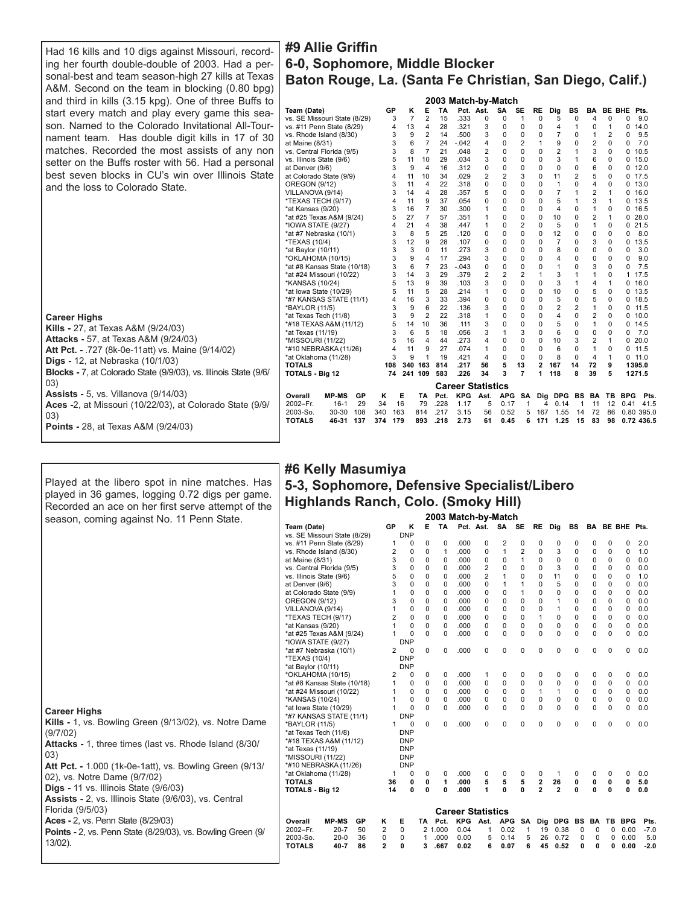Had 16 kills and 10 digs against Missouri, recording her fourth double-double of 2003. Had a personal-best and team season-high 27 kills at Texas A&M. Second on the team in blocking (0.80 bpg) and third in kills (3.15 kpg). One of three Buffs to start every match and play every game this season. Named to the Colorado Invitational All-Tournament team. Has double digit kills in 17 of 30 matches. Recorded the most assists of any non setter on the Buffs roster with 56. Had a personal best seven blocks in CU's win over Illinois State and the loss to Colorado State.

# **Career Highs**

**Kills -** 27, at Texas A&M (9/24/03) **Attacks -** 57, at Texas A&M (9/24/03) **Att Pct. -** .727 (8k-0e-11att) vs. Maine (9/14/02) **Digs -** 12, at Nebraska (10/1/03) **Blocks -** 7, at Colorado State (9/9/03), vs. Illinois State (9/6/ 03) **Assists -** 5, vs. Villanova (9/14/03) **Aces -**2, at Missouri (10/22/03), at Colorado State (9/9/ 03) **Points -** 28, at Texas A&M (9/24/03)

Played at the libero spot in nine matches. Has played in 36 games, logging 0.72 digs per game.

| #9 Allie Griffin                                         |
|----------------------------------------------------------|
| 6-0, Sophomore, Middle Blocker                           |
| Baton Rouge, La. (Santa Fe Christian, San Diego, Calif.) |
| <b>OOOO Metal his Metale</b>                             |

|                               |     |                |                |           | zuus malun-ny            |                | וויומנטו       |                |                |                |                |                |               |            |            |  |
|-------------------------------|-----|----------------|----------------|-----------|--------------------------|----------------|----------------|----------------|----------------|----------------|----------------|----------------|---------------|------------|------------|--|
| Team (Date)                   | GP  | κ              | Е              | <b>TA</b> | Pct. Ast.                |                | <b>SA</b>      | <b>SE</b>      | <b>RE</b>      | Dig            | <b>BS</b>      | BA             | <b>BE BHE</b> |            | Pts.       |  |
| vs. SE Missouri State (8/29)  | 3   | $\overline{7}$ | $\overline{2}$ | 15        | .333                     | 0              | 0              | 1              | 0              | 5              | $\mathbf 0$    | 4              | 0             | 0          | 9.0        |  |
| vs. #11 Penn State (8/29)     | 4   | 13             | 4              | 28        | .321                     | 3              | 0              | 0              | $\Omega$       | 4              | 1              | $\Omega$       | 1             | 0          | 14.0       |  |
| vs. Rhode Island (8/30)       | 3   | 9              | $\overline{2}$ | 14        | .500                     | 3              | $\Omega$       | 0              | $\Omega$       | $\overline{7}$ | $\Omega$       | 1              | 2             | 0          | 9.5        |  |
| at Maine (8/31)               | 3   | 6              | 7              | 24        | $-.042$                  | 4              | $\Omega$       | $\overline{2}$ | 1              | 9              | $\Omega$       | $\overline{2}$ | $\Omega$      | 0          | 7.0        |  |
| vs. Central Florida (9/5)     | 3   | 8              | 7              | 21        | .048                     | $\overline{2}$ | $\Omega$       | $\Omega$       | $\Omega$       | $\overline{2}$ | 1              | 3              | $\Omega$      | 0          | 10.5       |  |
| vs. Illinois State (9/6)      | 5   | 11             | 10             | 29        | .034                     | 3              | $\mathbf 0$    | 0              | $\Omega$       | 3              | 1              | 6              | 0             | 0          | 15.0       |  |
| at Denver (9/6)               | 3   | 9              | 4              | 16        | .312                     | 0              | $\Omega$       | $\Omega$       | $\Omega$       | $\Omega$       | $\Omega$       | 6              | 0             | 0          | 12.0       |  |
| at Colorado State (9/9)       | 4   | 11             | 10             | 34        | .029                     | $\overline{c}$ | $\overline{2}$ | 3              | $\Omega$       | 11             | $\overline{2}$ | 5              | 0             | 0          | 17.5       |  |
| OREGON (9/12)                 | 3   | 11             | 4              | 22        | .318                     | $\Omega$       | $\Omega$       | $\Omega$       | $\Omega$       | 1              | $\Omega$       | 4              | 0             | 0          | 13.0       |  |
| VILLANOVA (9/14)              | 3   | 14             | 4              | 28        | .357                     | 5              | $\mathbf 0$    | 0              | $\Omega$       | $\overline{7}$ | 1              | $\overline{2}$ | 1             | 0          | 16.0       |  |
| *TEXAS TECH (9/17)            | 4   | 11             | 9              | 37        | .054                     | 0              | $\Omega$       | $\mathbf 0$    | $\Omega$       | 5              | 1              | 3              | 1             | 0          | 13.5       |  |
| *at Kansas (9/20)             | 3   | 16             | 7              | 30        | .300                     | 1              | $\Omega$       | $\mathbf 0$    | $\Omega$       | 4              | $\Omega$       | 1              | $\Omega$      | 0          | 16.5       |  |
| *at #25 Texas A&M (9/24)      | 5   | 27             | 7              | 57        | .351                     | 1              | $\Omega$       | $\Omega$       | $\Omega$       | 10             | $\Omega$       | $\overline{2}$ | 1             | 0          | 28.0       |  |
| *IOWA STATE (9/27)            | 4   | 21             | 4              | 38        | .447                     | 1              | 0              | $\overline{2}$ | 0              | 5              | $\Omega$       | 1              | 0             | 0          | 21.5       |  |
| *at #7 Nebraska (10/1)        | 3   | 8              | 5              | 25        | .120                     | $\Omega$       | $\Omega$       | $\Omega$       | $\Omega$       | 12             | $\Omega$       | $\Omega$       | 0             | 0          | 8.0        |  |
| *TEXAS (10/4)                 | 3   | 12             | 9              | 28        | .107                     | 0              | $\Omega$       | $\Omega$       | $\Omega$       | $\overline{7}$ | $\Omega$       | 3              | 0             | 0          | 13.5       |  |
| *at Baylor (10/11)            | 3   | 3              | $\Omega$       | 11        | .273                     | 3              | $\Omega$       | $\Omega$       | $\Omega$       | 8              | $\Omega$       | $\Omega$       | $\Omega$      | 0          | 3.0        |  |
| *OKLAHOMA (10/15)             | 3   | 9              | 4              | 17        | .294                     | 3              | 0              | 0              | 0              | 4              | 0              | 0              | $\Omega$      | 0          | 9.0        |  |
| *at #8 Kansas State (10/18)   | 3   | 6              | $\overline{7}$ | 23        | $-.043$                  | 0              | 0              | 0              | 0              | 1              | $\Omega$       | 3              | $\Omega$      | 0          | 7.5        |  |
| *at #24 Missouri (10/22)      | 3   | 14             | 3              | 29        | .379                     | $\overline{2}$ | 2              | $\overline{2}$ | 1              | 3              | 1              | 1              | 0             | 1          | 17.5       |  |
| *KANSAS (10/24)               | 5   | 13             | 9              | 39        | .103                     | 3              | $\mathbf 0$    | $\mathbf 0$    | $\Omega$       | 3              | 1              | 4              | 1             | 0          | 16.0       |  |
| *at lowa State (10/29)        | 5   | 11             | 5              | 28        | .214                     | 1              | $\Omega$       | 0              | $\Omega$       | 10             | $\Omega$       | 5              | 0             | 0          | 13.5       |  |
| *#7 KANSAS STATE (11/1)       | 4   | 16             | 3              | 33        | .394                     | 0              | 0              | $\mathbf 0$    | $\Omega$       | 5              | 0              | 5              | $\Omega$      | 0          | 18.5       |  |
| *BAYLOR (11/5)                | 3   | 9              | 6              | 22        | .136                     | 3              | $\Omega$       | $\Omega$       | $\Omega$       | $\overline{2}$ | $\overline{2}$ | 1              | 0             | 0          | 11.5       |  |
| *at Texas Tech (11/8)         | 3   | 9              | 2              | 22        | .318                     | 1              | $\Omega$       | $\Omega$       | $\Omega$       | 4              | $\Omega$       | $\overline{2}$ | 0             | 0          | 10.0       |  |
| *#18 TEXAS A&M (11/12)        | 5   | 14             | 10             | 36        | .111                     | 3              | $\mathbf 0$    | $\mathbf 0$    | $\Omega$       | 5              | 0              | 1              | 0             | 0          | 14.5       |  |
| *at Texas (11/19)             | 3   | 6              | 5              | 18        | .056                     | 3              | 1              | 3              | $\Omega$       | 6              | 0              | $\Omega$       | 0             | 0          | 7.0        |  |
| *MISSOURI (11/22)             | 5   | 16             | 4              | 44        | .273                     | 4              | $\Omega$       | $\Omega$       | $\Omega$       | 10             | 3              | $\overline{2}$ | 1             | 0          | 20.0       |  |
| *#10 NEBRASKA (11/26)         | 4   | 11             | 9              | 27        | .074                     | 1              | $\Omega$       | $\mathbf 0$    | $\Omega$       | 6              | $\Omega$       | 1              | 0             | 0          | 11.5       |  |
| *at Oklahoma (11/28)          | 3   | 9              | 1              | 19        | .421                     | 4              | $\Omega$       | $\Omega$       | $\Omega$       | 8              | $\Omega$       | $\overline{4}$ | 1             | 0          | 11.0       |  |
| <b>TOTALS</b>                 | 108 | 340 163        |                | 814       | .217                     | 56             | 5              | 13             | $\overline{2}$ | 167            | 14             | 72             | 9             |            | 1395.0     |  |
| <b>TOTALS - Big 12</b>        | 74  | 241 109        |                | 583       | .226                     | 34             | 3              | 7              | 1              | 118            | 8              | 39             | 5             |            | 1271.5     |  |
|                               |     |                |                |           | <b>Career Statistics</b> |                |                |                |                |                |                |                |               |            |            |  |
| <b>MP-MS</b><br>GP<br>Overall | κ   | Е              | TA             | Pct.      | <b>KPG</b>               | Ast.           | <b>APG</b>     | <b>SA</b>      | Dig            | <b>DPG</b>     | <b>BS</b>      | BA             | TB.           | <b>BPG</b> | Pts.       |  |
| 2002-Fr.<br>29<br>$16 - 1$    | 34  | 16             | 79             | .228      | 1.17                     | 5              | 0.17           | 1              | 4              | 0.14           | 1              | 11             | 12            | 0.41       | 41.5       |  |
| 2003-So.<br>30-30<br>108      | 340 | 163            | 814            | .217      | 3.15                     | 56             | 0.52           | 5              | 167            | 1.55           | 14             | 72             | 86            |            | 0.80 395.0 |  |
| <b>TOTALS</b><br>137<br>46-31 | 374 | 179            | 893            | .218      | 2.73                     | 61             | 0.45           | 6              | 171            | 1.25           | 15             | 83             | 98            |            | 0.72 436.5 |  |
|                               |     |                |                |           |                          |                |                |                |                |                |                |                |               |            |            |  |

| #6 Kelly Masumiya                           |
|---------------------------------------------|
| 5-3, Sophomore, Defensive Specialist/Libero |
| Highlands Ranch, Colo. (Smoky Hill)         |
|                                             |

| Team (Date)   |                                                                                                                                                                                                                                        |                                                                                                                                                                                                                                                                                                                                                                                                                                                                                                                                                                                                                                |                                   |                                                                                                                                                                                                                                              |                                                                                                                                                                               |                                                                                                                                                                                                                                        |                                                                                                                                                                                      |                                                                                                                                                                       |                                                                                                                                                                                 |                                                                                                                                                                                                                                                                     |                                                                                                                                                                                                                                           |                                                                                                                                                           |                                                                                                                                                                                                          |                                                                                                                                                                                                 |                                                                                                                                                                                                                                                      |                                                                                                                                                                                      |
|---------------|----------------------------------------------------------------------------------------------------------------------------------------------------------------------------------------------------------------------------------------|--------------------------------------------------------------------------------------------------------------------------------------------------------------------------------------------------------------------------------------------------------------------------------------------------------------------------------------------------------------------------------------------------------------------------------------------------------------------------------------------------------------------------------------------------------------------------------------------------------------------------------|-----------------------------------|----------------------------------------------------------------------------------------------------------------------------------------------------------------------------------------------------------------------------------------------|-------------------------------------------------------------------------------------------------------------------------------------------------------------------------------|----------------------------------------------------------------------------------------------------------------------------------------------------------------------------------------------------------------------------------------|--------------------------------------------------------------------------------------------------------------------------------------------------------------------------------------|-----------------------------------------------------------------------------------------------------------------------------------------------------------------------|---------------------------------------------------------------------------------------------------------------------------------------------------------------------------------|---------------------------------------------------------------------------------------------------------------------------------------------------------------------------------------------------------------------------------------------------------------------|-------------------------------------------------------------------------------------------------------------------------------------------------------------------------------------------------------------------------------------------|-----------------------------------------------------------------------------------------------------------------------------------------------------------|----------------------------------------------------------------------------------------------------------------------------------------------------------------------------------------------------------|-------------------------------------------------------------------------------------------------------------------------------------------------------------------------------------------------|------------------------------------------------------------------------------------------------------------------------------------------------------------------------------------------------------------------------------------------------------|--------------------------------------------------------------------------------------------------------------------------------------------------------------------------------------|
|               |                                                                                                                                                                                                                                        |                                                                                                                                                                                                                                                                                                                                                                                                                                                                                                                                                                                                                                |                                   |                                                                                                                                                                                                                                              |                                                                                                                                                                               | 2003 Match-by-Match                                                                                                                                                                                                                    |                                                                                                                                                                                      |                                                                                                                                                                       |                                                                                                                                                                                 |                                                                                                                                                                                                                                                                     |                                                                                                                                                                                                                                           |                                                                                                                                                           |                                                                                                                                                                                                          |                                                                                                                                                                                                 |                                                                                                                                                                                                                                                      |                                                                                                                                                                                      |
|               |                                                                                                                                                                                                                                        | GP                                                                                                                                                                                                                                                                                                                                                                                                                                                                                                                                                                                                                             | κ                                 |                                                                                                                                                                                                                                              |                                                                                                                                                                               | E TA Pct. Ast. SA SE                                                                                                                                                                                                                   |                                                                                                                                                                                      |                                                                                                                                                                       |                                                                                                                                                                                 |                                                                                                                                                                                                                                                                     | RE Dig                                                                                                                                                                                                                                    | BS                                                                                                                                                        |                                                                                                                                                                                                          |                                                                                                                                                                                                 | BA BE BHE Pts.                                                                                                                                                                                                                                       |                                                                                                                                                                                      |
|               |                                                                                                                                                                                                                                        |                                                                                                                                                                                                                                                                                                                                                                                                                                                                                                                                                                                                                                | 0                                 | 0                                                                                                                                                                                                                                            | 0                                                                                                                                                                             | .000                                                                                                                                                                                                                                   | 0                                                                                                                                                                                    |                                                                                                                                                                       | 0                                                                                                                                                                               | 0                                                                                                                                                                                                                                                                   | O                                                                                                                                                                                                                                         |                                                                                                                                                           |                                                                                                                                                                                                          | $\Omega$                                                                                                                                                                                        | 0                                                                                                                                                                                                                                                    | 2.0                                                                                                                                                                                  |
|               |                                                                                                                                                                                                                                        | 2                                                                                                                                                                                                                                                                                                                                                                                                                                                                                                                                                                                                                              | 0                                 | $\Omega$                                                                                                                                                                                                                                     |                                                                                                                                                                               |                                                                                                                                                                                                                                        |                                                                                                                                                                                      | 1                                                                                                                                                                     |                                                                                                                                                                                 |                                                                                                                                                                                                                                                                     |                                                                                                                                                                                                                                           |                                                                                                                                                           |                                                                                                                                                                                                          |                                                                                                                                                                                                 | $\Omega$                                                                                                                                                                                                                                             | 1.0                                                                                                                                                                                  |
|               |                                                                                                                                                                                                                                        |                                                                                                                                                                                                                                                                                                                                                                                                                                                                                                                                                                                                                                | 0                                 | $\mathbf 0$                                                                                                                                                                                                                                  |                                                                                                                                                                               |                                                                                                                                                                                                                                        |                                                                                                                                                                                      |                                                                                                                                                                       |                                                                                                                                                                                 |                                                                                                                                                                                                                                                                     |                                                                                                                                                                                                                                           |                                                                                                                                                           |                                                                                                                                                                                                          |                                                                                                                                                                                                 | $\Omega$                                                                                                                                                                                                                                             | 0.0                                                                                                                                                                                  |
|               |                                                                                                                                                                                                                                        |                                                                                                                                                                                                                                                                                                                                                                                                                                                                                                                                                                                                                                | 0                                 | $\Omega$                                                                                                                                                                                                                                     | $\Omega$                                                                                                                                                                      |                                                                                                                                                                                                                                        |                                                                                                                                                                                      | 0                                                                                                                                                                     | 0                                                                                                                                                                               | 0                                                                                                                                                                                                                                                                   | 3                                                                                                                                                                                                                                         | 0                                                                                                                                                         | 0                                                                                                                                                                                                        | 0                                                                                                                                                                                               | $\Omega$                                                                                                                                                                                                                                             | 0.0                                                                                                                                                                                  |
|               |                                                                                                                                                                                                                                        |                                                                                                                                                                                                                                                                                                                                                                                                                                                                                                                                                                                                                                |                                   |                                                                                                                                                                                                                                              |                                                                                                                                                                               |                                                                                                                                                                                                                                        |                                                                                                                                                                                      |                                                                                                                                                                       | 0                                                                                                                                                                               |                                                                                                                                                                                                                                                                     |                                                                                                                                                                                                                                           |                                                                                                                                                           |                                                                                                                                                                                                          |                                                                                                                                                                                                 | 0                                                                                                                                                                                                                                                    | 1.0                                                                                                                                                                                  |
|               |                                                                                                                                                                                                                                        |                                                                                                                                                                                                                                                                                                                                                                                                                                                                                                                                                                                                                                |                                   |                                                                                                                                                                                                                                              |                                                                                                                                                                               |                                                                                                                                                                                                                                        |                                                                                                                                                                                      |                                                                                                                                                                       |                                                                                                                                                                                 |                                                                                                                                                                                                                                                                     |                                                                                                                                                                                                                                           |                                                                                                                                                           |                                                                                                                                                                                                          |                                                                                                                                                                                                 |                                                                                                                                                                                                                                                      | 0.0                                                                                                                                                                                  |
|               |                                                                                                                                                                                                                                        |                                                                                                                                                                                                                                                                                                                                                                                                                                                                                                                                                                                                                                |                                   |                                                                                                                                                                                                                                              |                                                                                                                                                                               |                                                                                                                                                                                                                                        |                                                                                                                                                                                      |                                                                                                                                                                       |                                                                                                                                                                                 |                                                                                                                                                                                                                                                                     |                                                                                                                                                                                                                                           |                                                                                                                                                           |                                                                                                                                                                                                          |                                                                                                                                                                                                 |                                                                                                                                                                                                                                                      | 0.0                                                                                                                                                                                  |
|               |                                                                                                                                                                                                                                        |                                                                                                                                                                                                                                                                                                                                                                                                                                                                                                                                                                                                                                |                                   |                                                                                                                                                                                                                                              |                                                                                                                                                                               |                                                                                                                                                                                                                                        |                                                                                                                                                                                      |                                                                                                                                                                       |                                                                                                                                                                                 |                                                                                                                                                                                                                                                                     |                                                                                                                                                                                                                                           |                                                                                                                                                           |                                                                                                                                                                                                          |                                                                                                                                                                                                 |                                                                                                                                                                                                                                                      | 0.0                                                                                                                                                                                  |
|               |                                                                                                                                                                                                                                        |                                                                                                                                                                                                                                                                                                                                                                                                                                                                                                                                                                                                                                |                                   |                                                                                                                                                                                                                                              |                                                                                                                                                                               |                                                                                                                                                                                                                                        |                                                                                                                                                                                      |                                                                                                                                                                       |                                                                                                                                                                                 |                                                                                                                                                                                                                                                                     |                                                                                                                                                                                                                                           |                                                                                                                                                           |                                                                                                                                                                                                          |                                                                                                                                                                                                 |                                                                                                                                                                                                                                                      | 0.0                                                                                                                                                                                  |
|               |                                                                                                                                                                                                                                        |                                                                                                                                                                                                                                                                                                                                                                                                                                                                                                                                                                                                                                |                                   |                                                                                                                                                                                                                                              |                                                                                                                                                                               |                                                                                                                                                                                                                                        |                                                                                                                                                                                      |                                                                                                                                                                       |                                                                                                                                                                                 |                                                                                                                                                                                                                                                                     |                                                                                                                                                                                                                                           |                                                                                                                                                           |                                                                                                                                                                                                          |                                                                                                                                                                                                 |                                                                                                                                                                                                                                                      | 0.0                                                                                                                                                                                  |
|               |                                                                                                                                                                                                                                        |                                                                                                                                                                                                                                                                                                                                                                                                                                                                                                                                                                                                                                |                                   |                                                                                                                                                                                                                                              |                                                                                                                                                                               |                                                                                                                                                                                                                                        |                                                                                                                                                                                      |                                                                                                                                                                       |                                                                                                                                                                                 |                                                                                                                                                                                                                                                                     |                                                                                                                                                                                                                                           |                                                                                                                                                           |                                                                                                                                                                                                          |                                                                                                                                                                                                 |                                                                                                                                                                                                                                                      | 0.0                                                                                                                                                                                  |
|               |                                                                                                                                                                                                                                        |                                                                                                                                                                                                                                                                                                                                                                                                                                                                                                                                                                                                                                |                                   |                                                                                                                                                                                                                                              |                                                                                                                                                                               |                                                                                                                                                                                                                                        |                                                                                                                                                                                      |                                                                                                                                                                       |                                                                                                                                                                                 |                                                                                                                                                                                                                                                                     |                                                                                                                                                                                                                                           |                                                                                                                                                           |                                                                                                                                                                                                          |                                                                                                                                                                                                 |                                                                                                                                                                                                                                                      | 0.0                                                                                                                                                                                  |
| *TEXAS (10/4) |                                                                                                                                                                                                                                        |                                                                                                                                                                                                                                                                                                                                                                                                                                                                                                                                                                                                                                |                                   |                                                                                                                                                                                                                                              |                                                                                                                                                                               |                                                                                                                                                                                                                                        |                                                                                                                                                                                      |                                                                                                                                                                       |                                                                                                                                                                                 |                                                                                                                                                                                                                                                                     |                                                                                                                                                                                                                                           |                                                                                                                                                           |                                                                                                                                                                                                          |                                                                                                                                                                                                 |                                                                                                                                                                                                                                                      | 0.0                                                                                                                                                                                  |
|               |                                                                                                                                                                                                                                        |                                                                                                                                                                                                                                                                                                                                                                                                                                                                                                                                                                                                                                |                                   |                                                                                                                                                                                                                                              |                                                                                                                                                                               |                                                                                                                                                                                                                                        |                                                                                                                                                                                      |                                                                                                                                                                       |                                                                                                                                                                                 |                                                                                                                                                                                                                                                                     |                                                                                                                                                                                                                                           |                                                                                                                                                           |                                                                                                                                                                                                          |                                                                                                                                                                                                 |                                                                                                                                                                                                                                                      |                                                                                                                                                                                      |
|               |                                                                                                                                                                                                                                        |                                                                                                                                                                                                                                                                                                                                                                                                                                                                                                                                                                                                                                |                                   |                                                                                                                                                                                                                                              |                                                                                                                                                                               |                                                                                                                                                                                                                                        |                                                                                                                                                                                      |                                                                                                                                                                       |                                                                                                                                                                                 |                                                                                                                                                                                                                                                                     |                                                                                                                                                                                                                                           |                                                                                                                                                           |                                                                                                                                                                                                          |                                                                                                                                                                                                 |                                                                                                                                                                                                                                                      | 0.0                                                                                                                                                                                  |
|               |                                                                                                                                                                                                                                        |                                                                                                                                                                                                                                                                                                                                                                                                                                                                                                                                                                                                                                |                                   |                                                                                                                                                                                                                                              |                                                                                                                                                                               |                                                                                                                                                                                                                                        |                                                                                                                                                                                      |                                                                                                                                                                       |                                                                                                                                                                                 |                                                                                                                                                                                                                                                                     |                                                                                                                                                                                                                                           |                                                                                                                                                           |                                                                                                                                                                                                          |                                                                                                                                                                                                 |                                                                                                                                                                                                                                                      | 0.0                                                                                                                                                                                  |
|               |                                                                                                                                                                                                                                        |                                                                                                                                                                                                                                                                                                                                                                                                                                                                                                                                                                                                                                |                                   |                                                                                                                                                                                                                                              |                                                                                                                                                                               |                                                                                                                                                                                                                                        |                                                                                                                                                                                      |                                                                                                                                                                       |                                                                                                                                                                                 |                                                                                                                                                                                                                                                                     |                                                                                                                                                                                                                                           |                                                                                                                                                           |                                                                                                                                                                                                          |                                                                                                                                                                                                 |                                                                                                                                                                                                                                                      | 0.0                                                                                                                                                                                  |
|               |                                                                                                                                                                                                                                        |                                                                                                                                                                                                                                                                                                                                                                                                                                                                                                                                                                                                                                |                                   |                                                                                                                                                                                                                                              |                                                                                                                                                                               |                                                                                                                                                                                                                                        |                                                                                                                                                                                      |                                                                                                                                                                       |                                                                                                                                                                                 |                                                                                                                                                                                                                                                                     |                                                                                                                                                                                                                                           |                                                                                                                                                           |                                                                                                                                                                                                          |                                                                                                                                                                                                 |                                                                                                                                                                                                                                                      | 0.0                                                                                                                                                                                  |
|               |                                                                                                                                                                                                                                        |                                                                                                                                                                                                                                                                                                                                                                                                                                                                                                                                                                                                                                |                                   |                                                                                                                                                                                                                                              |                                                                                                                                                                               |                                                                                                                                                                                                                                        |                                                                                                                                                                                      |                                                                                                                                                                       |                                                                                                                                                                                 |                                                                                                                                                                                                                                                                     |                                                                                                                                                                                                                                           |                                                                                                                                                           |                                                                                                                                                                                                          |                                                                                                                                                                                                 |                                                                                                                                                                                                                                                      | 0.0                                                                                                                                                                                  |
|               |                                                                                                                                                                                                                                        |                                                                                                                                                                                                                                                                                                                                                                                                                                                                                                                                                                                                                                |                                   |                                                                                                                                                                                                                                              |                                                                                                                                                                               |                                                                                                                                                                                                                                        |                                                                                                                                                                                      |                                                                                                                                                                       |                                                                                                                                                                                 |                                                                                                                                                                                                                                                                     |                                                                                                                                                                                                                                           |                                                                                                                                                           |                                                                                                                                                                                                          |                                                                                                                                                                                                 |                                                                                                                                                                                                                                                      |                                                                                                                                                                                      |
|               |                                                                                                                                                                                                                                        |                                                                                                                                                                                                                                                                                                                                                                                                                                                                                                                                                                                                                                |                                   |                                                                                                                                                                                                                                              |                                                                                                                                                                               |                                                                                                                                                                                                                                        |                                                                                                                                                                                      |                                                                                                                                                                       |                                                                                                                                                                                 |                                                                                                                                                                                                                                                                     |                                                                                                                                                                                                                                           |                                                                                                                                                           |                                                                                                                                                                                                          |                                                                                                                                                                                                 |                                                                                                                                                                                                                                                      | 0.0                                                                                                                                                                                  |
|               |                                                                                                                                                                                                                                        |                                                                                                                                                                                                                                                                                                                                                                                                                                                                                                                                                                                                                                |                                   |                                                                                                                                                                                                                                              |                                                                                                                                                                               |                                                                                                                                                                                                                                        |                                                                                                                                                                                      |                                                                                                                                                                       |                                                                                                                                                                                 |                                                                                                                                                                                                                                                                     |                                                                                                                                                                                                                                           |                                                                                                                                                           |                                                                                                                                                                                                          |                                                                                                                                                                                                 |                                                                                                                                                                                                                                                      |                                                                                                                                                                                      |
|               |                                                                                                                                                                                                                                        |                                                                                                                                                                                                                                                                                                                                                                                                                                                                                                                                                                                                                                |                                   |                                                                                                                                                                                                                                              |                                                                                                                                                                               |                                                                                                                                                                                                                                        |                                                                                                                                                                                      |                                                                                                                                                                       |                                                                                                                                                                                 |                                                                                                                                                                                                                                                                     |                                                                                                                                                                                                                                           |                                                                                                                                                           |                                                                                                                                                                                                          |                                                                                                                                                                                                 |                                                                                                                                                                                                                                                      |                                                                                                                                                                                      |
|               |                                                                                                                                                                                                                                        |                                                                                                                                                                                                                                                                                                                                                                                                                                                                                                                                                                                                                                |                                   |                                                                                                                                                                                                                                              |                                                                                                                                                                               |                                                                                                                                                                                                                                        |                                                                                                                                                                                      |                                                                                                                                                                       |                                                                                                                                                                                 |                                                                                                                                                                                                                                                                     |                                                                                                                                                                                                                                           |                                                                                                                                                           |                                                                                                                                                                                                          |                                                                                                                                                                                                 |                                                                                                                                                                                                                                                      |                                                                                                                                                                                      |
|               |                                                                                                                                                                                                                                        |                                                                                                                                                                                                                                                                                                                                                                                                                                                                                                                                                                                                                                |                                   |                                                                                                                                                                                                                                              |                                                                                                                                                                               |                                                                                                                                                                                                                                        |                                                                                                                                                                                      |                                                                                                                                                                       |                                                                                                                                                                                 |                                                                                                                                                                                                                                                                     |                                                                                                                                                                                                                                           |                                                                                                                                                           |                                                                                                                                                                                                          |                                                                                                                                                                                                 |                                                                                                                                                                                                                                                      |                                                                                                                                                                                      |
|               |                                                                                                                                                                                                                                        |                                                                                                                                                                                                                                                                                                                                                                                                                                                                                                                                                                                                                                |                                   |                                                                                                                                                                                                                                              |                                                                                                                                                                               |                                                                                                                                                                                                                                        |                                                                                                                                                                                      |                                                                                                                                                                       |                                                                                                                                                                                 |                                                                                                                                                                                                                                                                     |                                                                                                                                                                                                                                           |                                                                                                                                                           |                                                                                                                                                                                                          |                                                                                                                                                                                                 |                                                                                                                                                                                                                                                      | 0.0                                                                                                                                                                                  |
|               |                                                                                                                                                                                                                                        |                                                                                                                                                                                                                                                                                                                                                                                                                                                                                                                                                                                                                                |                                   |                                                                                                                                                                                                                                              |                                                                                                                                                                               |                                                                                                                                                                                                                                        |                                                                                                                                                                                      |                                                                                                                                                                       |                                                                                                                                                                                 |                                                                                                                                                                                                                                                                     |                                                                                                                                                                                                                                           |                                                                                                                                                           |                                                                                                                                                                                                          |                                                                                                                                                                                                 |                                                                                                                                                                                                                                                      | 5.0                                                                                                                                                                                  |
|               |                                                                                                                                                                                                                                        |                                                                                                                                                                                                                                                                                                                                                                                                                                                                                                                                                                                                                                |                                   |                                                                                                                                                                                                                                              |                                                                                                                                                                               |                                                                                                                                                                                                                                        |                                                                                                                                                                                      |                                                                                                                                                                       |                                                                                                                                                                                 |                                                                                                                                                                                                                                                                     |                                                                                                                                                                                                                                           |                                                                                                                                                           |                                                                                                                                                                                                          |                                                                                                                                                                                                 |                                                                                                                                                                                                                                                      | 0.0                                                                                                                                                                                  |
|               |                                                                                                                                                                                                                                        |                                                                                                                                                                                                                                                                                                                                                                                                                                                                                                                                                                                                                                |                                   |                                                                                                                                                                                                                                              |                                                                                                                                                                               |                                                                                                                                                                                                                                        |                                                                                                                                                                                      |                                                                                                                                                                       |                                                                                                                                                                                 |                                                                                                                                                                                                                                                                     |                                                                                                                                                                                                                                           |                                                                                                                                                           |                                                                                                                                                                                                          |                                                                                                                                                                                                 |                                                                                                                                                                                                                                                      |                                                                                                                                                                                      |
|               |                                                                                                                                                                                                                                        |                                                                                                                                                                                                                                                                                                                                                                                                                                                                                                                                                                                                                                |                                   |                                                                                                                                                                                                                                              |                                                                                                                                                                               |                                                                                                                                                                                                                                        |                                                                                                                                                                                      |                                                                                                                                                                       |                                                                                                                                                                                 |                                                                                                                                                                                                                                                                     |                                                                                                                                                                                                                                           |                                                                                                                                                           |                                                                                                                                                                                                          |                                                                                                                                                                                                 |                                                                                                                                                                                                                                                      |                                                                                                                                                                                      |
|               |                                                                                                                                                                                                                                        |                                                                                                                                                                                                                                                                                                                                                                                                                                                                                                                                                                                                                                |                                   |                                                                                                                                                                                                                                              |                                                                                                                                                                               |                                                                                                                                                                                                                                        |                                                                                                                                                                                      |                                                                                                                                                                       |                                                                                                                                                                                 |                                                                                                                                                                                                                                                                     |                                                                                                                                                                                                                                           |                                                                                                                                                           |                                                                                                                                                                                                          |                                                                                                                                                                                                 |                                                                                                                                                                                                                                                      |                                                                                                                                                                                      |
|               |                                                                                                                                                                                                                                        |                                                                                                                                                                                                                                                                                                                                                                                                                                                                                                                                                                                                                                |                                   |                                                                                                                                                                                                                                              |                                                                                                                                                                               |                                                                                                                                                                                                                                        |                                                                                                                                                                                      |                                                                                                                                                                       |                                                                                                                                                                                 |                                                                                                                                                                                                                                                                     |                                                                                                                                                                                                                                           |                                                                                                                                                           |                                                                                                                                                                                                          |                                                                                                                                                                                                 |                                                                                                                                                                                                                                                      | $-7.0$                                                                                                                                                                               |
|               |                                                                                                                                                                                                                                        |                                                                                                                                                                                                                                                                                                                                                                                                                                                                                                                                                                                                                                | 0                                 | 1                                                                                                                                                                                                                                            |                                                                                                                                                                               |                                                                                                                                                                                                                                        |                                                                                                                                                                                      |                                                                                                                                                                       |                                                                                                                                                                                 |                                                                                                                                                                                                                                                                     |                                                                                                                                                                                                                                           |                                                                                                                                                           |                                                                                                                                                                                                          |                                                                                                                                                                                                 |                                                                                                                                                                                                                                                      | 5.0                                                                                                                                                                                  |
| <b>TOTALS</b> | 86                                                                                                                                                                                                                                     | $\overline{2}$                                                                                                                                                                                                                                                                                                                                                                                                                                                                                                                                                                                                                 | 0                                 |                                                                                                                                                                                                                                              |                                                                                                                                                                               | 0.02                                                                                                                                                                                                                                   | 6                                                                                                                                                                                    |                                                                                                                                                                       | 6                                                                                                                                                                               |                                                                                                                                                                                                                                                                     |                                                                                                                                                                                                                                           |                                                                                                                                                           | 0                                                                                                                                                                                                        | 0                                                                                                                                                                                               |                                                                                                                                                                                                                                                      | $-2.0$                                                                                                                                                                               |
|               | at Maine (8/31)<br>at Denver (9/6)<br>OREGON (9/12)<br>*at Kansas (9/20)<br>*at Baylor (10/11)<br>*KANSAS (10/24)<br>*BAYLOR (11/5)<br>*at Texas (11/19)<br><b>TOTALS</b><br><b>TOTALS - Big 12</b><br>Overall<br>2002-Fr.<br>2003-So. | vs. SE Missouri State (8/29)<br>vs. #11 Penn State (8/29)<br>vs. Rhode Island (8/30)<br>vs. Central Florida (9/5)<br>vs. Illinois State (9/6)<br>at Colorado State (9/9)<br>VILLANOVA (9/14)<br>*TEXAS TECH (9/17)<br>*at #25 Texas A&M (9/24)<br>*IOWA STATE (9/27)<br>*at #7 Nebraska (10/1)<br>*OKLAHOMA (10/15)<br>*at #8 Kansas State (10/18)<br>*at #24 Missouri (10/22)<br>*at lowa State (10/29)<br>*#7 KANSAS STATE (11/1)<br>*at Texas Tech (11/8)<br>*#18 TEXAS A&M (11/12)<br>*MISSOURI (11/22)<br>*#10 NEBRASKA (11/26)<br>*at Oklahoma (11/28)<br><b>MP-MS</b><br>GP<br>$20 - 7$<br>50<br>$20 - 0$<br>36<br>40-7 | 2<br>2<br>36<br>14<br>κ<br>2<br>0 | <b>DNP</b><br>0<br>0<br>0<br>0<br>0<br>0<br>0<br>0<br><b>DNP</b><br>0<br><b>DNP</b><br><b>DNP</b><br>0<br>0<br>0<br>0<br>0<br><b>DNP</b><br>0<br><b>DNP</b><br><b>DNP</b><br><b>DNP</b><br><b>DNP</b><br><b>DNP</b><br>0<br>0<br>0<br>Е<br>0 | $\Omega$<br>$\Omega$<br>$\mathbf 0$<br>$\Omega$<br>$\Omega$<br>$\Omega$<br>$\Omega$<br>$\Omega$<br>$\Omega$<br>0<br>0<br>n<br>$\Omega$<br>$\Omega$<br>$\Omega$<br>0<br>0<br>0 | $\mathbf{1}$<br>$\Omega$<br>$\Omega$<br>$\Omega$<br>$\Omega$<br>$\Omega$<br>$\Omega$<br>$\Omega$<br>$\Omega$<br>$\Omega$<br>0<br>0<br>0<br>$\mathbf 0$<br>$\Omega$<br>$\Omega$<br>$\Omega$<br>0<br>1<br>0<br>2 1.000<br>.000<br>3 .667 | .000<br>.000<br>.000<br>.000<br>.000<br>.000<br>.000<br>.000<br>.000<br>.000<br>.000<br>.000<br>.000<br>.000<br>.000<br>.000<br>.000<br>.000<br>.000<br>.000<br>.000<br>0.04<br>0.00 | 0<br>0<br>2<br>$\overline{2}$<br>0<br>0<br>$\Omega$<br>0<br>0<br>0<br>$\Omega$<br>$\Omega$<br>1<br>0<br>0<br>0<br>$\Omega$<br>$\Omega$<br>0<br>5<br>$\mathbf{1}$<br>5 | $\mathbf 0$<br>$\Omega$<br>0<br>0<br>$\Omega$<br>0<br><sup>o</sup><br>O<br>0<br>0<br>0<br>0<br>$\Omega$<br>0<br>5<br>$\mathbf{0}$<br><b>Career Statistics</b><br>$\overline{1}$ | $\overline{\mathbf{c}}$<br>$\mathbf{1}$<br>$\mathbf{1}$<br>$\mathbf{1}$<br>0<br>0<br>$\mathbf 0$<br>$\mathbf 0$<br>$\Omega$<br>$\Omega$<br>0<br>$\mathbf 0$<br>$\mathbf 0$<br>0<br>$\Omega$<br>$\Omega$<br>0<br>5<br>0<br>0.02<br>$\mathbf{1}$<br>0.14<br>5<br>0.07 | 0<br>0<br>$\mathbf 0$<br>$\mathbf 0$<br>$\mathbf 0$<br>$\mathbf 0$<br>0<br>$\mathbf{1}$<br>$\mathbf 0$<br>$\Omega$<br>$\Omega$<br>0<br>0<br>$\overline{1}$<br>0<br>$\Omega$<br>$\Omega$<br>0<br>$\overline{\mathbf{2}}$<br>$\overline{2}$ | 3<br>$\mathbf 0$<br>11<br>5<br>0<br>1<br>0<br>0<br>$\Omega$<br>O<br>0<br>$\mathbf 0$<br>1<br>0<br>$\Omega$<br>U<br>26<br>$\overline{2}$<br>19<br>26<br>45 | 0<br>0<br>0<br>$\Omega$<br>0<br>0<br>0<br>0<br>0<br>$\Omega$<br>$\Omega$<br>0<br>$\mathbf 0$<br>0<br>0<br>$\Omega$<br>$\Omega$<br>0<br>0<br>O<br>TA Pct. KPG Ast. APG SA Dig DPG<br>0.38<br>0.72<br>0.52 | 0<br>$\mathbf 0$<br>0<br>0<br>0<br>0<br>$\mathbf 0$<br>$\Omega$<br>0<br>$\Omega$<br>0<br>0<br>$\mathbf 0$<br>$\mathbf 0$<br>0<br>$\Omega$<br>0<br>0<br>$\Omega$<br>BS.<br>0<br>0<br>0<br>0<br>0 | 0<br>$\mathbf 0$<br>$\mathbf 0$<br>$\mathbf 0$<br>$\mathbf 0$<br>$\mathbf 0$<br>$\mathbf 0$<br>$\mathbf 0$<br>$\mathbf 0$<br>$\mathbf 0$<br>$\Omega$<br>0<br>$\mathbf 0$<br>$\mathbf 0$<br>0<br>$\Omega$<br>$\Omega$<br>0<br>0<br>$\mathbf{0}$<br>BA | $\Omega$<br>$\Omega$<br>$\Omega$<br>0<br>$\Omega$<br>0<br>0<br>$\Omega$<br>0<br>0<br>0<br>$\Omega$<br>0<br>$\Omega$<br>0<br>0<br>0<br>TB BPG Pts.<br>$0\quad 0.00$<br>0 0.00<br>0.00 |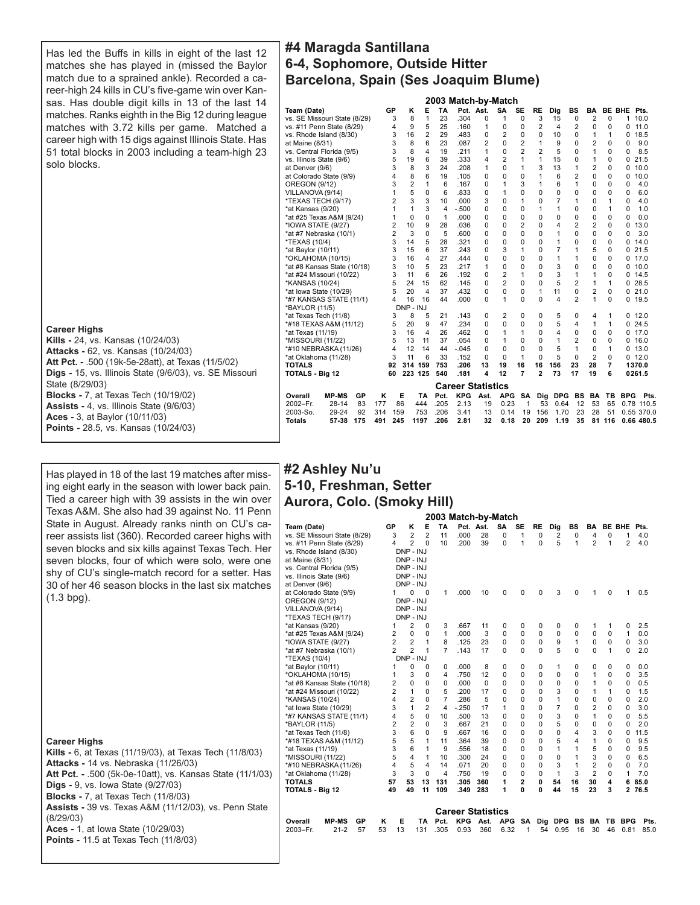Has led the Buffs in kills in eight of the last 12 matches she has played in (missed the Baylor match due to a sprained ankle). Recorded a career-high 24 kills in CU's five-game win over Kansas. Has double digit kills in 13 of the last 14 matches. Ranks eighth in the Big 12 during league matches with 3.72 kills per game. Matched a career high with 15 digs against Illinois State. Has 51 total blocks in 2003 including a team-high 23 solo blocks.

# **Career Highs**

**Kills -** 24, vs. Kansas (10/24/03) **Attacks -** 62, vs. Kansas (10/24/03) **Att Pct. -** .500 (19k-5e-28att), at Texas (11/5/02) **Digs -** 15, vs. Illinois State (9/6/03), vs. SE Missouri State (8/29/03) **Blocks -** 7, at Texas Tech (10/19/02) **Assists -** 4, vs. Illinois State (9/6/03) **Aces -** 3, at Baylor (10/11/03) **Points -** 28.5, vs. Kansas (10/24/03)

# Has played in 18 of the last 19 matches after missing eight early in the season with lower back pain. Tied a career high with 39 assists in the win over Texas A&M. She also had 39 against No. 11 Penn State in August. Already ranks ninth on CU's career assists list (360). Recorded career highs with seven blocks and six kills against Texas Tech. Her seven blocks, four of which were solo, were one shy of CU's single-match record for a setter. Has 30 of her 46 season blocks in the last six matches (1.3 bpg).

# **#4 Maragda Santillana 6-4, Sophomore, Outside Hitter Barcelona, Spain (Ses Joaquim Blume)**

|                               |                |                |                |      | 2003 Match-by-Match      |                |                |                |                |            |                |                |               |            |            |
|-------------------------------|----------------|----------------|----------------|------|--------------------------|----------------|----------------|----------------|----------------|------------|----------------|----------------|---------------|------------|------------|
| Team (Date)                   | GP             | κ              | E              | TA   | Pct. Ast.                |                | SA             | <b>SE</b>      | <b>RE</b>      | Dig        | <b>BS</b>      | BA             | <b>BE BHE</b> |            | Pts.       |
| vs. SE Missouri State (8/29)  | 3              | 8              | 1              | 23   | .304                     | $\Omega$       | 1              | 0              | 3              | 15         | 0              | $\overline{2}$ | 0             | 1          | 10.0       |
| vs. #11 Penn State (8/29)     | 4              | 9              | 5              | 25   | .160                     | 1              | 0              | $\Omega$       | $\overline{2}$ | 4          | $\overline{c}$ | 0              | 0             | 0          | 11.0       |
| vs. Rhode Island (8/30)       | 3              | 16             | $\overline{2}$ | 29   | .483                     | 0              | $\overline{2}$ | 0              | 0              | 10         | $\mathbf 0$    | 1              | 1             | 0          | 18.5       |
| at Maine (8/31)               | 3              | 8              | 6              | 23   | .087                     | $\overline{2}$ | 0              | $\overline{c}$ | 1              | 9          | $\Omega$       | $\overline{2}$ | 0             | 0          | 9.0        |
| vs. Central Florida (9/5)     | 3              | 8              | 4              | 19   | .211                     | 1              | 0              | $\overline{2}$ | $\overline{2}$ | 5          | $\Omega$       | 1              | 0             | 0          | 8.5        |
| vs. Illinois State (9/6)      | 5              | 19             | 6              | 39   | .333                     | 4              | $\overline{2}$ | 1              | 1              | 15         | $\Omega$       | 1              | $\Omega$      | 0          | 21.5       |
| at Denver (9/6)               | 3              | 8              | 3              | 24   | .208                     | 1              | 0              | 1              | 3              | 13         | 1              | $\overline{2}$ | 0             | 0          | 10.0       |
| at Colorado State (9/9)       | 4              | 8              | 6              | 19   | .105                     | $\Omega$       | 0              | 0              | 1              | 6          | $\overline{2}$ | 0              | 0             | 0          | 10.0       |
| <b>OREGON (9/12)</b>          | 3              | $\overline{2}$ | 1              | 6    | .167                     | 0              | 1              | 3              | 1              | 6          | 1              | 0              | 0             | $\Omega$   | 4.0        |
| VILLANOVA (9/14)              | 1              | 5              | $\Omega$       | 6    | .833                     | 0              | 1              | $\Omega$       | $\Omega$       | 0          | $\Omega$       | 0              | 0             | $\Omega$   | 6.0        |
| *TEXAS TECH (9/17)            | $\overline{c}$ | 3              | 3              | 10   | .000                     | 3              | 0              | 1              | $\Omega$       | 7          | 1              | 0              | 1             | $\Omega$   | 4.0        |
| *at Kansas (9/20)             | 1              | 1              | 3              | 4    | $-.500$                  | 0              | 0              | $\Omega$       | 1              | 1          | 0              | 0              | 1             | $\Omega$   | 1.0        |
| *at #25 Texas A&M (9/24)      | 1              | 0              | 0              | 1    | .000                     | 0              | 0              | 0              | 0              | 0          | 0              | 0              | 0             | 0          | 0.0        |
| *IOWA STATE (9/27)            | $\overline{2}$ | 10             | 9              | 28   | .036                     | 0              | 0              | $\overline{2}$ | $\Omega$       | 4          | $\overline{2}$ | $\overline{2}$ | 0             | $\Omega$   | 13.0       |
| *at #7 Nebraska (10/1)        | $\overline{2}$ | 3              | 0              | 5    | .600                     | 0              | 0              | $\Omega$       | 0              | 1          | 0              | 0              | 0             | 0          | 3.0        |
| *TEXAS (10/4)                 | 3              | 14             | 5              | 28   | .321                     | 0              | 0              | 0              | 0              | 1          | 0              | 0              | 0             | 0          | 14.0       |
| *at Baylor (10/11)            | 3              | 15             | 6              | 37   | .243                     | $\Omega$       | 3              | 1              | $\Omega$       | 7          | 1              | 5              | $\Omega$      | 0          | 21.5       |
| *OKLAHOMA (10/15)             | 3              | 16             | 4              | 27   | .444                     | $\Omega$       | 0              | $\Omega$       | $\Omega$       | 1          | 1              | 0              | 0             | 0          | 17.0       |
| *at #8 Kansas State (10/18)   | 3              | 10             | 5              | 23   | .217                     | 1              | 0              | 0              | 0              | 3          | $\mathbf 0$    | 0              | 0             | 0          | 10.0       |
| *at #24 Missouri (10/22)      | 3              | 11             | 6              | 26   | .192                     | $\Omega$       | $\overline{2}$ | 1              | $\Omega$       | 3          | 1              | 1              | $\Omega$      | 0          | 14.5       |
| *KANSAS (10/24)               | 5              | 24             | 15             | 62   | .145                     | $\Omega$       | $\overline{2}$ | $\Omega$       | $\Omega$       | 5          | 2              | 1              | 1             | 0          | 28.5       |
| *at lowa State (10/29)        | 5              | 20             | 4              | 37   | .432                     | 0              | 0              | 0              | 1              | 11         | 0              | $\overline{2}$ | 0             | 0          | 21.0       |
| *#7 KANSAS STATE (11/1)       | 4              | 16             | 16             | 44   | .000                     | $\Omega$       | 1              | $\Omega$       | $\Omega$       | 4          | $\overline{2}$ | 1              | $\Omega$      | 0          | 19.5       |
| *BAYLOR (11/5)                |                | DNP - INJ      |                |      |                          |                |                |                |                |            |                |                |               |            |            |
| *at Texas Tech (11/8)         | 3              | 8              | 5              | 21   | .143                     | 0              | 2              | 0              | $\Omega$       | 5          | 0              | 4              | 1             | 0          | 12.0       |
| *#18 TEXAS A&M (11/12)        | 5              | 20             | 9              | 47   | .234                     | $\Omega$       | 0              | $\Omega$       | $\Omega$       | 5          | 4              | 1              | 1             | 0          | 24.5       |
| *at Texas (11/19)             | 3              | 16             | 4              | 26   | .462                     | $\Omega$       | 1              | 1              | $\Omega$       | 4          | $\Omega$       | 0              | 0             | 0          | 17.0       |
| *MISSOURI (11/22)             | 5              | 13             | 11             | 37   | .054                     | 0              | 1              | 0              | 0              | 1          | $\overline{2}$ | 0              | 0             | 0          | 16.0       |
| *#10 NEBRASKA (11/26)         | 4              | 12             | 14             | 44   | $-.045$                  | 0              | 0              | $\Omega$       | 0              | 5          | 1              | 0              | 1             | 0          | 13.0       |
| *at Oklahoma (11/28)          | 3              | 11             | 6              | 33   | .152                     | $\Omega$       | $\Omega$       | 1              | $\Omega$       | 5          | $\Omega$       | $\overline{2}$ | $\mathbf 0$   | 0          | 12.0       |
| TOTALS                        | 92             | 314 159        |                | 753  | .206                     | 13             | 19             | 16             | 16             | 156        | 23             | 28             | 7             |            | 1370.0     |
| TOTALS - Big 12               | 60             | 223 125        |                | 540  | .181                     | 4              | 12             | $\overline{7}$ | $\overline{2}$ | 73         | 17             | 19             | 6             |            | 0261.5     |
|                               |                |                |                |      | <b>Career Statistics</b> |                |                |                |                |            |                |                |               |            |            |
| Overall<br><b>MP-MS</b><br>GP | Κ              | Е              | TA             | Pct. | <b>KPG</b>               | Ast.           | <b>APG</b>     | <b>SA</b>      | Dig            | <b>DPG</b> | BS             | BA             | ТB            | <b>BPG</b> | Pts.       |
| 2002-Fr.<br>$28 - 14$<br>83   | 177            | 86             | 444            | .205 | 2.13                     | 19             | 0.23           | 1              | 53             | 0.64       | 12             | 53             | 65            |            | 0.78 110.5 |
| 2003-So.<br>92<br>29-24       | 314            | 159            | 753            | .206 | 3.41                     | 13             | 0.14           | 19             | 156            | 1.70       | 23             | 28             | 51            |            | 0.55 370.0 |
| <b>Totals</b><br>57 38<br>175 | 491            | 245            | 1197           | .206 | 2.81                     | 32             | 0.18           | 20             | 209            | 1.19       | 35             | 81             | 116           |            | 0.66 480.5 |
|                               |                |                |                |      |                          |                |                |                |                |            |                |                |               |            |            |

# **#2 Ashley Nu'u 5-10, Freshman, Setter Aurora, Colo. (Smoky Hill)**

|                               |                |                |                |                | 2003 Match-by-Match      |           |            |           |             |                |    |                |               |                |      |
|-------------------------------|----------------|----------------|----------------|----------------|--------------------------|-----------|------------|-----------|-------------|----------------|----|----------------|---------------|----------------|------|
| Team (Date)                   | GP             | κ              | Е              | TA             |                          | Pct. Ast. | <b>SA</b>  | <b>SE</b> | <b>RE</b>   | Dig            | BS | BA             | <b>BE BHE</b> |                | Pts. |
| vs. SE Missouri State (8/29)  | 3              | $\overline{2}$ | $\overline{2}$ | 11             | .000                     | 28        | 0          | 1         | $\mathbf 0$ | 2              | 0  | 4              | 0             | 1              | 4.0  |
| vs. #11 Penn State (8/29)     | 4              | $\overline{2}$ | $\Omega$       | 10             | .200                     | 39        | $\Omega$   | 1         | $\Omega$    | 5              | 1  | $\overline{2}$ | 1             | $\overline{c}$ | 4.0  |
| vs. Rhode Island (8/30)       |                | DNP - INJ      |                |                |                          |           |            |           |             |                |    |                |               |                |      |
| at Maine (8/31)               |                | DNP - INJ      |                |                |                          |           |            |           |             |                |    |                |               |                |      |
| vs. Central Florida (9/5)     |                | DNP - INJ      |                |                |                          |           |            |           |             |                |    |                |               |                |      |
| vs. Illinois State (9/6)      |                | DNP - INJ      |                |                |                          |           |            |           |             |                |    |                |               |                |      |
| at Denver (9/6)               |                | DNP - INJ      |                |                |                          |           |            |           |             |                |    |                |               |                |      |
| at Colorado State (9/9)       | 1              | 0              | 0              | 1              | .000                     | 10        | 0          | 0         | 0           | 3              | 0  | 1              | 0             | 1              | 0.5  |
| <b>OREGON (9/12)</b>          |                | DNP - INJ      |                |                |                          |           |            |           |             |                |    |                |               |                |      |
| VILLANOVA (9/14)              |                | DNP - INJ      |                |                |                          |           |            |           |             |                |    |                |               |                |      |
| *TEXAS TECH (9/17)            |                | DNP - INJ      |                |                |                          |           |            |           |             |                |    |                |               |                |      |
| *at Kansas (9/20)             | 1              | 2              | 0              | 3              | .667                     | 11        | 0          | 0         | 0           | 0              | 0  | 1              | 1             | 0              | 2.5  |
| *at #25 Texas A&M (9/24)      | 2              | $\Omega$       | $\Omega$       | 1              | .000                     | 3         | 0          | 0         | 0           | $\Omega$       | 0  | 0              | 0             | 1              | 0.0  |
| *IOWA STATE (9/27)            | 2              | $\overline{2}$ | $\mathbf{1}$   | 8              | .125                     | 23        | $\Omega$   | $\Omega$  | 0           | 9              | 1  | 0              | 0             | 0              | 3.0  |
| *at #7 Nebraska (10/1)        | $\overline{2}$ | $\overline{2}$ | 1              | $\overline{7}$ | .143                     | 17        | $\Omega$   | $\Omega$  | $\Omega$    | 5              | 0  | $\Omega$       | 1             | 0              | 2.0  |
| *TEXAS (10/4)                 |                | $DNP - INJ$    |                |                |                          |           |            |           |             |                |    |                |               |                |      |
| *at Baylor (10/11)            | 1              | $\Omega$       | 0              | 0              | .000                     | 8         | 0          | 0         | 0           | 1              | 0  | $\mathbf 0$    | 0             | 0              | 0.0  |
| *OKLAHOMA (10/15)             | 1              | 3              | $\Omega$       | 4              | .750                     | 12        | $\Omega$   | 0         | 0           | 0              | 0  | 1              | $\Omega$      | 0              | 3.5  |
| *at #8 Kansas State (10/18)   | 2              | $\Omega$       | $\Omega$       | 0              | .000                     | $\Omega$  | $\Omega$   | $\Omega$  | $\Omega$    | 0              | 0  | 1              | 0             | 0              | 0.5  |
| *at #24 Missouri (10/22)      | $\overline{2}$ | 1              | $\Omega$       | 5              | .200                     | 17        | $\Omega$   | $\Omega$  | $\Omega$    | 3              | 0  | 1              | 1             | 0              | 1.5  |
| *KANSAS (10/24)               | 4              | $\overline{2}$ | $\Omega$       | 7              | .286                     | 5         | $\Omega$   | $\Omega$  | $\Omega$    | 1              | 0  | 0              | 0             | 0              | 2.0  |
| *at lowa State (10/29)        | 3              | $\mathbf{1}$   | $\overline{2}$ | 4              | $-250$                   | 17        | 1          | $\Omega$  | 0           | $\overline{7}$ | 0  | $\overline{2}$ | $\Omega$      | $\Omega$       | 3.0  |
| *#7 KANSAS STATE (11/1)       | 4              | 5              | 0              | 10             | .500                     | 13        | 0          | 0         | 0           | 3              | 0  | 1              | 0             | 0              | 5.5  |
| *BAYLOR (11/5)                | 2              | $\overline{2}$ | $\Omega$       | 3              | .667                     | 21        | $\Omega$   | $\Omega$  | $\Omega$    | 5              | 0  | $\Omega$       | $\Omega$      | 0              | 2.0  |
| *at Texas Tech (11/8)         | 3              | 6              | $\Omega$       | 9              | .667                     | 16        | 0          | $\Omega$  | 0           | 0              | 4  | 3              | 0             | U              | 11.5 |
| *#18 TEXAS A&M (11/12)        | 5              | 5              | 1              | 11             | .364                     | 39        | $\Omega$   | $\Omega$  | 0           | 5              | 4  | 1              | 0             | U              | 9.5  |
| *at Texas (11/19)             | 3              | 6              | 1              | 9              | .556                     | 18        | $\Omega$   | $\Omega$  | $\Omega$    | 1              | 1  | 5              | 0             | 0              | 9.5  |
| *MISSOURI (11/22)             | 5              | 4              | 1              | 10             | .300                     | 24        | 0          | $\Omega$  | $\Omega$    | 0              | 1  | 3              | $\Omega$      | 0              | 6.5  |
| *#10 NEBRASKA (11/26)         | 4              | 5              | 4              | 14             | .071                     | 20        | 0          | $\Omega$  | $\Omega$    | 3              | 1  | $\overline{2}$ | 0             | 0              | 7.0  |
| *at Oklahoma (11/28)          | 3              | 3              | $\Omega$       | 4              | .750                     | 19        | 0          | $\Omega$  | $\Omega$    | 1              | 3  | $\overline{2}$ | 0             | 1              | 7.0  |
| <b>TOTALS</b>                 | 57             | 53             | 13             | 131            | .305                     | 360       | 1          | 2         | 0           | 54             | 16 | 30             | 4             | 6              | 85.0 |
| <b>TOTALS - Big 12</b>        | 49             | 49             | 11             | 109            | .349                     | 283       | 1          | 0         | 0           | 44             | 15 | 23             | 3             | $\overline{2}$ | 76.5 |
|                               |                |                |                |                | <b>Career Statistics</b> |           |            |           |             |                |    |                |               |                |      |
| <b>MP-MS</b><br>GP<br>Overall | Κ              | Е              | TA             | Pct.           | <b>KPG</b>               | Ast.      | <b>APG</b> | SA        | Dig         | <b>DPG</b>     | BS | BA             | TВ            | <b>BPG</b>     | Pts. |
| $21 - 2$<br>57<br>2003-Fr.    | 53             | 13             | 131            | .305           | 0.93                     | 360       | 6.32       | 1         | 54          | 0.95           | 16 | 30             | 46            | 0.81           | 85.0 |

# **Career Highs**

| <b>Kills -</b> 6, at Texas (11/19/03), at Texas Tech (11/8/03)   |
|------------------------------------------------------------------|
| <b>Attacks - 14 vs. Nebraska (11/26/03)</b>                      |
| <b>Att Pct. -</b> .500 (5k-0e-10att), vs. Kansas State (11/1/03) |
| <b>Digs -</b> 9, vs. lowa State (9/27/03)                        |
| <b>Blocks - 7. at Texas Tech (11/8/03)</b>                       |
| <b>Assists -</b> 39 vs. Texas A&M (11/12/03), vs. Penn State     |
| (8/29/03)                                                        |
| Aces - 1, at lowa State (10/29/03)                               |
| <b>Points - 11.5 at Texas Tech (11/8/03)</b>                     |
|                                                                  |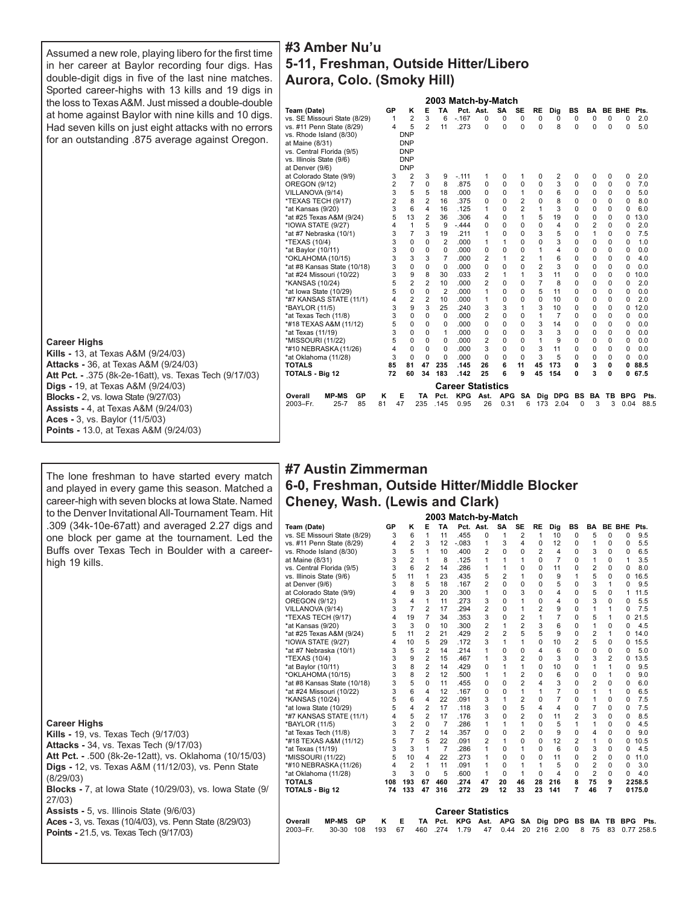Assumed a new role, playing libero for the first time in her career at Baylor recording four digs. Has double-digit digs in five of the last nine matches. Sported career-highs with 13 kills and 19 digs in the loss to Texas A&M. Just missed a double-double at home against Baylor with nine kills and 10 digs. Had seven kills on just eight attacks with no errors for an outstanding .875 average against Oregon.

#### **Career Highs**

**Kills -** 13, at Texas A&M (9/24/03) **Attacks -** 36, at Texas A&M (9/24/03) **Att Pct. -** .375 (8k-2e-16att), vs. Texas Tech (9/17/03) **Digs -** 19, at Texas A&M (9/24/03) **Blocks -** 2, vs. Iowa State (9/27/03) **Assists -** 4, at Texas A&M (9/24/03) **Aces -** 3, vs. Baylor (11/5/03) **Points -** 13.0, at Texas A&M (9/24/03)

The lone freshman to have started every match and played in every game this season. Matched a career-high with seven blocks at Iowa State. Named to the Denver Invitational All-Tournament Team. Hit .309 (34k-10e-67att) and averaged 2.27 digs and one block per game at the tournament. Led the Buffs over Texas Tech in Boulder with a careerhigh 19 kills.

# **Career Highs**

**Kills -** 19, vs. Texas Tech (9/17/03)

- **Attacks** 34, vs. Texas Tech (9/17/03)
- **Att Pct. -** .500 (8k-2e-12att), vs. Oklahoma (10/15/03) **Digs -** 12, vs. Texas A&M (11/12/03), vs. Penn State
- (8/29/03) **Blocks -** 7, at Iowa State (10/29/03), vs. Iowa State (9/ 27/03)
- **Assists** 5, vs. Illinois State (9/6/03)
- **Aces -** 3, vs. Texas (10/4/03), vs. Penn State (8/29/03)
- **Points -** 21.5, vs. Texas Tech (9/17/03)

# **#3 Amber Nu'u 5-11, Freshman, Outside Hitter/Libero Aurora, Colo. (Smoky Hill)**

|                               |    |                |                |                |                          |                | 2003 Match-by-Match |                |                |                |           |                |               |            |      |  |
|-------------------------------|----|----------------|----------------|----------------|--------------------------|----------------|---------------------|----------------|----------------|----------------|-----------|----------------|---------------|------------|------|--|
| Team (Date)                   | GP | κ              | E              | TA             | Pct. Ast.                |                | <b>SA</b>           | SE             | <b>RE</b>      | Dig            | <b>BS</b> | BA             | <b>BE BHE</b> |            | Pts. |  |
| vs. SE Missouri State (8/29)  | 1  | $\overline{2}$ | 3              | 6              | $-0.167$                 | 0              | 0                   | $\mathbf 0$    | 0              | 0              | 0         | 0              | $\mathbf 0$   | 0          | 2.0  |  |
| vs. #11 Penn State (8/29)     | 4  | 5              | $\overline{2}$ | 11             | .273                     | $\Omega$       | $\Omega$            | $\Omega$       | $\Omega$       | 8              | $\Omega$  | $\Omega$       | $\Omega$      | 0          | 5.0  |  |
| vs. Rhode Island (8/30)       |    | <b>DNP</b>     |                |                |                          |                |                     |                |                |                |           |                |               |            |      |  |
| at Maine (8/31)               |    | <b>DNP</b>     |                |                |                          |                |                     |                |                |                |           |                |               |            |      |  |
| vs. Central Florida (9/5)     |    | <b>DNP</b>     |                |                |                          |                |                     |                |                |                |           |                |               |            |      |  |
| vs. Illinois State (9/6)      |    | <b>DNP</b>     |                |                |                          |                |                     |                |                |                |           |                |               |            |      |  |
| at Denver (9/6)               |    | <b>DNP</b>     |                |                |                          |                |                     |                |                |                |           |                |               |            |      |  |
| at Colorado State (9/9)       | 3  | 2              | 3              | 9              | $-.111$                  | 1              | 0                   | 1              | 0              | 2              | 0         | 0              | 0             | 0          | 2.0  |  |
| OREGON (9/12)                 | 2  | $\overline{7}$ | 0              | 8              | .875                     | 0              | 0                   | 0              | $\mathbf 0$    | 3              | 0         | 0              | 0             | 0          | 7.0  |  |
| VILLANOVA (9/14)              | 3  | 5              | 5              | 18             | .000                     | $\Omega$       | $\Omega$            | 1              | $\Omega$       | 6              | 0         | 0              | $\Omega$      | 0          | 5.0  |  |
| *TEXAS TECH (9/17)            | 2  | 8              | $\overline{2}$ | 16             | .375                     | $\Omega$       | $\Omega$            | $\overline{2}$ | $\Omega$       | 8              | 0         | 0              | 0             | 0          | 8.0  |  |
| *at Kansas (9/20)             | 3  | 6              | 4              | 16             | .125                     | 1              | 0                   | $\overline{2}$ | 1              | 3              | 0         | 0              | $\Omega$      | 0          | 6.0  |  |
| *at #25 Texas A&M (9/24)      | 5  | 13             | $\overline{2}$ | 36             | .306                     | 4              | 0                   | 1              | 5              | 19             | 0         | $\mathbf 0$    | 0             | 0          | 13.0 |  |
| *IOWA STATE (9/27)            | 4  | 1              | 5              | 9              | $-444$                   | $\Omega$       | $\Omega$            | $\Omega$       | $\Omega$       | 4              | 0         | $\overline{2}$ | 0             | 0          | 2.0  |  |
| *at #7 Nebraska (10/1)        | 3  | 7              | 3              | 19             | .211                     | 1              | 0                   | $\Omega$       | 3              | 5              | 0         | 1              | $\Omega$      | 0          | 7.5  |  |
| *TEXAS (10/4)                 | 3  | 0              | $\Omega$       | 2              | .000                     | 1              | 1                   | 0              | $\Omega$       | 3              | 0         | 0              | $\Omega$      | 0          | 1.0  |  |
| *at Baylor (10/11)            | 3  | 0              | $\Omega$       | 0              | .000                     | 0              | $\Omega$            | $\Omega$       | 1              | 4              | 0         | $\Omega$       | 0             | 0          | 0.0  |  |
| *OKLAHOMA (10/15)             | 3  | 3              | 3              | $\overline{7}$ | .000                     | 2              | 1                   | $\overline{2}$ | 1              | 6              | 0         | $\mathbf 0$    | 0             | 0          | 4.0  |  |
| *at #8 Kansas State (10/18)   | 3  | 0              | 0              | 0              | .000                     | 0              | $\Omega$            | 0              | $\overline{2}$ | 3              | 0         | 0              | $\Omega$      | 0          | 0.0  |  |
| *at #24 Missouri (10/22)      | 3  | 9              | 8              | 30             | .033                     | $\overline{2}$ | 1                   | 1              | 3              | 11             | $\Omega$  | $\Omega$       | 0             | 0          | 10.0 |  |
| *KANSAS (10/24)               | 5  | $\overline{2}$ | $\overline{2}$ | 10             | .000                     | $\overline{2}$ | $\Omega$            | $\Omega$       | 7              | 8              | $\Omega$  | $\Omega$       | $\Omega$      | 0          | 2.0  |  |
| *at lowa State (10/29)        | 5  | $\Omega$       | 0              | $\overline{2}$ | .000                     | 1              | 0                   | 0              | 5              | 11             | 0         | 0              | $\Omega$      | 0          | 0.0  |  |
| *#7 KANSAS STATE (11/1)       | 4  | 2              | $\overline{2}$ | 10             | .000                     | 1              | $\Omega$            | $\Omega$       | $\Omega$       | 10             | $\Omega$  | 0              | $\Omega$      | 0          | 2.0  |  |
| *BAYLOR (11/5)                | 3  | 9              | 3              | 25             | .240                     | 3              | 3                   | 1              | 3              | 10             | 0         | 0              | 0             | 0          | 12.0 |  |
| *at Texas Tech (11/8)         | 3  | 0              | 0              | $\Omega$       | .000                     | $\overline{2}$ | 0                   | 0              | 1              | $\overline{7}$ | 0         | 0              | $\Omega$      | 0          | 0.0  |  |
| *#18 TEXAS A&M (11/12)        | 5  | 0              | 0              | 0              | .000                     | 0              | 0                   | 0              | 3              | 14             | 0         | 0              | $\Omega$      | 0          | 0.0  |  |
| *at Texas (11/19)             | 3  | 0              | $\Omega$       | 1              | .000                     | $\Omega$       | $\Omega$            | $\Omega$       | 3              | 3              | 0         | $\Omega$       | $\Omega$      | 0          | 0.0  |  |
| *MISSOURI (11/22)             | 5  | U              | $\Omega$       | 0              | .000                     | $\overline{2}$ | 0                   | $\Omega$       | 1              | 9              | 0         | 0              | $\Omega$      | 0          | 0.0  |  |
| *#10 NEBRASKA (11/26)         | 4  | $\Omega$       | $\Omega$       | 0              | .000                     | 3              | $\Omega$            | $\Omega$       | 3              | 11             | $\Omega$  | $\Omega$       | 0             | 0          | 0.0  |  |
| *at Oklahoma (11/28)          | 3  | $\Omega$       | $\Omega$       | 0              | .000                     | $\Omega$       | $\Omega$            | $\Omega$       | 3              | 5              | $\Omega$  | 0              | 0             | 0          | 0.0  |  |
| TOTALS                        | 85 | 81             | 47             | 235            | .145                     | 26             | 6                   | 11             | 45             | 173            | 0         | 3              | 0             | 0          | 88.5 |  |
| TOTALS - Big 12               | 72 | 60             | 34             | 183            | .142                     | 25             | 6                   | 9              | 45             | 154            | 0         | 3              | O             | 0          | 67.5 |  |
|                               |    |                |                |                | <b>Career Statistics</b> |                |                     |                |                |                |           |                |               |            |      |  |
| Overall<br><b>MP-MS</b><br>GР | Κ  | Е              | TA             | Pct.           | <b>KPG</b>               | Ast.           | <b>APG</b>          | <b>SA</b>      | Dig            | <b>DPG</b>     | BS        | BA             | ΤВ            | <b>BPG</b> | Pts. |  |
| 2003-Fr.<br>$25 - 7$<br>85    | 81 | 47             | 235            | .145           | 0.95                     | 26             | 0.31                | 6              | 173            | 2.04           | 0         | 3              | 3             | 0.04       | 88.5 |  |
|                               |    |                |                |                |                          |                |                     |                |                |                |           |                |               |            |      |  |

# **2003 Match-by-Match #7 Austin Zimmerman 6-0, Freshman, Outside Hitter/Middle Blocker Cheney, Wash. (Lewis and Clark)**

|                               |     |                |                |                | ZUUJ MALCII-DY-MALCII    |                |                |                |                |                         |                |                |                |                    |
|-------------------------------|-----|----------------|----------------|----------------|--------------------------|----------------|----------------|----------------|----------------|-------------------------|----------------|----------------|----------------|--------------------|
| Team (Date)                   | GP  | κ              | E              | TA             | Pct. Ast.                |                | SA             | <b>SE</b>      | <b>RE</b>      | Dig                     | <b>BS</b>      | BA             | <b>BE BHE</b>  | Pts.               |
| vs. SE Missouri State (8/29)  | 3   | 6              | 1              | 11             | .455                     | 0              | 1              | 2              | 1              | 10                      | $\Omega$       | 5              | $\Omega$       | 0<br>9.5           |
| vs. #11 Penn State (8/29)     | 4   | 2              | 3              | 12             | $-0.083$                 | 1              | 3              | 4              | $\Omega$       | 12                      | $\Omega$       | 1              | $\Omega$       | 5.5<br>0           |
| vs. Rhode Island (8/30)       | 3   | 5              | 1              | 10             | .400                     | 2              | $\Omega$       | 0              | 2              | 4                       | $\Omega$       | 3              | $\Omega$       | 0<br>6.5           |
| at Maine (8/31)               | 3   | $\overline{2}$ | 1              | 8              | .125                     | 1              | 1              | 1              | $\Omega$       | $\overline{7}$          | $\Omega$       | 1              | $\Omega$       | 3.5<br>1           |
| vs. Central Florida (9/5)     | 3   | 6              | 2              | 14             | .286                     | 1              | 1              | 0              | $\Omega$       | 11                      | $\Omega$       | $\overline{2}$ | $\Omega$       | 8.0<br>0           |
| vs. Illinois State (9/6)      | 5   | 11             | 1              | 23             | .435                     | 5              | $\overline{2}$ | 1              | $\Omega$       | 9                       | 1              | 5              | 0              | 16.5<br>0          |
| at Denver (9/6)               | 3   | 8              | 5              | 18             | .167                     | $\overline{2}$ | $\Omega$       | $\Omega$       | $\Omega$       | 5                       | $\Omega$       | 3              | 1              | 9.5<br>0           |
| at Colorado State (9/9)       | 4   | 9              | 3              | 20             | .300                     | 1              | $\Omega$       | 3              | $\Omega$       | 4                       | $\Omega$       | 5              | $\Omega$       | 1<br>11.5          |
| OREGON (9/12)                 | 3   | 4              | 1              | 11             | .273                     | 3              | $\Omega$       | 1              | $\Omega$       | 4                       | $\Omega$       | 3              | $\Omega$       | 5.5<br>0           |
| VILLANOVA (9/14)              | 3   | $\overline{7}$ | $\overline{2}$ | 17             | 294                      | $\overline{2}$ | $\Omega$       | 1              | $\overline{2}$ | 9                       | $\Omega$       | 1              | 1              | 7.5<br>0           |
| *TEXAS TECH (9/17)            | 4   | 19             | 7              | 34             | .353                     | 3              | $\Omega$       | $\overline{2}$ | 1              | 7                       | $\Omega$       | 5              | 1              | 21.5<br>0          |
| *at Kansas (9/20)             | 3   | 3              | $\Omega$       | 10             | .300                     | 2              | 1              | $\overline{2}$ | 3              | 6                       | $\Omega$       | 1              | 0              | 0<br>4.5           |
| *at #25 Texas A&M (9/24)      | 5   | 11             | $\overline{2}$ | 21             | .429                     | $\overline{2}$ | $\overline{2}$ | 5              | 5              | 9                       | $\Omega$       | 2              | 1              | 14.0<br>0          |
| *IOWA STATE (9/27)            | 4   | 10             | 5              | 29             | .172                     | 3              | 1              | 1              | $\Omega$       | 10                      | $\overline{2}$ | 5              | $\Omega$       | 15.5<br>0          |
| *at #7 Nebraska (10/1)        | 3   | 5              | $\overline{2}$ | 14             | .214                     | 1              | $\Omega$       | 0              | 4              | 6                       | $\Omega$       | $\Omega$       | $\Omega$       | 5.0<br>0           |
| *TEXAS (10/4)                 | 3   | 9              | $\overline{c}$ | 15             | .467                     | 1              | 3              | $\overline{2}$ | $\Omega$       | 3                       | $\Omega$       | 3              | $\overline{2}$ | 13.5<br>0          |
| *at Baylor (10/11)            | 3   | 8              | $\overline{c}$ | 14             | .429                     | 0              | 1              | 1              | $\Omega$       | 10                      | $\Omega$       | 1              | 1              | 9.5<br>0           |
| *OKLAHOMA (10/15)             | 3   | 8              | 2              | 12             | .500                     | 1              | 1              | 2              | $\Omega$       | 6                       | $\Omega$       | 0              | 1              | 0<br>9.0           |
| *at #8 Kansas State (10/18)   | 3   | 5              | $\Omega$       | 11             | .455                     | $\Omega$       | $\Omega$       | $\overline{2}$ | 4              | 3                       | $\Omega$       | 2              | $\Omega$       | 0<br>6.0           |
| *at #24 Missouri (10/22)      | 3   | 6              | 4              | 12             | .167                     | $\Omega$       | $\Omega$       | 1              | 1              | $\overline{7}$          | $\Omega$       | 1              | 1              | 0<br>6.5           |
| *KANSAS (10/24)               | 5   | 6              | 4              | 22             | .091                     | 3              | 1              | $\overline{c}$ | $\Omega$       | 7                       | $\Omega$       | 1              | $\Omega$       | 0<br>7.5           |
| *at lowa State (10/29)        | 5   | 4              | $\overline{2}$ | 17             | .118                     | 3              | $\Omega$       | 5              | 4              | $\overline{\mathbf{A}}$ | $\Omega$       | $\overline{7}$ | $\Omega$       | 7.5<br>0           |
| *#7 KANSAS STATE (11/1)       | 4   | 5              | $\overline{2}$ | 17             | .176                     | 3              | 0              | $\overline{2}$ | $\Omega$       | 11                      | 2              | 3              | $\Omega$       | 0<br>8.5           |
| *BAYLOR (11/5)                | 3   | $\overline{2}$ | $\Omega$       | $\overline{7}$ | .286                     | 1              | 1              | 1              | $\Omega$       | 5                       | 1              | 1              | $\Omega$       | 0<br>4.5           |
| *at Texas Tech (11/8)         | 3   | $\overline{7}$ | $\overline{2}$ | 14             | .357                     | 0              | $\Omega$       | $\overline{2}$ | $\Omega$       | 9                       | $\Omega$       | 4              | $\Omega$       | 0<br>9.0           |
| *#18 TEXAS A&M (11/12)        | 5   | $\overline{7}$ | 5              | 22             | .091                     | 2              | 1              | $\Omega$       | $\Omega$       | 12                      | $\overline{2}$ | 1              | 0              | 10.5<br>0          |
| *at Texas (11/19)             | 3   | 3              | 1              | $\overline{7}$ | .286                     | 1              | $\Omega$       | 1              | $\Omega$       | 6                       | $\Omega$       | 3              | 0              | 0<br>4.5           |
| *MISSOURI (11/22)             | 5   | 10             | 4              | 22             | .273                     | 1              | $\Omega$       | 0              | $\Omega$       | 11                      | 0              | $\overline{2}$ | $\mathbf 0$    | 11.0<br>0          |
| *#10 NEBRASKA (11/26)         | 4   | 2              | 1              | 11             | .091                     | 1              | $\Omega$       | 1              | 1              | 5                       | $\Omega$       | $\overline{2}$ | $\Omega$       | 3.0<br>0           |
| *at Oklahoma (11/28)          | 3   | 3              | $\Omega$       | 5              | .600                     | 1              | $\Omega$       | $\mathbf{1}$   | $\Omega$       | 4                       | $\Omega$       | $\overline{2}$ | $\Omega$       | 0<br>4.0           |
| <b>TOTALS</b>                 | 108 | 193            | 67             | 460            | .274                     | 47             | 20             | 46             | 28             | 216                     | 8              | 75             | 9              | 2258.5             |
| <b>TOTALS - Big 12</b>        | 74  | 133            | 47             | 316            | .272                     | 29             | 12             | 33             | 23             | 141                     | 7              | 46             | 7              | 0175.0             |
|                               |     |                |                |                | <b>Career Statistics</b> |                |                |                |                |                         |                |                |                |                    |
| Overall<br><b>MP-MS</b><br>GP | Κ   | Е              | TA             | Pct.           | <b>KPG</b>               | Ast.           | <b>APG</b>     | SA             | Dig            | <b>DPG</b>              | BS             | BA             | ΤВ             | Pts.<br><b>BPG</b> |
| 2003-Fr.<br>30-30<br>108      | 193 | 67             | 460            | 274            | 1.79                     | 47             | 0.44           | 20             | 216            | 2.00                    | 8              | 75             | 83             | 0.77 258.5         |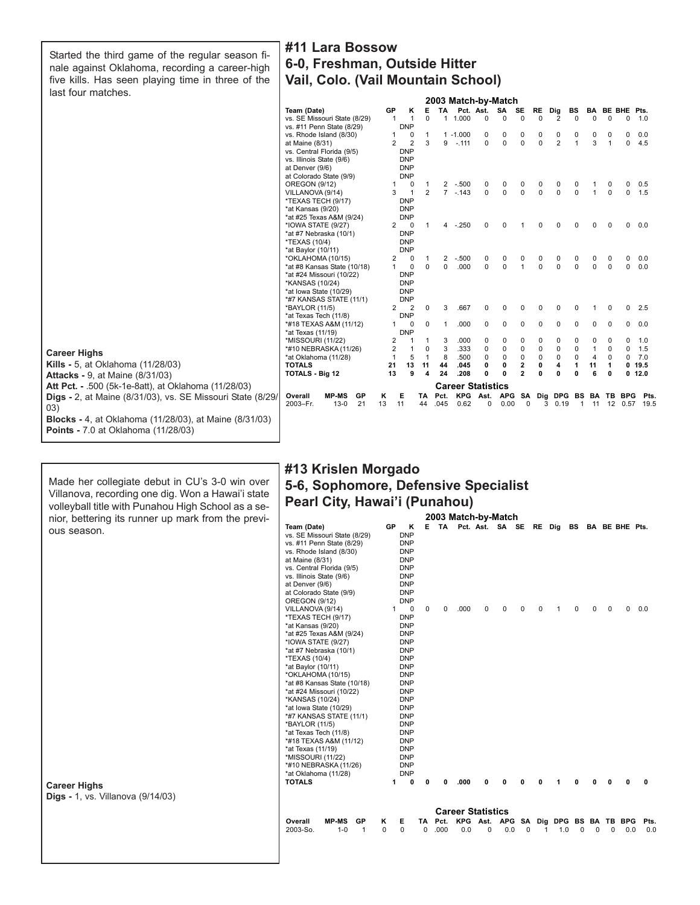Started the third game of the regular season finale against Oklahoma, recording a career-high five kills. Has seen playing time in three of the last four matches.

# **#11 Lara Bossow 6-0, Freshman, Outside Hitter Vail, Colo. (Vail Mountain School)**

|                                                                   |                                         |                       |                              |                |          | 2003 Match-by-Match      |          |                 |                |             |                |             |                |                      |             |                   |
|-------------------------------------------------------------------|-----------------------------------------|-----------------------|------------------------------|----------------|----------|--------------------------|----------|-----------------|----------------|-------------|----------------|-------------|----------------|----------------------|-------------|-------------------|
|                                                                   | Team (Date)                             | GP                    | κ                            | Е              |          | TA Pct. Ast.             |          | SA              | SE             | RE          | Dig            | BS          | BA             | BE BHE Pts.          |             |                   |
|                                                                   | vs. SE Missouri State (8/29)            | -1                    | $\mathbf{1}$                 | $\Omega$       |          | 1 1.000                  | $\Omega$ | $\Omega$        | $\Omega$       | $\Omega$    | $\overline{2}$ | $\mathbf 0$ | $\Omega$       | $\Omega$             | $\Omega$    | 1.0               |
|                                                                   | vs. #11 Penn State (8/29)               |                       | <b>DNP</b>                   |                |          |                          |          |                 |                |             |                |             |                |                      |             |                   |
|                                                                   | vs. Rhode Island (8/30)                 | 1                     | 0                            | 1              |          | $1 - 1.000$              | 0        | 0               | 0              | 0           | 0              | 0           | 0              | 0                    | 0           | 0.0               |
|                                                                   | at Maine (8/31)                         | $\overline{2}$        | $\overline{2}$               | 3              |          | $9 - 111$                | $\Omega$ | $\Omega$        | $\Omega$       | $\Omega$    | $\overline{2}$ | 1           | 3              | $\mathbf{1}$         | 0           | 4.5               |
|                                                                   | vs. Central Florida (9/5)               |                       | <b>DNP</b>                   |                |          |                          |          |                 |                |             |                |             |                |                      |             |                   |
|                                                                   | vs. Illinois State (9/6)                |                       | <b>DNP</b>                   |                |          |                          |          |                 |                |             |                |             |                |                      |             |                   |
|                                                                   | at Denver (9/6)                         |                       | <b>DNP</b>                   |                |          |                          |          |                 |                |             |                |             |                |                      |             |                   |
|                                                                   | at Colorado State (9/9)                 |                       | <b>DNP</b>                   |                |          |                          |          |                 |                |             |                |             |                |                      |             |                   |
|                                                                   | <b>OREGON (9/12)</b>                    | 1                     | 0                            | -1             |          | $2 - 500$                | 0        | 0               | 0              | 0           | 0              | 0           |                | 0                    | 0           | 0.5               |
|                                                                   | VILLANOVA (9/14)                        | 3                     | 1                            | $\overline{2}$ |          | $7 - 143$                | $\Omega$ | $\Omega$        | $\Omega$       | $\Omega$    | $\Omega$       | $\Omega$    | $\mathbf{1}$   | $\Omega$             | $\Omega$    | 1.5               |
|                                                                   | *TEXAS TECH (9/17)                      |                       | <b>DNP</b>                   |                |          |                          |          |                 |                |             |                |             |                |                      |             |                   |
|                                                                   | *at Kansas (9/20)                       |                       | <b>DNP</b>                   |                |          |                          |          |                 |                |             |                |             |                |                      |             |                   |
|                                                                   | *at #25 Texas A&M (9/24)                |                       | <b>DNP</b>                   |                |          |                          |          |                 |                |             |                |             |                |                      |             |                   |
|                                                                   | *IOWA STATE (9/27)                      | $\mathbf{2}^{\prime}$ | 0                            | 1              |          | $4 - 250$                | $\Omega$ | <sup>0</sup>    |                | O           | ŋ              | 0           | $\Omega$       | $\Omega$             | $\Omega$    | 0.0               |
|                                                                   | *at #7 Nebraska (10/1)                  |                       | <b>DNP</b>                   |                |          |                          |          |                 |                |             |                |             |                |                      |             |                   |
|                                                                   | *TEXAS (10/4)                           |                       | <b>DNP</b>                   |                |          |                          |          |                 |                |             |                |             |                |                      |             |                   |
|                                                                   | *at Baylor (10/11)                      |                       | <b>DNP</b>                   |                |          |                          |          |                 |                |             |                |             |                |                      |             |                   |
|                                                                   | *OKLAHOMA (10/15)                       | 2                     | 0                            |                | 2        | $-.500$                  | 0        | 0               |                | 0           |                | 0           | 0              | 0                    | 0           | 0.0               |
|                                                                   | *at #8 Kansas State (10/18)             | 1                     | $\mathbf 0$                  | $\Omega$       | $\Omega$ | .000                     | $\Omega$ | $\Omega$        | $\mathbf{1}$   | $\Omega$    | $\Omega$       | $\Omega$    | $\Omega$       | $\Omega$             | $\Omega$    | 0.0               |
|                                                                   | *at #24 Missouri (10/22)                |                       | <b>DNP</b>                   |                |          |                          |          |                 |                |             |                |             |                |                      |             |                   |
|                                                                   | *KANSAS (10/24)                         |                       | <b>DNP</b>                   |                |          |                          |          |                 |                |             |                |             |                |                      |             |                   |
|                                                                   | *at lowa State (10/29)                  |                       | <b>DNP</b>                   |                |          |                          |          |                 |                |             |                |             |                |                      |             |                   |
|                                                                   | *#7 KANSAS STATE (11/1)                 | $\mathbf{2}^{\prime}$ | <b>DNP</b><br>$\overline{2}$ | 0              | 3        | .667                     | $\Omega$ |                 |                |             | O              | $\Omega$    |                | $\mathbf 0$          | $\Omega$    | 2.5               |
|                                                                   | *BAYLOR (11/5)<br>*at Texas Tech (11/8) |                       | <b>DNP</b>                   |                |          |                          |          |                 |                |             |                |             |                |                      |             |                   |
|                                                                   | *#18 TEXAS A&M (11/12)                  |                       | 0                            | $\mathbf 0$    | 1        | .000                     | 0        | 0               | 0              | $\mathbf 0$ | 0              | 0           | $\mathbf 0$    | 0                    | 0           | 0.0               |
|                                                                   | *at Texas (11/19)                       |                       | <b>DNP</b>                   |                |          |                          |          |                 |                |             |                |             |                |                      |             |                   |
|                                                                   | *MISSOURI (11/22)                       | 2                     |                              | 1              | 3        | .000                     | 0        | 0               | 0              | 0           | $\Omega$       | 0           | 0              | 0                    | 0           | 1.0               |
|                                                                   | *#10 NEBRASKA (11/26)                   | $\overline{2}$        | $\mathbf{1}$                 | 0              | 3        | .333                     | 0        | $\mathbf 0$     | $\mathbf 0$    | $\mathbf 0$ | 0              | $\mathbf 0$ | $\mathbf{1}$   | $\mathbf 0$          | $\mathbf 0$ | 1.5               |
| <b>Career Highs</b>                                               | *at Oklahoma (11/28)                    |                       | 5                            | $\mathbf{1}$   | 8        | .500                     | 0        | $\mathbf 0$     | $\mathbf 0$    | $\mathbf 0$ | $\Omega$       | 0           | $\overline{4}$ | 0                    | $\Omega$    | 7.0               |
| <b>Kills - 5, at Oklahoma (11/28/03)</b>                          | <b>TOTALS</b>                           | 21                    | 13                           | 11             | 44       | .045                     | 0        | 0               | 2              | 0           | 4              | 1           | 11             | $\mathbf 1$          |             | 0, 19.5           |
|                                                                   | <b>TOTALS - Big 12</b>                  | 13                    | 9                            | 4              | 24       | .208                     | Û        | Û               | $\overline{2}$ | $\Omega$    | Û              | 0           | 6              | $\mathbf{0}$         |             | 0.12.0            |
| <b>Attacks - 9, at Maine (8/31/03)</b>                            |                                         |                       |                              |                |          |                          |          |                 |                |             |                |             |                |                      |             |                   |
| <b>Att Pct. - .500 (5k-1e-8att), at Oklahoma (11/28/03)</b>       |                                         |                       |                              |                |          | <b>Career Statistics</b> |          |                 |                |             |                |             |                |                      |             |                   |
| <b>Digs</b> - 2, at Maine (8/31/03), vs. SE Missouri State (8/29) | <b>MP-MS</b><br>GP<br>Overall           | Κ                     | Е                            | TA.            | Pct.     |                          |          | KPG Ast. APG SA |                |             |                |             |                | Dig DPG BS BA TB BPG |             | Pts.              |
| 03)                                                               | $13 - 0$<br>2003-Fr.<br>21              | 13                    | 11                           | 44             | .045     | 0.62                     | 0        | 0.00            | 0              |             | 30.19          |             |                |                      |             | 1 11 12 0.57 19.5 |
| Blocks - 4, at Oklahoma (11/28/03), at Maine (8/31/03)            |                                         |                       |                              |                |          |                          |          |                 |                |             |                |             |                |                      |             |                   |
| <b>Points - 7.0 at Oklahoma (11/28/03)</b>                        |                                         |                       |                              |                |          |                          |          |                 |                |             |                |             |                |                      |             |                   |

Made her collegiate debut in CU's 3-0 win over Villanova, recording one dig. Won a Hawai'i state volleyball title with Punahou High School as a senior, bettering its runner up mark from the previous season.

# **2003 Match-by-Match #13 Krislen Morgado 5-6, Sophomore, Defensive Specialist Pearl City, Hawai'i (Punahou)**

| nior, bettering its runner up mark from the previ-              | Team (Date)                                                                                                                                                                  |                                                                                                                                                                                                                                                                                                                                         |    | GP     | κ                                                                                                                                                                                                                                                                                              |         |              |                           |   |     |          |                                           |          |              |          |                |     |
|-----------------------------------------------------------------|------------------------------------------------------------------------------------------------------------------------------------------------------------------------------|-----------------------------------------------------------------------------------------------------------------------------------------------------------------------------------------------------------------------------------------------------------------------------------------------------------------------------------------|----|--------|------------------------------------------------------------------------------------------------------------------------------------------------------------------------------------------------------------------------------------------------------------------------------------------------|---------|--------------|---------------------------|---|-----|----------|-------------------------------------------|----------|--------------|----------|----------------|-----|
| ous season.                                                     | at Maine (8/31)<br>at Denver (9/6)<br><b>OREGON (9/12)</b>                                                                                                                   | vs. SE Missouri State (8/29)<br>vs. #11 Penn State (8/29)<br>vs. Rhode Island (8/30)<br>vs. Central Florida (9/5)<br>vs. Illinois State (9/6)<br>at Colorado State (9/9)                                                                                                                                                                |    |        | <b>DNP</b><br><b>DNP</b><br><b>DNP</b><br><b>DNP</b><br><b>DNP</b><br><b>DNP</b><br><b>DNP</b><br><b>DNP</b><br><b>DNP</b>                                                                                                                                                                     | Е       |              | TA Pct. Ast. SA SE RE Dig |   |     |          |                                           | BS       |              |          | BA BE BHE Pts. |     |
|                                                                 | VILLANOVA (9/14)<br>*at Kansas (9/20)<br>*TEXAS (10/4)<br>*at Baylor (10/11)<br>*KANSAS (10/24)<br>*BAYLOR (11/5)<br>*at Texas (11/19)<br>*MISSOURI (11/22)<br><b>TOTALS</b> | *TEXAS TECH (9/17)<br>*at #25 Texas A&M (9/24)<br>*IOWA STATE (9/27)<br>*at #7 Nebraska (10/1)<br>*OKLAHOMA (10/15)<br>*at #8 Kansas State (10/18)<br>*at #24 Missouri (10/22)<br>*at lowa State (10/29)<br>*#7 KANSAS STATE (11/1)<br>*at Texas Tech (11/8)<br>*#18 TEXAS A&M (11/12)<br>*#10 NEBRASKA (11/26)<br>*at Oklahoma (11/28) |    | 1<br>1 | 0<br><b>DNP</b><br><b>DNP</b><br><b>DNP</b><br><b>DNP</b><br><b>DNP</b><br><b>DNP</b><br><b>DNP</b><br><b>DNP</b><br><b>DNP</b><br><b>DNP</b><br><b>DNP</b><br><b>DNP</b><br><b>DNP</b><br><b>DNP</b><br><b>DNP</b><br><b>DNP</b><br><b>DNP</b><br><b>DNP</b><br><b>DNP</b><br><b>DNP</b><br>0 | 0       | 0<br>n       | .000<br>.000              | n | 0   |          |                                           | 0<br>o   |              | 0        | 0              | 0.0 |
| <b>Career Highs</b><br><b>Digs - 1, vs. Villanova (9/14/03)</b> |                                                                                                                                                                              |                                                                                                                                                                                                                                                                                                                                         |    |        |                                                                                                                                                                                                                                                                                                |         |              |                           |   |     |          |                                           |          |              |          |                |     |
|                                                                 |                                                                                                                                                                              |                                                                                                                                                                                                                                                                                                                                         |    |        |                                                                                                                                                                                                                                                                                                |         |              | <b>Career Statistics</b>  |   |     |          |                                           |          |              |          |                |     |
|                                                                 |                                                                                                                                                                              | <b>MP-MS</b>                                                                                                                                                                                                                                                                                                                            |    |        |                                                                                                                                                                                                                                                                                                |         |              |                           |   |     |          | KPG Ast. APG SA Dig DPG BS BA TB BPG Pts. |          |              |          |                |     |
|                                                                 | Overall<br>2003-So.                                                                                                                                                          | $1 - 0$                                                                                                                                                                                                                                                                                                                                 | GP | Κ<br>0 | Е<br>$\mathbf 0$                                                                                                                                                                                                                                                                               | TA<br>0 | Pct.<br>.000 | 0.0                       | 0 | 0.0 | $\Omega$ | 1.0                                       | $\Omega$ | <sup>0</sup> | $\Omega$ | 0.0            | 0.0 |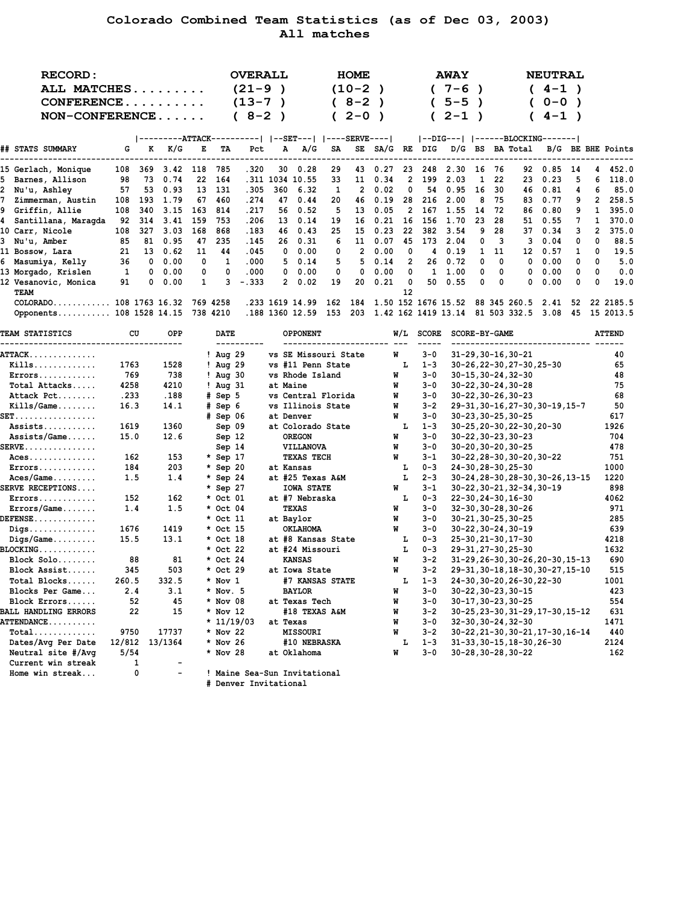# **Colorado Combined Team Statistics (as of Dec 03, 2003) All matches**

|   | <b>RECORD:</b>                            |        |             |           |     |                      | <b>OVERALL</b>                                       |               |                                                               |     | HOME         |               |                |                | <b>AWAY</b>          |               |             |                                  | <b>NEUTRAL</b>                    |      |                |                   |
|---|-------------------------------------------|--------|-------------|-----------|-----|----------------------|------------------------------------------------------|---------------|---------------------------------------------------------------|-----|--------------|---------------|----------------|----------------|----------------------|---------------|-------------|----------------------------------|-----------------------------------|------|----------------|-------------------|
|   | ALL MATCHES                               |        |             |           |     |                      | $(21 - 9)$                                           |               |                                                               |     | $(10-2)$     |               |                |                | $(7-6)$              |               |             |                                  | $4 - 1$ )<br>$\mathcal{C}$        |      |                |                   |
|   | CONFERENCE                                |        |             |           |     |                      | $(13 - 7)$                                           | $\rightarrow$ |                                                               |     | $(8-2)$      | $\rightarrow$ |                | C              | $5 - 5$              | $\rightarrow$ |             | $\mathcal{L}$                    | $0 - 0$ )                         |      |                |                   |
|   | $NON-CONFERENCE$                          |        |             |           |     |                      | $(8-2)$                                              | $\rightarrow$ |                                                               |     | $2 - 0$ )    |               |                | $\epsilon$     | $2 - 1$              | $\rightarrow$ |             |                                  | $4 - 1$ )                         |      |                |                   |
|   |                                           |        |             |           |     |                      |                                                      |               |                                                               |     |              |               |                |                |                      |               |             |                                  |                                   |      |                |                   |
|   |                                           |        |             |           |     |                      | ---------ATTACK----------   --SET---   ----SERVE---- |               |                                                               |     |              |               |                |                |                      |               |             |                                  |                                   |      |                |                   |
|   | ## STATS SUMMARY                          | G      | к           | K/G       | E   | TA                   | Pct                                                  |               | A/G<br>А                                                      | SA  |              |               |                |                |                      |               |             | SE SA/G RE DIG D/G BS BA Total   |                                   |      |                | B/G BE BHE Points |
|   | 15 Gerlach, Monique                       | 108    | 369         | 3.42      | 118 | 785                  | .320                                                 |               | $30 \quad 0.28$                                               | 29  | 43           | 0.27          |                | 23 248         | 2.30                 | 16            | 76          | 92                               | $0.85$ 14                         |      | 4              | 452.0             |
|   | 5 Barnes, Allison                         | 98     | 73          | 0.74      | 22  | 164                  |                                                      |               | .311 1034 10.55                                               | 33  | 11           | 0.34          | $\mathbf{2}$   | 199            | 2.03                 | 1             | 22          | 23                               | 0.23                              | 5    | 6              | 118.0             |
|   | 2 Nu'u, Ashley                            | 57     | 53          | 0.93      | 13  | 131                  | .305                                                 | 360           | 6.32                                                          | 1   | $\mathbf{2}$ | 0.02          | 0              | 54             | 0.95                 | 16            | 30          | 46                               | 0.81                              | 4    | 6              | 85.0              |
| 7 | Zimmerman, Austin                         | 108    | 193         | 1.79      | 67  | 460                  | .274                                                 |               | 47 0.44                                                       | 20  | 46           | 0.19          | 28             | 216            | 2.00                 | 8             | 75          | 83                               | 0.77                              | 9    | $\overline{2}$ | 258.5             |
|   | 9 Griffin, Allie                          | 108    | 340         | 3.15      | 163 | 814                  | .217                                                 | 56            | 0.52                                                          | 5   | 13           | 0.05          | $\overline{2}$ | 167            | 1.55                 | 14            | 72          | 86                               | 0.80                              | 9    | 1              | 395.0             |
|   | 4 Santillana, Maragda                     | 92     | 314         | 3.41      | 159 | 753                  | .206                                                 | 13            | 0.14                                                          | 19  | 16           | 0.21          | 16             | 156            | 1.70                 | 23            | 28          | 51                               | 0.55                              | 7    | 1              | 370.0             |
|   | 10 Carr, Nicole                           | 108    | 327         | 3.03      | 168 | 868                  | .183                                                 | 46            | 0.43                                                          | 25  | 15           | 0.23          | 22             | 382            | 3.54                 | 9             | 28          | 37                               | 0.34                              | 3    | $\overline{2}$ | 375.0             |
|   | 3 Nu'u, Amber                             | 85     | 81          | 0.95      | 47  | 235                  | .145                                                 | 26            | 0.31                                                          | 6   | 11           | 0.07          | 45             |                | 173 2.04             | 0             | 3           | 3                                | 0.04                              | 0    | 0              | 88.5              |
|   | 11 Bossow, Lara                           | 21     | 13          | 0.62      | 11  | 44                   | .045                                                 | 0             | 0.00                                                          | 0   | 2            | 0.00          | 0              | 4              | 0.19                 | 1             | 11          | 12                               | 0.57                              | 1    | 0              | 19.5              |
|   | 6 Masumiya, Kelly                         | 36     | $\mathbf 0$ | 0.00      | 0   | 1                    | .000                                                 |               | 5<br>0.14                                                     | 5   | 5            | 0.14          | 2              | 26             | 0.72                 | 0             | 0           | 0                                | 0.00                              | 0    | 0              | 5.0               |
|   | 13 Morgado, Krislen                       | 1      | 0           | 0.00      | 0   | 0                    | .000                                                 | 0             | 0.00                                                          | 0   | 0            | 0.00          | 0              |                | $1 \quad 1.00$       | 0             | $\mathbf 0$ | 0                                | 0.00                              | 0    | 0              | 0.0               |
|   | 12 Vesanovic, Monica<br>TEAM              | 91     | 0           | 0.00      | 1   | 3                    | $-.333$                                              |               | 2<br>0.02                                                     | 19  | 20           | 0.21          | 0<br>12        | 50             | 0.55                 | 0             | 0           | 0                                | 0.00                              | 0    | 0              | 19.0              |
|   | COLORADO 108 1763 16.32                   |        |             |           |     | 769 4258             |                                                      |               | .233 1619 14.99                                               | 162 | 184          |               |                |                |                      |               |             | 1.50 152 1676 15.52 88 345 260.5 | 2.41                              | 52   |                | 22 2185.5         |
|   | Opponents 108 1528 14.15                  |        |             |           |     | 738 4210             |                                                      |               | .188 1360 12.59 153 203 1.42 162 1419 13.14 81 503 332.5 3.08 |     |              |               |                |                |                      |               |             |                                  |                                   | - 45 |                | 15 2013.5         |
|   | <b>TEAM STATISTICS</b>                    |        | CU          | OPP       |     | DATE                 |                                                      |               | <b>OPPONENT</b>                                               |     |              |               |                | W/L SCORE      | <b>SCORE-BY-GAME</b> |               |             |                                  |                                   |      |                | <b>ATTEND</b>     |
|   | ATTACK                                    |        |             |           |     | $!$ Aug 29           |                                                      |               | vs SE Missouri State                                          |     |              |               | W              | 3-0            |                      |               |             | $31 - 29, 30 - 16, 30 - 21$      |                                   |      |                | 40                |
|   | $Kills$                                   | 1763   |             | 1528      |     | $!$ Aug 29           |                                                      |               | vs #11 Penn State                                             |     |              |               | L              | $1 - 3$        |                      |               |             | 30-26, 22-30, 27-30, 25-30       |                                   |      |                | 65                |
|   | Errors                                    | 769    |             | 738       |     | $!$ Aug 30           |                                                      |               | vs Rhode Island                                               |     |              |               | W              | 3-0            |                      |               |             | $30 - 15, 30 - 24, 32 - 30$      |                                   |      |                | 48                |
|   | Total Attacks                             | 4258   |             | 4210      |     | $!$ Aug $31$         |                                                      |               | at Maine                                                      |     |              |               | W              | 3-0            |                      |               |             | $30 - 22, 30 - 24, 30 - 28$      |                                   |      |                | 75                |
|   | Attack Pct                                | .233   |             | .188      |     | # Sep 5              |                                                      |               | vs Central Florida                                            |     |              |               | W              | $3 - 0$        |                      |               |             | $30 - 22, 30 - 26, 30 - 23$      |                                   |      |                | 68                |
|   | $Kills/Game \ldots$                       | 16.3   |             | 14.1      |     | # Sep 6              |                                                      |               | vs Illinois State                                             |     |              |               | W              | $3 - 2$        |                      |               |             |                                  | 29-31, 30-16, 27-30, 30-19, 15-7  |      |                | 50                |
|   | SET.                                      |        |             |           |     | # Sep 06             |                                                      |               | at Denver                                                     |     |              |               | W              | 3-0            |                      |               |             | $30 - 23, 30 - 25, 30 - 25$      |                                   |      |                | 617               |
|   | Assists                                   | 1619   |             | 1360      |     | Sep 09               |                                                      |               | at Colorado State                                             |     |              |               | Ъ.             | $1 - 3$        |                      |               |             | 30-25, 20-30, 22-30, 20-30       |                                   |      |                | 1926              |
|   | $Assists/Game$                            | 15.0   |             | 12.6      |     | Sep 12               |                                                      |               | <b>OREGON</b>                                                 |     |              |               | W              | 3-0            |                      |               |             | $30 - 22, 30 - 23, 30 - 23$      |                                   |      |                | 704               |
|   | <b>SERVE</b>                              |        |             |           |     | Sep 14               |                                                      |               | VILLANOVA                                                     |     |              |               | W              | 3-0            |                      |               |             | 30-20, 30-20, 30-25              |                                   |      |                | 478               |
|   | $Aces \ldots \ldots \ldots \ldots$        |        | 162         | 153       |     | * Sep 17             |                                                      |               | TEXAS TECH                                                    |     |              |               | W              | 3-1            |                      |               |             | 30-22, 28-30, 30-20, 30-22       |                                   |      |                | 751               |
|   | Errors                                    |        | 184         | 203       |     | * Sep 20             |                                                      |               | at Kansas                                                     |     |              |               | т.             | $0 - 3$        |                      |               |             | 24-30, 28-30, 25-30              |                                   |      |                | 1000              |
|   | $Aces/Game \ldots$                        |        | 1.5         | 1.4       |     | * Sep 24             |                                                      |               | at #25 Texas A&M                                              |     |              |               | L              | $2 - 3$        |                      |               |             |                                  | 30-24, 28-30, 28-30, 30-26, 13-15 |      |                | 1220              |
|   | <b>SERVE RECEPTIONS</b>                   |        |             |           |     | * Sep 27             |                                                      |               | <b>IOWA STATE</b>                                             |     |              |               | W              | 3-1            |                      |               |             | 30-22, 30-21, 32-34, 30-19       |                                   |      |                | 898               |
|   | $Errors \ldots \ldots \ldots$             |        | 152         | 162       |     | * Oct 01             |                                                      |               | at #7 Nebraska                                                |     |              |               | Ъ.             | $0 - 3$        |                      |               |             | 22-30, 24-30, 16-30              |                                   |      |                | 4062              |
|   | Errors/Game                               | 1.4    |             | 1.5       |     | * Oct 04             |                                                      |               | <b>TEXAS</b>                                                  |     |              |               | W              | 3-0            |                      |               |             | 32-30, 30-28, 30-26              |                                   |      |                | 971               |
|   | <b>DEFENSE</b>                            |        |             |           |     | * Oct 11             |                                                      |               | at Baylor                                                     |     |              |               | W              | 3-0            |                      |               |             | 30-21, 30-25, 30-25              |                                   |      |                | 285               |
|   | $\mathtt{Diqs.}\dots\dots\dots\dots\dots$ | 1676   |             | 1419      |     | * Oct 15             |                                                      |               | <b>OKLAHOMA</b>                                               |     |              |               | W              | 3-0            |                      |               |             | $30 - 22, 30 - 24, 30 - 19$      |                                   |      |                | 639               |
|   | $Diqs/Game$                               | 15.5   |             | 13.1      |     | * Oct 18             |                                                      |               | at #8 Kansas State                                            |     |              |               | т.             | $0 - 3$        |                      |               |             | 25-30, 21-30, 17-30              |                                   |      |                | 4218              |
|   | BLOCKING                                  |        | 88          |           |     | * Oct 22             |                                                      |               | at #24 Missouri                                               |     |              |               | L              | $0 - 3$        |                      |               |             | 29-31, 27-30, 25-30              |                                   |      |                | 1632<br>690       |
|   | Block Solo                                |        | 345         | 81<br>503 |     | * Oct 24<br>* Oct 29 |                                                      |               | <b>KANSAS</b>                                                 |     |              |               | W<br>W         | 3-2<br>$3 - 2$ |                      |               |             |                                  | 31-29, 26-30, 30-26, 20-30, 15-13 |      |                | 515               |
|   | Block Assist<br>Total Blocks              | 260.5  |             | 332.5     |     | $*$ Nov 1            |                                                      |               | at Iowa State<br>#7 KANSAS STATE                              |     |              |               | L              | $1 - 3$        |                      |               |             | 24-30, 26-30, 24-30              | 29-31, 30-18, 18-30, 30-27, 15-10 |      |                | 1001              |
|   | Blocks Per Game                           |        | 2.4         | 3.1       |     | $*$ Nov. 5           |                                                      |               | <b>BAYLOR</b>                                                 |     |              |               | W              | 3-0            |                      |               |             | $30 - 22, 30 - 23, 30 - 15$      |                                   |      |                | 423               |
|   | Block Errors                              |        | 52          | 45        |     | * Nov 08             |                                                      |               | at Texas Tech                                                 |     |              |               | W              | 3-0            |                      |               |             | 30-17, 30-23, 30-25              |                                   |      |                | 554               |
|   | <b>BALL HANDLING ERRORS</b>               |        | 22          | 15        |     | * Nov 12             |                                                      |               | #18 TEXAS A&M                                                 |     |              |               | W              | $3 - 2$        |                      |               |             |                                  | 30-25, 23-30, 31-29, 17-30, 15-12 |      |                | 631               |
|   | <b>ATTENDANCE</b>                         |        |             |           |     |                      | $* 11/19/03$                                         |               | at Texas                                                      |     |              |               | W              | 3-0            |                      |               |             | $32 - 30, 30 - 24, 32 - 30$      |                                   |      |                | 1471              |
|   | $\texttt{Total} \dots \dots \dots \dots$  | 9750   |             | 17737     |     | * Nov 22             |                                                      |               | <b>MISSOURI</b>                                               |     |              |               | W              | $3 - 2$        |                      |               |             |                                  | 30-22, 21-30, 30-21, 17-30, 16-14 |      |                | 440               |
|   | Dates/Avg Per Date                        | 12/812 |             | 13/1364   |     | * Nov 26             |                                                      |               | #10 NEBRASKA                                                  |     |              |               | г              | $1 - 3$        |                      |               |             | 31-33, 30-15, 18-30, 26-30       |                                   |      |                | 2124              |
|   | Neutral site #/Avq                        | 5/54   |             |           |     | * Nov 28             |                                                      |               | at Oklahoma                                                   |     |              |               | W              | 3-0            |                      |               |             | $30 - 28, 30 - 28, 30 - 22$      |                                   |      |                | 162               |
|   | Current win streak                        |        | 1           |           |     |                      |                                                      |               |                                                               |     |              |               |                |                |                      |               |             |                                  |                                   |      |                |                   |
|   | Home win streak                           |        | 0           |           |     |                      | ! Maine Sea-Sun Invitational                         |               |                                                               |     |              |               |                |                |                      |               |             |                                  |                                   |      |                |                   |
|   |                                           |        |             |           |     |                      | # Denver Invitational                                |               |                                                               |     |              |               |                |                |                      |               |             |                                  |                                   |      |                |                   |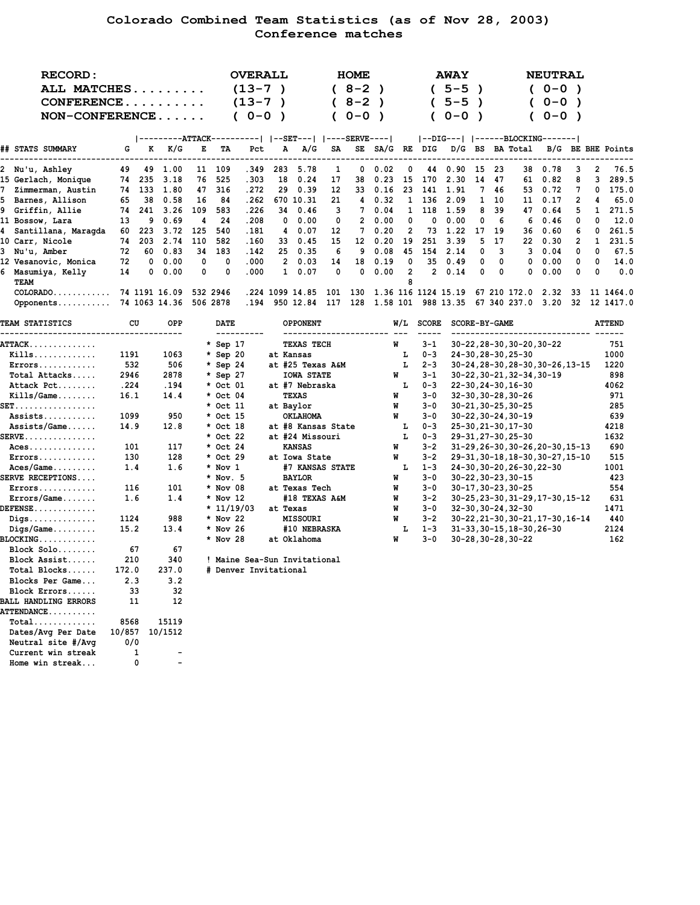# **Colorado Combined Team Statistics (as of Nov 28, 2003) Conference matches**

|    | RECORD:<br>ALL MATCHES<br>$CONFERENCE$<br>$NON-CONFERENCE$ |    |          |                  |          |          | <b>OVERALL</b><br>$(13-7)$<br>$(13-7)$<br>$(0 - 0)$ |     |                 |     | <b>HOME</b><br>$8 - 2$ )<br>$8 - 2$ )<br>$0 - 0$ |      |                           |              | <b>AWAY</b><br>$5 - 5$<br>$5 - 5$<br>$0 - 0$ | $\rightarrow$ |          |              | <b>NEUTRAL</b><br>$(0 - 0)$<br>$0 - 0$ )<br>$0 - 0$ ) |    |          |               |
|----|------------------------------------------------------------|----|----------|------------------|----------|----------|-----------------------------------------------------|-----|-----------------|-----|--------------------------------------------------|------|---------------------------|--------------|----------------------------------------------|---------------|----------|--------------|-------------------------------------------------------|----|----------|---------------|
|    |                                                            |    |          | ---------ATTACK- |          |          |                                                     |     | $ -$ SET $---$  |     | ----SERVE----                                    |      |                           |              |                                              |               |          |              |                                                       |    |          |               |
|    | ## STATS SUMMARY                                           | G  | к        | K/G              | Е        | TA       | Pct                                                 | А   | A/G             | SA  | SE                                               | SA/G | RE                        | DIG          | D/G                                          | BS            |          | BA Total     | B/G                                                   |    |          | BE BHE Points |
| 2  | Nu'u, Ashley                                               | 49 | 49       | 1.00             | 11       | 109      | .349                                                | 283 | 5.78            |     | $\Omega$                                         | 0.02 | 0                         | 44           | 0.90                                         | -15           | 23       | 38           | 0.78                                                  | 3  | 2        | 76.5          |
|    | 15 Gerlach, Monique                                        | 74 | 235      | 3.18             | 76       | 525      | .303                                                | 18  | 0.24            | 17  | 38                                               | 0.23 | 15                        | 170          | 2.30                                         | 14            | 47       | 61           | 0.82                                                  | 8  | 3        | 289.5         |
|    | Zimmerman, Austin                                          | 74 | 133      | 1.80             | 47       | 316      | . 272                                               | 29  | 0.39            | 12  | 33                                               | 0.16 | 23                        | 141          | 1.91                                         |               | 46       | 53           | 0.72                                                  |    | 0        | 175.0         |
| 5. | Barnes, Allison                                            | 65 | 38       | 0.58             | 16       | 84       | . 262                                               | 670 | 10.31           | 21  | 4                                                | 0.32 |                           | 136          | 2.09                                         |               | 10       | 11           | 0.17                                                  | 2  | 4        | 65.0          |
|    | 9 Griffin, Allie                                           | 74 | 241      | 3.26             | 109      | 583      | .226                                                | 34  | 0.46            | 3   |                                                  | 0.04 | 1.                        | 118          | 1.59                                         | 8             | 39       | 47           | 0.64                                                  | 5  |          | 271.5         |
|    | 11 Bossow, Lara                                            | 13 | 9        | 0.69             | 4        | 24       | .208                                                | 0   | 0.00            | 0   | 2                                                | 0.00 | 0                         | 0            | 0.00                                         | $\Omega$      | 6        | 6            | 0.46                                                  | 0  | 0        | 12.0          |
| 4  | Santillana, Maragda                                        | 60 | 223      | 3.72             | 125      | 540      | .181                                                | 4   | 0.07            | 12  |                                                  | 0.20 | 2                         | 73           | 1.22                                         | 17            | 19       | 36           | 0.60                                                  | 6  | 0        | 261.5         |
|    | 10 Carr, Nicole                                            | 74 | 203      | 2.74             | 110      | 582      | .160                                                | 33  | 0.45            | 15  | 12                                               | 0.20 | 19                        | 251          | 3.39                                         |               | 17       | 22           | 0.30                                                  | 2  |          | 231.5         |
|    | Nu'u, Amber                                                | 72 | 60       | 0.83             | 34       | 183      | .142                                                | 25  | 0.35            | 6   | 9                                                | 0.08 | 45                        | 154          | 2.14                                         | 0             | 3        | 3            | 0.04                                                  | 0  | 0        | 67.5          |
|    | 12 Vesanovic, Monica                                       | 72 | $\Omega$ | 0.00             | $\Omega$ | $\Omega$ | .000.                                               | 2   | 0.03            | 14  | 18                                               | 0.19 | $\Omega$                  | 35           | 0.49                                         | n.            | $\Omega$ | 0            | 0.00                                                  | 0  | $\Omega$ | 14.0          |
| 6  | Masumiya, Kelly<br>TEAM                                    | 14 | $\Omega$ | 0.00             | $\Omega$ | 0        | .000                                                |     | 0.07            | 0   | $\Omega$                                         | 0.00 | $\mathbf{2}^{\circ}$<br>я | $\mathbf{2}$ | 0.14                                         | $\Omega$      | $\Omega$ | 0            | 0.00                                                  | 0  | 0        | 0.0           |
|    | $COLORADO.$                                                |    |          | 74 1191 16.09    |          | 532 2946 |                                                     |     | .224 1099 14.85 | 101 | 130                                              |      |                           |              | 1.36 116 1124 15.19                          |               |          | 67 210 172.0 | 2.32                                                  | 33 |          | 11 1464.0     |
|    | Opponents                                                  |    |          | 74 1063 14.36    |          | 506 2878 | .194                                                |     | 950 12.84       | 117 | 128                                              | 1.58 | 101                       |              | 988 13.35                                    |               |          | 67 340 237.0 | 3.20                                                  | 32 |          | 12 1417.0     |

| <b>TEAM STATISTICS</b>                   | CU    | OPP           | <b>DATE</b><br>---------- | <b>OPPONENT</b><br>--------------------- | W/L | <b>SCORE</b> | <b>SCORE-BY-GAME</b>                 | <b>ATTEND</b> |
|------------------------------------------|-------|---------------|---------------------------|------------------------------------------|-----|--------------|--------------------------------------|---------------|
| <b>ATTACK</b>                            |       |               | $*$ Sep 17                | TEXAS TECH                               | w   | $3 - 1$      | 30-22, 28-30, 30-20, 30-22           | 751           |
| $Kills$                                  | 1191  | 1063          | $*$ Sep 20                | at Kansas                                | L   | $0 - 3$      | 24-30, 28-30, 25-30                  | 1000          |
| Errors.                                  | 532   | 506           | $*$ Sep 24                | at #25 Texas A&M                         | L   | $2 - 3$      | 30-24, 28-30, 28-30, 30-26, 13-15    | 1220          |
| Total Attacks                            | 2946  | 2878          | * Sep 27                  | <b>IOWA STATE</b>                        | W   | $3 - 1$      | 30-22, 30-21, 32-34, 30-19           | 898           |
| Attack Pct                               | .224  | .194          | $\star$ Oct 01            | at #7 Nebraska                           | L.  | $0 - 3$      | 22-30, 24-30, 16-30                  | 4062          |
| $Kills/Game \ldots$                      | 16.1  | 14.4          | $*$ Oct 04                | <b>TEXAS</b>                             | W   | $3 - 0$      | 32-30, 30-28, 30-26                  | 971           |
| SET.                                     |       |               | $*$ Oct 11                | at Baylor                                | W   | $3 - 0$      | 30-21,30-25,30-25                    | 285           |
| Assists                                  | 1099  | 950           | * Oct 15                  | <b>OKLAHOMA</b>                          | W   | $3 - 0$      | $30 - 22.30 - 24.30 - 19$            | 639           |
| Assists/Game                             | 14.9  | 12.8          | $*$ Oct 18                | at #8 Kansas State                       | L   | $0 - 3$      | 25-30, 21-30, 17-30                  | 4218          |
| ${\tt SERVE}$                            |       |               | * Oct 22                  | at #24 Missouri                          | L   | $0 - 3$      | 29-31, 27-30, 25-30                  | 1632          |
| $Aces \ldots \ldots \ldots$              | 101   | 117           | $*$ Oct 24                | <b>KANSAS</b>                            | W   | $3 - 2$      | 31-29, 26-30, 30-26, 20-30, 15-13    | 690           |
| $Errors \ldots \ldots \ldots$            | 130   | 128           | * Oct 29                  | at Iowa State                            | W   | $3 - 2$      | 29-31, 30-18, 18-30, 30-27, 15-10    | 515           |
| $Access/Game$                            | 1.4   | 1.6           | $*$ Nov 1                 | #7 KANSAS STATE                          | L   | $1 - 3$      | 24-30, 26-30, 26-30, 22-30           | 1001          |
| <b>SERVE RECEPTIONS</b>                  |       |               | $*$ Nov. 5                | <b>BAYLOR</b>                            | W   | $3 - 0$      | $30 - 22, 30 - 23, 30 - 15$          | 423           |
| $Errors \ldots \ldots \ldots$            | 116   | 101           | $*$ Nov 08                | at Texas Tech                            | W   | $3 - 0$      | 30-17,30-23,30-25                    | 554           |
| Errors/Game                              | 1.6   | 1.4           | $*$ Nov 12                | #18 TEXAS A&M                            | W   | $3 - 2$      | 30-25, 23-30, 31-29, 17-30, 15-12    | 631           |
| <b>DEFENSE</b>                           |       |               | $*11/19/03$               | at Texas                                 | W   | $3 - 0$      | $32 - 30, 30 - 24, 32 - 30$          | 1471          |
| $Diqs.$                                  | 1124  | 988           | $*$ Nov 22                | MISSOURI                                 | W   | $3 - 2$      | 30-22, 21-30, 30-21, 17-30, 16-14    | 440           |
| $Diqs/Game$                              | 15.2  | 13.4          | $*$ Nov 26                | #10 NEBRASKA                             | L   | $1 - 3$      | $31 - 33, 30 - 15, 18 - 30, 26 - 30$ | 2124          |
| $\mathtt{BLOCKING.}\dots\dots\dots\dots$ |       |               | $*$ Nov 28                | at Oklahoma                              | W   | $3 - 0$      | 30-28,30-28,30-22                    | 162           |
| $Block$ $Solo$                           | 67    | 67            |                           |                                          |     |              |                                      |               |
| Block Assist                             | 210   | 340           |                           | ! Maine Sea-Sun Invitational             |     |              |                                      |               |
| Total Blocks                             | 172.0 | 237.0         | # Denver Invitational     |                                          |     |              |                                      |               |
| Blocks Per Game                          | 2.3   | 3.2           |                           |                                          |     |              |                                      |               |
| Block Errors                             | 33    | 32            |                           |                                          |     |              |                                      |               |
|                                          | .     | $\sim$ $\sim$ |                           |                                          |     |              |                                      |               |

| <b>BALL HANDLING ERRORS</b> | 11     | 12      |
|-----------------------------|--------|---------|
| <b>ATTENDANCE</b>           |        |         |
| $Total$                     | 8568   | 15119   |
| Dates/Avg Per Date          | 10/857 | 10/1512 |
| Neutral site #/Avq          | 0/0    |         |
| Current win streak          | 1      |         |
| Home win streak             |        |         |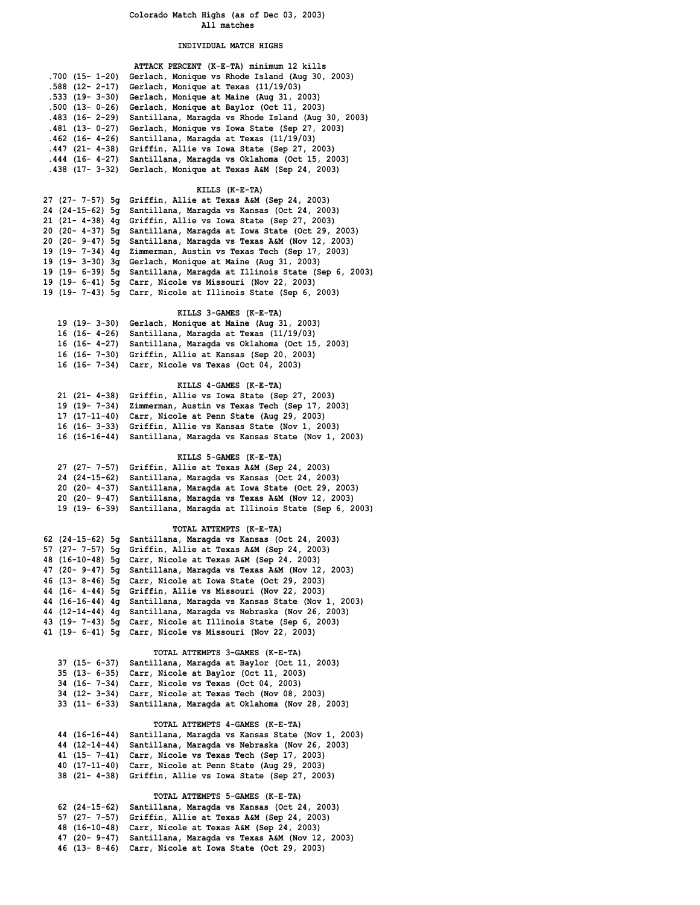#### **INDIVIDUAL MATCH HIGHS**

|                        | ATTACK PERCENT (K-E-TA) minimum 12 kills           |
|------------------------|----------------------------------------------------|
| .700 (15- 1-20)        | Gerlach, Monique vs Rhode Island (Aug 30, 2003)    |
| .588 (12- 2-17)        | Gerlach, Monique at Texas (11/19/03)               |
| $.533$ $(19 - 3 - 30)$ | Gerlach, Monique at Maine (Aug 31, 2003)           |
| $.500$ $(13 - 0 - 26)$ | Gerlach, Monique at Baylor (Oct 11, 2003)          |
| $.483$ $(16 - 2 - 29)$ | Santillana, Maragda vs Rhode Island (Aug 30, 2003) |
| $.481$ (13- 0-27)      | Gerlach, Monique vs Iowa State (Sep 27, 2003)      |
| $.462$ $(16 - 4 - 26)$ | Santillana, Maragda at Texas (11/19/03)            |
| $.447$ (21- 4-38)      | Griffin, Allie vs Iowa State (Sep 27, 2003)        |
| $.444$ $(16 - 4 - 27)$ | Santillana, Maragda vs Oklahoma (Oct 15, 2003)     |
| $.438$ $(17 - 3 - 32)$ | Gerlach, Monique at Texas A&M (Sep 24, 2003)       |
|                        |                                                    |

#### **KILLS (K-E-TA)**

| 24 (24-15-62) 5q Santillana, Maraqda vs Kansas (Oct 24, 2003)         |  |
|-----------------------------------------------------------------------|--|
| 21 $(21 - 4-38)$ 4q Griffin, Allie vs Iowa State (Sep 27, 2003)       |  |
| 20 (20- 4-37) 5g Santillana, Maragda at Iowa State (Oct 29, 2003)     |  |
| 20 (20- 9-47) 5g Santillana, Maragda vs Texas A&M (Nov 12, 2003)      |  |
| 19 (19- 7-34) 4q Zimmerman, Austin vs Texas Tech (Sep 17, 2003)       |  |
| 19 $(19 - 3 - 30)$ 3q Gerlach, Monique at Maine (Aug 31, 2003)        |  |
| 19 (19 - 6-39) 5q Santillana, Maragda at Illinois State (Sep 6, 2003) |  |
| 19 (19- 6-41) 5q Carr, Nicole vs Missouri (Nov 22, 2003)              |  |
| 19 (19 - 7-43) 5q Carr, Nicole at Illinois State (Sep 6, 2003)        |  |

#### **KILLS 3-GAMES (K-E-TA)**

| 19 (19 - 3-30) Gerlach, Monique at Maine (Aug 31, 2003)      |
|--------------------------------------------------------------|
| 16 $(16 - 4 - 26)$ Santillana, Maragda at Texas $(11/19/03)$ |
| 16 (16-4-27) Santillana, Maragda vs Oklahoma (Oct 15, 2003)  |
| 16 (16- 7-30) Griffin, Allie at Kansas (Sep 20, 2003)        |
| 16 (16- 7-34) Carr, Nicole vs Texas (Oct 04, 2003)           |

#### **KILLS 4-GAMES (K-E-TA)**

| 21 (21- 4-38) Griffin, Allie vs Iowa State (Sep 27, 2003)       |
|-----------------------------------------------------------------|
| 19 (19 - 7-34) Zimmerman, Austin vs Texas Tech (Sep 17, 2003)   |
| 17 (17-11-40) Carr, Nicole at Penn State (Aug 29, 2003)         |
| 16 (16-3-33) Griffin, Allie vs Kansas State (Nov 1, 2003)       |
| 16 (16-16-44) Santillana, Maragda vs Kansas State (Nov 1, 2003) |

# **KILLS 5-GAMES (K-E-TA)**

| 27 (27- 7-57) Griffin, Allie at Texas A&M (Sep 24, 2003)           |
|--------------------------------------------------------------------|
| 24 (24-15-62) Santillana, Maragda vs Kansas (Oct 24, 2003)         |
| 20 (20 - 4-37) Santillana, Maragda at Iowa State (Oct 29, 2003)    |
| 20 (20 - 9-47) Santillana, Maragda vs Texas A&M (Nov 12, 2003)     |
| 19 (19 - 6-39) Santillana, Maragda at Illinois State (Sep 6, 2003) |
|                                                                    |

# **TOTAL ATTEMPTS (K-E-TA)**

|  | 62 (24-15-62) 5q Santillana, Maraqda vs Kansas (Oct 24, 2003)      |
|--|--------------------------------------------------------------------|
|  | 57 (27- 7-57) 5g Griffin, Allie at Texas A&M (Sep 24, 2003)        |
|  | 48 (16-10-48) 5q Carr, Nicole at Texas A&M (Sep 24, 2003)          |
|  | 47 (20- 9-47) 5g Santillana, Maragda vs Texas A&M (Nov 12, 2003)   |
|  | 46 (13-8-46) 5g Carr, Nicole at Iowa State (Oct 29, 2003)          |
|  | 44 (16-4-44) 5g Griffin, Allie vs Missouri (Nov 22, 2003)          |
|  | 44 (16-16-44) 4g Santillana, Maragda vs Kansas State (Nov 1, 2003) |
|  | 44 (12-14-44) 4g Santillana, Maragda vs Nebraska (Nov 26, 2003)    |
|  | 43 (19 - 7-43) 5q Carr, Nicole at Illinois State (Sep 6, 2003)     |
|  | 41 (19- 6-41) 5q Carr, Nicole vs Missouri (Nov 22, 2003)           |
|  |                                                                    |

# **TOTAL ATTEMPTS 3-GAMES (K-E-TA)**

| 37 (15- 6-37) Santillana, Maragda at Baylor (Oct 11, 2003)   |
|--------------------------------------------------------------|
| 35 (13- 6-35) Carr, Nicole at Baylor (Oct 11, 2003)          |
| 34 (16- 7-34) Carr, Nicole vs Texas (Oct 04, 2003)           |
| 34 (12- 3-34) Carr, Nicole at Texas Tech (Nov 08, 2003)      |
| 33 (11- 6-33) Santillana, Maragda at Oklahoma (Nov 28, 2003) |

#### **TOTAL ATTEMPTS 4-GAMES (K-E-TA)**

| 44 (16-16-44) Santillana, Maragda vs Kansas State (Nov 1, 2003) |
|-----------------------------------------------------------------|
| 44 (12-14-44) Santillana, Maragda vs Nebraska (Nov 26, 2003)    |
| 41 (15- 7-41) Carr, Nicole vs Texas Tech (Sep 17, 2003)         |
| 40 (17-11-40) Carr, Nicole at Penn State (Aug 29, 2003)         |
| 38 (21- 4-38) Griffin, Allie vs Iowa State (Sep 27, 2003)       |
|                                                                 |

#### **TOTAL ATTEMPTS 5-GAMES (K-E-TA)**

|  | 62 (24-15-62) Santillana, Maragda vs Kansas (Oct 24, 2003)     |
|--|----------------------------------------------------------------|
|  | 57 (27- 7-57) Griffin, Allie at Texas A&M (Sep 24, 2003)       |
|  | 48 (16-10-48) Carr, Nicole at Texas A&M (Sep 24, 2003)         |
|  | 47 (20 - 9-47) Santillana, Maragda vs Texas A&M (Nov 12, 2003) |
|  | 46 (13- 8-46) Carr, Nicole at Iowa State (Oct 29, 2003)        |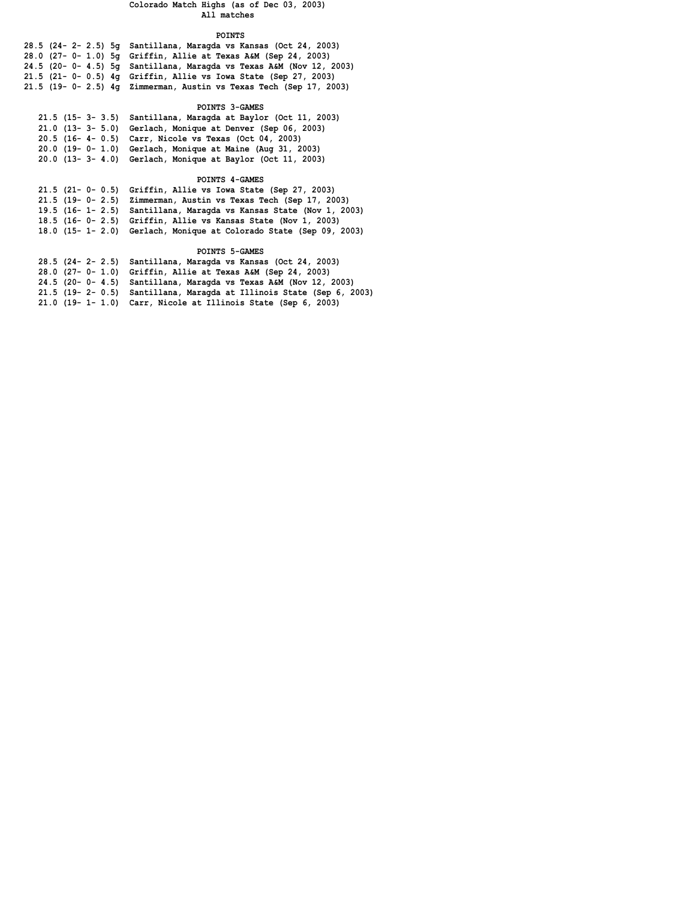#### **POINTS**

| 28.5 (24- 2- 2.5) 5g Santillana, Maragda vs Kansas (Oct 24, 2003)       |
|-------------------------------------------------------------------------|
| 28.0 (27- 0- 1.0) 5g Griffin, Allie at Texas A&M (Sep 24, 2003)         |
| $24.5$ (20- 0- 4.5) 5q Santillana, Maraqda vs Texas A&M (Nov 12, 2003)  |
| 21.5 (21- $0 - 0.5$ ) 4q Griffin, Allie vs Iowa State (Sep 27, 2003)    |
| 21.5 (19 - 0 - 2.5) $4q$ Zimmerman, Austin vs Texas Tech (Sep 17, 2003) |
|                                                                         |

# **POINTS 3-GAMES**

| 21.5 (15- 3- 3.5) Santillana, Maragda at Baylor (Oct 11, 2003) |
|----------------------------------------------------------------|
| 21.0 (13- 3- 5.0) Gerlach, Monique at Denver (Sep 06, 2003)    |
| 20.5 (16- 4- 0.5) Carr, Nicole vs Texas (Oct 04, 2003)         |
| 20.0 (19-0-1.0) Gerlach, Monique at Maine (Aug 31, 2003)       |
| 20.0 (13- 3- 4.0) Gerlach, Monique at Baylor (Oct 11, 2003)    |

# **POINTS 4-GAMES**

| 21.5 (21- 0- 0.5) Griffin, Allie vs Iowa State (Sep 27, 2003)       |
|---------------------------------------------------------------------|
| 21.5 (19-0-2.5) Zimmerman, Austin vs Texas Tech (Sep 17, 2003)      |
| 19.5 (16- 1- 2.5) Santillana, Maragda vs Kansas State (Nov 1, 2003) |
| 18.5 (16-0-2.5) Griffin, Allie vs Kansas State (Nov 1, 2003)        |
| 18.0 (15- 1- 2.0) Gerlach, Monique at Colorado State (Sep 09, 2003) |

# **POINTS 5-GAMES**

| 28.5 (24- 2- 2.5) Santillana, Maragda vs Kansas (Oct 24, 2003)          |
|-------------------------------------------------------------------------|
| 28.0 (27- 0- 1.0) Griffin, Allie at Texas A&M (Sep 24, 2003)            |
| 24.5 (20- 0- 4.5) Santillana, Maragda vs Texas A&M (Nov 12, 2003)       |
| 21.5 (19 - 2 - 0.5) Santillana, Maragda at Illinois State (Sep 6, 2003) |
| $21.0$ (19- 1- 1.0) Carr, Nicole at Illinois State (Sep 6, 2003)        |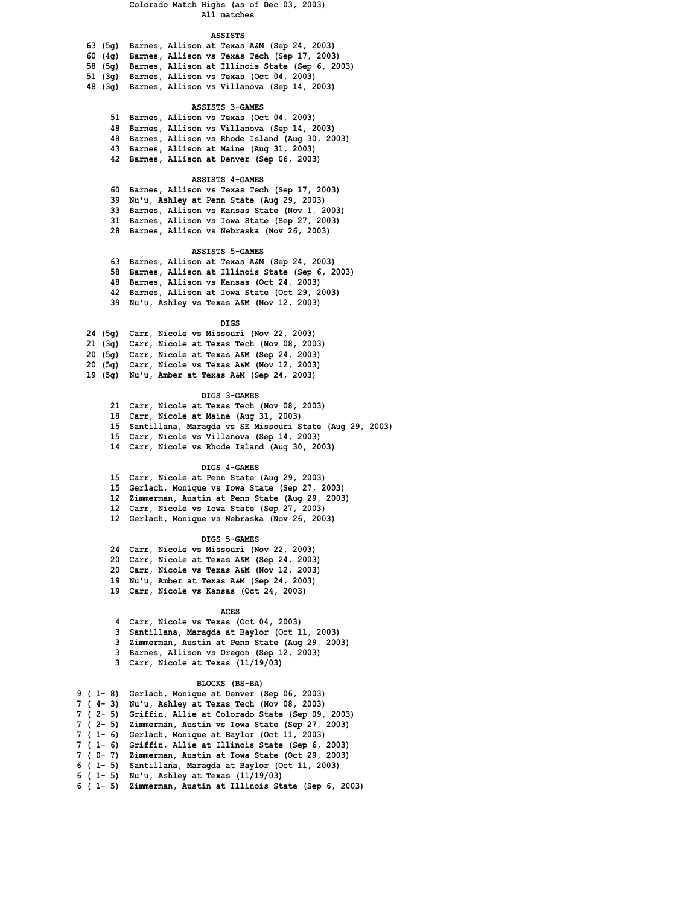#### **ASSISTS**

|         | 63 (5q) Barnes, Allison at Texas A&M (Sep 24, 2003)     |
|---------|---------------------------------------------------------|
|         | 60 (4g) Barnes, Allison vs Texas Tech (Sep 17, 2003)    |
|         | 58 (5g) Barnes, Allison at Illinois State (Sep 6, 2003) |
| 51 (3a) | Barnes, Allison vs Texas (Oct 04, 2003)                 |
| 48 (3α) | Barnes, Allison vs Villanova (Sep 14, 2003)             |

#### **ASSISTS 3-GAMES**

- **51 Barnes, Allison vs Texas (Oct 04, 2003) 48 Barnes, Allison vs Villanova (Sep 14, 2003)**
- **48 Barnes, Allison vs Rhode Island (Aug 30, 2003)**
- **43 Barnes, Allison at Maine (Aug 31, 2003)**
- **42 Barnes, Allison at Denver (Sep 06, 2003)**

#### **ASSISTS 4-GAMES**

- **60 Barnes, Allison vs Texas Tech (Sep 17, 2003)**
- **39 Nu'u, Ashley at Penn State (Aug 29, 2003)**
- **33 Barnes, Allison vs Kansas State (Nov 1, 2003)**
- **31 Barnes, Allison vs Iowa State (Sep 27, 2003)**
- **28 Barnes, Allison vs Nebraska (Nov 26, 2003)**

#### **ASSISTS 5-GAMES**

- **63 Barnes, Allison at Texas A&M (Sep 24, 2003) 58 Barnes, Allison at Illinois State (Sep 6, 2003)**
- **48 Barnes, Allison vs Kansas (Oct 24, 2003)**
- **42 Barnes, Allison at Iowa State (Oct 29, 2003)**
- **39 Nu'u, Ashley vs Texas A&M (Nov 12, 2003)**
	-

#### **DIGS**

- **24 (5g) Carr, Nicole vs Missouri (Nov 22, 2003)**
- **21 (3g) Carr, Nicole at Texas Tech (Nov 08, 2003)**
- **20 (5g) Carr, Nicole at Texas A&M (Sep 24, 2003)**
- **20 (5g) Carr, Nicole vs Texas A&M (Nov 12, 2003)**
- **19 (5g) Nu'u, Amber at Texas A&M (Sep 24, 2003)**

#### **DIGS 3-GAMES**

- **21 Carr, Nicole at Texas Tech (Nov 08, 2003)**
- **18 Carr, Nicole at Maine (Aug 31, 2003)**
- **15 Santillana, Maragda vs SE Missouri State (Aug 29, 2003)**
- **15 Carr, Nicole vs Villanova (Sep 14, 2003)**
- **14 Carr, Nicole vs Rhode Island (Aug 30, 2003)**

#### **DIGS 4-GAMES**

- **15 Carr, Nicole at Penn State (Aug 29, 2003)**
- **15 Gerlach, Monique vs Iowa State (Sep 27, 2003)**
- **12 Zimmerman, Austin at Penn State (Aug 29, 2003)**
- **12 Carr, Nicole vs Iowa State (Sep 27, 2003)**
- **12 Gerlach, Monique vs Nebraska (Nov 26, 2003)**

#### **DIGS 5-GAMES**

- **24 Carr, Nicole vs Missouri (Nov 22, 2003)**
- **20 Carr, Nicole at Texas A&M (Sep 24, 2003)**
- **20 Carr, Nicole vs Texas A&M (Nov 12, 2003)**
- **19 Nu'u, Amber at Texas A&M (Sep 24, 2003)**
- **19 Carr, Nicole vs Kansas (Oct 24, 2003)**

#### **ACES**

- **4 Carr, Nicole vs Texas (Oct 04, 2003)**
- **3 Santillana, Maragda at Baylor (Oct 11, 2003)**
- **3 Zimmerman, Austin at Penn State (Aug 29, 2003)**
- **3 Barnes, Allison vs Oregon (Sep 12, 2003)**
- **3 Carr, Nicole at Texas (11/19/03)**

#### **BLOCKS (BS-BA)**

- **9 ( 1- 8) Gerlach, Monique at Denver (Sep 06, 2003) 7 ( 4- 3) Nu'u, Ashley at Texas Tech (Nov 08, 2003) 7 ( 2- 5) Griffin, Allie at Colorado State (Sep 09, 2003) 7 ( 2- 5) Zimmerman, Austin vs Iowa State (Sep 27, 2003) 7 ( 1- 6) Gerlach, Monique at Baylor (Oct 11, 2003) 7 ( 1- 6) Griffin, Allie at Illinois State (Sep 6, 2003)**
- **7 ( 0- 7) Zimmerman, Austin at Iowa State (Oct 29, 2003)**
- **6 ( 1- 5) Santillana, Maragda at Baylor (Oct 11, 2003)**
- **6 ( 1- 5) Nu'u, Ashley at Texas (11/19/03)**
- **6 ( 1- 5) Zimmerman, Austin at Illinois State (Sep 6, 2003)**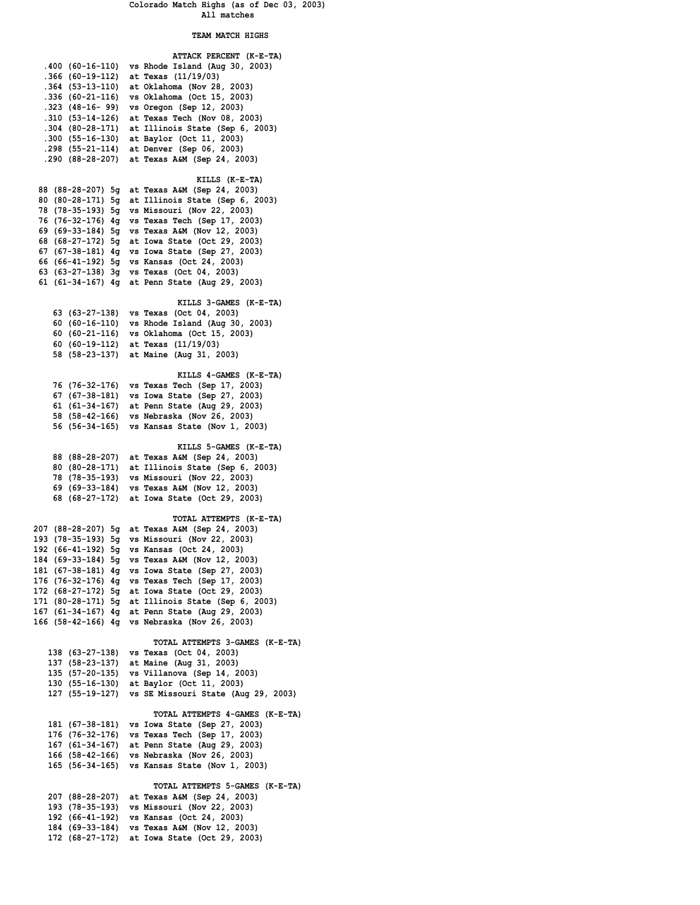# **TEAM MATCH HIGHS**

|                                                                          | .400 (60-16-110) vs Rhode Island (Aug 30, 2003)                                                                                                                |
|--------------------------------------------------------------------------|----------------------------------------------------------------------------------------------------------------------------------------------------------------|
| .366 (60-19-112)                                                         | at Texas (11/19/03)                                                                                                                                            |
| .364 (53-13-110)                                                         | at Oklahoma (Nov 28, 2003)                                                                                                                                     |
| .336 (60-21-116)                                                         | vs Oklahoma (Oct 15, 2003)                                                                                                                                     |
| .323 (48-16- 99)                                                         | vs Oregon (Sep 12, 2003)                                                                                                                                       |
| .310 (53-14-126)<br>.304 (80-28-171)                                     | at Texas Tech (Nov 08, 2003)<br>at Illinois State (Sep 6, 2003)                                                                                                |
| .300 (55-16-130)                                                         | at Baylor (Oct 11, 2003)                                                                                                                                       |
| .298 (55-21-114)                                                         | at Denver (Sep 06, 2003)                                                                                                                                       |
| .290 (88-28-207)                                                         | at Texas A&M (Sep 24, 2003)                                                                                                                                    |
|                                                                          |                                                                                                                                                                |
|                                                                          | KILLS (K-E-TA)                                                                                                                                                 |
|                                                                          | 88 (88-28-207) 5g at Texas A&M (Sep 24, 2003)                                                                                                                  |
|                                                                          | 80 (80-28-171) 5g at Illinois State (Sep 6, 2003)                                                                                                              |
|                                                                          | 78 (78-35-193) 5g vs Missouri (Nov 22, 2003)                                                                                                                   |
|                                                                          | 76 (76-32-176) 4g vs Texas Tech (Sep 17, 2003)                                                                                                                 |
|                                                                          | 69 (69-33-184) 5g vs Texas A&M (Nov 12, 2003)                                                                                                                  |
|                                                                          | 68 (68-27-172) 5g at Iowa State (Oct 29, 2003)                                                                                                                 |
|                                                                          | 67 (67-38-181) 4g vs Iowa State (Sep 27, 2003)                                                                                                                 |
|                                                                          | 66 (66-41-192) 5g vs Kansas (Oct 24, 2003)                                                                                                                     |
|                                                                          | 63 (63-27-138) 3g vs Texas (Oct 04, 2003)                                                                                                                      |
|                                                                          | 61 (61-34-167) 4g at Penn State (Aug 29, 2003)                                                                                                                 |
|                                                                          | KILLS 3-GAMES (K-E-TA)                                                                                                                                         |
|                                                                          | 63 (63-27-138) vs Texas (Oct 04, 2003)                                                                                                                         |
|                                                                          | 60 (60-16-110) vs Rhode Island (Aug 30, 2003)                                                                                                                  |
|                                                                          | 60 (60-21-116) vs Oklahoma (Oct 15, 2003)                                                                                                                      |
|                                                                          | 60 (60-19-112) at Texas (11/19/03)                                                                                                                             |
|                                                                          | 58 (58-23-137) at Maine (Aug 31, 2003)                                                                                                                         |
|                                                                          |                                                                                                                                                                |
|                                                                          | KILLS 4-GAMES (K-E-TA)                                                                                                                                         |
|                                                                          | 76 (76-32-176) vs Texas Tech (Sep 17, 2003)                                                                                                                    |
|                                                                          | 67 (67-38-181) vs Iowa State (Sep 27, 2003)                                                                                                                    |
|                                                                          | 61 (61-34-167) at Penn State (Aug 29, 2003)<br>58 (58-42-166) vs Nebraska (Nov 26, 2003)                                                                       |
| 56 (56-34-165)                                                           | vs Kansas State (Nov 1, 2003)                                                                                                                                  |
|                                                                          |                                                                                                                                                                |
|                                                                          | KILLS 5-GAMES (K-E-TA)                                                                                                                                         |
|                                                                          | 88 (88-28-207) at Texas A&M (Sep 24, 2003)                                                                                                                     |
|                                                                          | 80 (80-28-171) at Illinois State (Sep 6, 2003)                                                                                                                 |
|                                                                          | 78 (78-35-193) vs Missouri (Nov 22, 2003)                                                                                                                      |
|                                                                          | 69 (69-33-184) vs Texas A&M (Nov 12, 2003)                                                                                                                     |
|                                                                          | 68 (68-27-172) at Iowa State (Oct 29, 2003)                                                                                                                    |
|                                                                          | TOTAL ATTEMPTS (K-E-TA)                                                                                                                                        |
|                                                                          | 207 (88-28-207) 5g at Texas A&M (Sep 24, 2003)                                                                                                                 |
|                                                                          | 193 (78-35-193) 5g vs Missouri (Nov 22, 2003)                                                                                                                  |
|                                                                          | 192 (66-41-192) 5g vs Kansas (Oct 24, 2003)                                                                                                                    |
|                                                                          | 184 (69-33-184) 5g vs Texas A&M (Nov 12, 2003)                                                                                                                 |
| 181 (67-38-181) 4g                                                       | vs Iowa State (Sep 27, 2003)                                                                                                                                   |
|                                                                          | 176 (76-32-176) 4g vs Texas Tech (Sep 17, 2003)                                                                                                                |
| 172 (68-27-172) 5g                                                       | at Iowa State (Oct 29, 2003)                                                                                                                                   |
|                                                                          | 171 (80-28-171) 5g at Illinois State (Sep 6, 2003)                                                                                                             |
|                                                                          | 167 (61-34-167) 4g at Penn State (Aug 29, 2003)<br>166 (58-42-166) 4g vs Nebraska (Nov 26, 2003)                                                               |
|                                                                          |                                                                                                                                                                |
|                                                                          | TOTAL ATTEMPTS 3-GAMES (K-E-TA)                                                                                                                                |
| 138 (63-27-138)                                                          | vs Texas (Oct 04, 2003)                                                                                                                                        |
| 137 (58–23–137)                                                          | at Maine (Aug 31, 2003)                                                                                                                                        |
| 135 (57-20-135)                                                          | vs Villanova (Sep 14, 2003)                                                                                                                                    |
|                                                                          | 130 (55-16-130) at Baylor (Oct 11, 2003)                                                                                                                       |
| 127 (55-19-127)                                                          | vs SE Missouri State (Aug 29, 2003)                                                                                                                            |
|                                                                          |                                                                                                                                                                |
|                                                                          |                                                                                                                                                                |
|                                                                          |                                                                                                                                                                |
|                                                                          |                                                                                                                                                                |
| 166 (58-42-166)                                                          | vs Nebraska (Nov 26, 2003)                                                                                                                                     |
| 165 (56-34-165)                                                          | vs Kansas State (Nov 1, 2003)                                                                                                                                  |
|                                                                          |                                                                                                                                                                |
|                                                                          | TOTAL ATTEMPTS 5-GAMES (K-E-TA)                                                                                                                                |
|                                                                          | vs Missouri (Nov 22, 2003)                                                                                                                                     |
| 193 (78–35–193)<br>192 (66-41-192)                                       | vs Kansas (Oct 24, 2003)                                                                                                                                       |
| 184 (69–33–184)                                                          | vs Texas A&M (Nov 12, 2003)                                                                                                                                    |
|                                                                          | 172 (68-27-172) at Iowa State (Oct 29, 2003)                                                                                                                   |
| 181 (67–38–181)<br>176 (76-32-176)<br>167 (61–34–167)<br>207 (88-28-207) | TOTAL ATTEMPTS 4-GAMES (K-E-TA)<br>vs Iowa State (Sep 27, 2003)<br>vs Texas Tech (Sep 17, 2003)<br>at Penn State (Aug 29, 2003)<br>at Texas A&M (Sep 24, 2003) |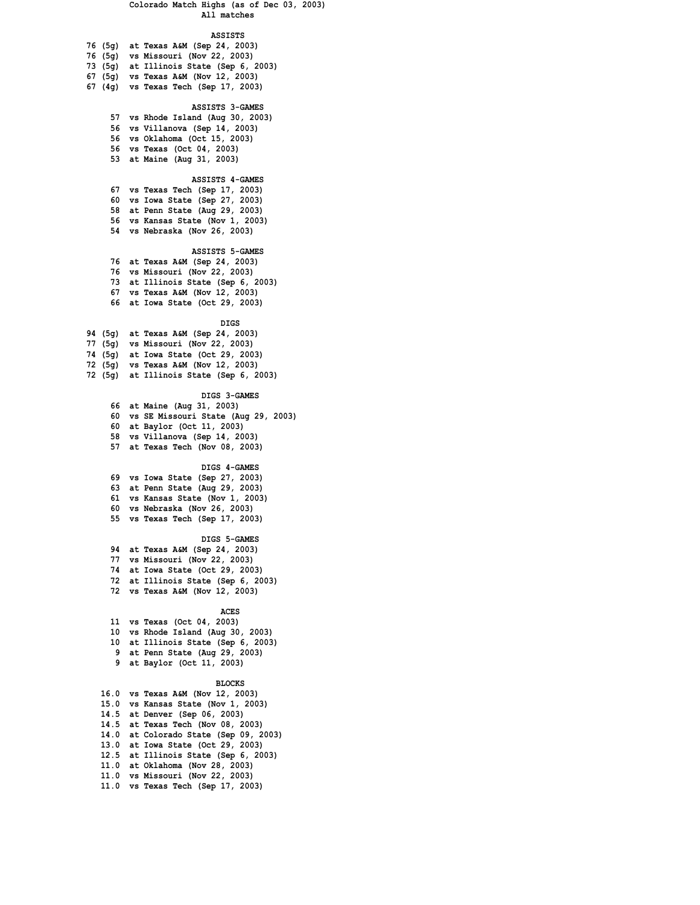#### **ASSISTS**

| 76 (5q) at Texas A&M (Sep 24, 2003)       |
|-------------------------------------------|
| 76 (5g) vs Missouri (Nov 22, 2003)        |
| 73 $(5q)$ at Illinois State (Sep 6, 2003) |
| 67 (5q) vs Texas A&M (Nov 12, 2003)       |
| 67 (4g) vs Texas Tech (Sep 17, 2003)      |

#### **ASSISTS 3-GAMES**

- **57 vs Rhode Island (Aug 30, 2003)**
- **56 vs Villanova (Sep 14, 2003)**
- **56 vs Oklahoma (Oct 15, 2003) 56 vs Texas (Oct 04, 2003)**
- **53 at Maine (Aug 31, 2003)**

#### **ASSISTS 4-GAMES**

 **67 vs Texas Tech (Sep 17, 2003) 60 vs Iowa State (Sep 27, 2003) 58 at Penn State (Aug 29, 2003) 56 vs Kansas State (Nov 1, 2003) 54 vs Nebraska (Nov 26, 2003)**

#### **ASSISTS 5-GAMES**

- **76 at Texas A&M (Sep 24, 2003) 76 vs Missouri (Nov 22, 2003) 73 at Illinois State (Sep 6, 2003)**
- **67 vs Texas A&M (Nov 12, 2003)**
- **66 at Iowa State (Oct 29, 2003)**

#### **DIGS**

- **94 (5g) at Texas A&M (Sep 24, 2003)**
- **77 (5g) vs Missouri (Nov 22, 2003)**
- **74 (5g) at Iowa State (Oct 29, 2003)**
- **72 (5g) vs Texas A&M (Nov 12, 2003)**
- **72 (5g) at Illinois State (Sep 6, 2003)**

#### **DIGS 3-GAMES**

- **66 at Maine (Aug 31, 2003) 60 vs SE Missouri State (Aug 29, 2003)**
- **60 at Baylor (Oct 11, 2003)**
- **58 vs Villanova (Sep 14, 2003)**
- **57 at Texas Tech (Nov 08, 2003)**

#### **DIGS 4-GAMES**

 **69 vs Iowa State (Sep 27, 2003)**

- **63 at Penn State (Aug 29, 2003)**
- **61 vs Kansas State (Nov 1, 2003)**
- **60 vs Nebraska (Nov 26, 2003)**
- **55 vs Texas Tech (Sep 17, 2003)**

#### **DIGS 5-GAMES**

 **94 at Texas A&M (Sep 24, 2003) 77 vs Missouri (Nov 22, 2003) 74 at Iowa State (Oct 29, 2003) 72 at Illinois State (Sep 6, 2003) 72 vs Texas A&M (Nov 12, 2003)**

#### **ACES**

- **11 vs Texas (Oct 04, 2003) 10 vs Rhode Island (Aug 30, 2003) 10 at Illinois State (Sep 6, 2003)**
- **9 at Penn State (Aug 29, 2003)**
- **9 at Baylor (Oct 11, 2003)**

#### **BLOCKS**

| 16.0 vs Texas A&M (Nov 12, 2003)      |
|---------------------------------------|
| 15.0 vs Kansas State (Nov 1, 2003)    |
| 14.5 at Denver (Sep 06, 2003)         |
| 14.5 at Texas Tech (Nov 08, 2003)     |
| 14.0 at Colorado State (Sep 09, 2003) |
| 13.0 at Iowa State (Oct 29, 2003)     |
| 12.5 at Illinois State (Sep 6, 2003)  |
| 11.0 at Oklahoma (Nov 28, 2003)       |
| 11.0 vs Missouri (Nov 22, 2003)       |
| 11.0 vs Texas Tech (Sep 17, 2003)     |
|                                       |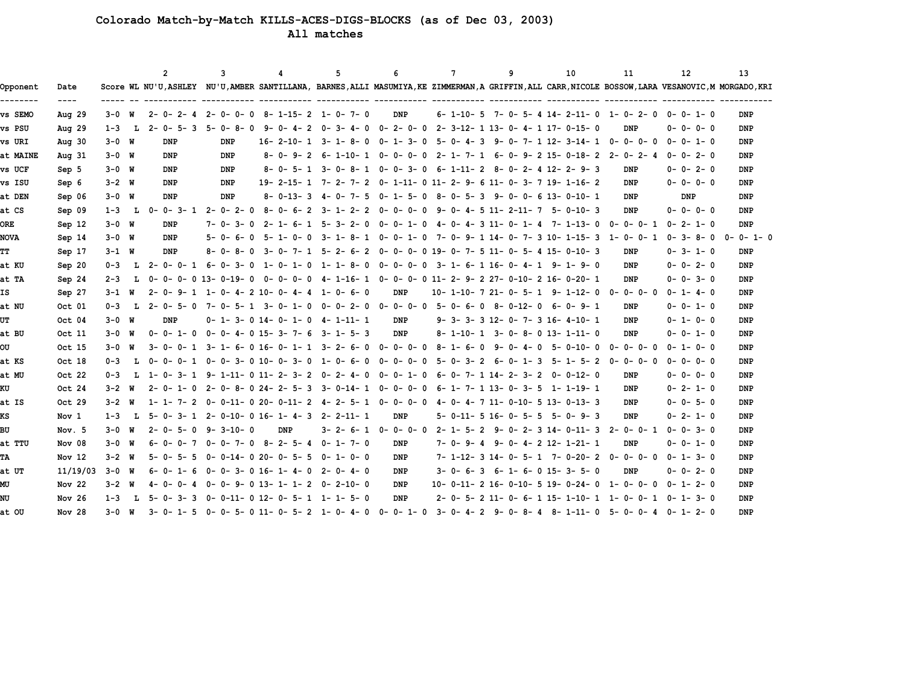# **Colorado Match-by-Match KILLS-ACES-DIGS-BLOCKS (as of Dec 03, 2003)**

 **All matches**

|             |                       |           |    | $\overline{2}$  | 3                           | Δ   | 5                                                               | 6                             | 7               | 9                                                                                                                                           | 10               | 11              | 12              | 13              |
|-------------|-----------------------|-----------|----|-----------------|-----------------------------|-----|-----------------------------------------------------------------|-------------------------------|-----------------|---------------------------------------------------------------------------------------------------------------------------------------------|------------------|-----------------|-----------------|-----------------|
| Opponent    | Date<br>$\frac{1}{2}$ |           |    |                 |                             |     |                                                                 |                               |                 | Score WL NU'U,ASHLEY NU'U,AMBER SANTILLANA, BARNES,ALLI MASUMIYA,KE ZIMMERMAN,A GRIFFIN,ALL CARR,NICOLE BOSSOW,LARA VESANOVIC,M MORGADO,KRI |                  |                 |                 |                 |
| vs SEMO     | Aug $29$              | $3 - 0$ W |    | $2 - 0 - 2 - 4$ | $2 - 0 - 0 - 0$             |     | $8 - 1 - 15 - 2$ 1-0-7-0                                        | DNP                           |                 | $6-1-10-5$ 7-0-5-4 14-2-11-0 1-0-2-0                                                                                                        |                  |                 | $0 - 0 - 1 - 0$ | DNP             |
| vs PSU      | Aug $29$              | $1 - 3$   | L  | $2 - 0 - 5 - 3$ | $5 - 0 - 8 - 0$             |     |                                                                 |                               |                 | 9-0-4-2 0-3-4-0 0-2-0-0 2-3-12-1 13-0-4-1 17-0-15-0                                                                                         |                  | DNP             | $0 - 0 - 0 - 0$ | <b>DNP</b>      |
| vs URI      | Aug $30$              | $3 - 0$ W |    | DNP             | DNP                         |     | $16 - 2 - 10 - 1$ 3 - 1 - 8 - 0 0 - 1 - 3 - 0                   |                               |                 | 5-0-4-39-0-7-112-3-14-1                                                                                                                     |                  | $0 - 0 - 0 - 0$ | $0 - 0 - 1 - 0$ | DNP             |
| at MAINE    | Aug $31$              | $3 - 0$ W |    | <b>DNP</b>      | DNP                         |     |                                                                 |                               |                 | 8-0-9-2 6-1-10-1 0-0-0-0 2-1-7-1 6-0-9-215-0-18-2 2-0-2-4                                                                                   |                  |                 | $0 - 0 - 2 - 0$ | <b>DNP</b>      |
| vs UCF      | Sep 5                 | $3 - 0$ W |    | DNP             | DNP                         |     |                                                                 |                               |                 | 8-0-5-1 3-0-8-1 0-0-3-0 6-1-11-2 8-0-2-4 12-2-9-3                                                                                           |                  | DNP             | $0 - 0 - 2 - 0$ | DNP             |
| vs ISU      | Sep 6                 | $3 - 2$ W |    | DNP             | DNP                         |     |                                                                 |                               |                 | 19- 2-15- 1 7- 2- 7- 2 0- 1-11- 0 11- 2- 9- 6 11- 0- 3- 7 19- 1-16- 2                                                                       |                  | DNP             | $0 - 0 - 0 - 0$ | DNP             |
| at DEN      | Sep 06                | $3 - 0$ W |    | DNP             | DNP                         |     | 8-0-13-3 4-0-7-5 0-1-5-0                                        |                               |                 | 8-0-5-3 9-0-0-613-0-10-1                                                                                                                    |                  | DNP             | DNP             | DNP             |
| at CS       | Sep 09                | $1 - 3$   | L  | $0 - 0 - 3 - 1$ | $2 - 0 - 2 - 0$             |     |                                                                 |                               |                 | 8-0-6-2 3-1-2-2 0-0-0-0 9-0-4-5 11-2-11-7 5-0-10-3                                                                                          |                  | DNP             | $0 - 0 - 0 - 0$ | <b>DNP</b>      |
| <b>ORE</b>  | Sep 12                | $3 - 0$ W |    | DNP             | $7 - 0 - 3 - 0$             |     | $2 - 1 - 6 - 1$ 5 - 3 - 2 - 0 0 - 0 - 1 - 0                     |                               |                 | $4 - 0 - 4 - 3$ 11 - 0 - 1 - 4 7 - 1 - 13 - 0                                                                                               |                  | $0 - 0 - 0 - 1$ | $0 - 2 - 1 - 0$ | DNP             |
| <b>NOVA</b> | Sep 14                | $3 - 0$ W |    | DNP             | $5 - 0 - 6 -$<br>$\Omega$   |     |                                                                 |                               |                 | 5-1-0-0 3-1-8-1 0-0-1-0 7-0-9-1 14-0-7-3 10-1-15-3 1-0-0-1                                                                                  |                  |                 | $0 - 3 - 8 - 0$ | $0 - 0 - 1 - 0$ |
| TT          | Sep 17                | $3 - 1$ W |    | DNP             | 8-<br>$\Omega$<br>$8 - 0 -$ |     |                                                                 |                               |                 | 3- 0- 7- 1 5- 2- 6- 2 0- 0- 0- 0 19- 0- 7- 5 11- 0- 5- 4 15- 0-10- 3                                                                        |                  | DNP             | $0 - 3 - 1 - 0$ | DNP             |
| at KU       | Sep 20                | $0 - 3$   |    | L 2-0-0-1       | 6-0-3-<br>0                 |     | $1 - 0 - 1 - 0$ $1 - 1 - 8 - 0$                                 |                               |                 | 0-0-0-0 3-1-6-116-0-4-1 9-1-9-0                                                                                                             |                  | DNP             | $0 - 0 - 2 - 0$ | <b>DNP</b>      |
| at TA       | Sep 24                | $2 - 3$   | L. |                 | 0-0-0-013-0-19-0            |     |                                                                 |                               |                 | $0 0 0 4 1-16 1$ $0 0 0 11 2 9 2$ $27 0-10 2$ $16 0-20 1$                                                                                   |                  | DNP             | $0 - 0 - 3 - 0$ | <b>DNP</b>      |
| ΙS          | Sep 27                | $3 - 1$ W |    |                 |                             |     | $2 - 0 - 9 - 1$ 1 - 0 - 4 - 2 10 - 0 - 4 - 4 1 - 0 - 6 - 0      | DNP                           |                 | 10- 1-10- 7 21- 0- 5- 1 9- 1-12- 0                                                                                                          |                  | $0 - 0 - 0 - 0$ | $0 - 1 - 4 - 0$ | DNP             |
| at NU       | Oct 01                | $0 - 3$   | L  | $2 - 0 - 5 - 0$ |                             |     | $7 - 0 - 5 - 1$ $3 - 0 - 1 - 0$ $0 - 0 - 2 - 0$ $0 - 0 - 0 - 0$ |                               |                 | $5 - 0 - 6 - 0$ 8-0-12-0 6-0-9-1                                                                                                            |                  | DNP             | $0 - 0 - 1 - 0$ | <b>DNP</b>      |
| UT          | Oct 04                | $3 - 0$ W |    | DNP             |                             |     | $0 - 1 - 3 - 0$ 14-0-1-0 4-1-11-1                               | DNP                           |                 | 9- 3- 3- 3 12- 0- 7- 3 16- 4-10- 1                                                                                                          |                  | DNP             | $0 - 1 - 0 - 0$ | DNP             |
| at BU       | Oct 11                | $3 - 0$ W |    | $0 - 0 - 1 - 0$ |                             |     | $0 - 0 - 4 - 0$ 15 - 3 - 7 - 6 3 - 1 - 5 - 3                    | DNP                           |                 | $8 - 1 - 10 - 1$ $3 - 0 - 8 - 0$ $13 - 1 - 11 - 0$                                                                                          |                  | DNP             | $0 - 0 - 1 - 0$ | <b>DNP</b>      |
| OU          | Oct 15                | $3 - 0$ W |    |                 |                             |     | 3-0-0-1 3-1-6-016-0-1-1 3-2-6-0                                 | 0-0-0-0                       | $8 - 1 - 6 - 0$ | $9 - 0 - 4 - 0$                                                                                                                             | $5 - 0 - 10 - 0$ | $0 - 0 - 0 - 0$ | $0 - 1 - 0 - 0$ | DNP             |
| at KS       | Oct 18                | $0 - 3$   | L  | 0-0-0-1         |                             |     | $0-0-3-0$ 10 - 0 - 3 - 0 $1-0-6-0$                              | $0 - 0 - 0 - 0$               |                 | $5 - 0 - 3 - 2$ 6 - 0 - 1 - 3                                                                                                               | $5 - 1 - 5 - 2$  | $0 - 0 - 0 - 0$ | $0 - 0 - 0 - 0$ | <b>DNP</b>      |
| at MU       | Oct 22                | $0 - 3$   | L  | 1-0-3-1         |                             |     | 9-1-11-011-2-3-2 0-2-4-0                                        | $0 - 0 - 1 - 0$               |                 | 6-0-7-114-2-3-2                                                                                                                             | 0-0-12-0         | DNP             | $0 - 0 - 0 - 0$ | DNP             |
| ΚU          | Oct 24                | $3 - 2$ W |    | $2 - 0 - 1 - 0$ |                             |     | $2 - 0 - 8 - 0$ $24 - 2 - 5 - 3$ $3 - 0 - 14 - 1$               | $0 - 0 - 0 - 0$               |                 | $6 - 1 - 7 - 1$ 13 - 0 - 3 - 5 1 - 1 - 19 - 1                                                                                               |                  | DNP             | $0 - 2 - 1 - 0$ | <b>DNP</b>      |
| at IS       | Oct 29                | $3 - 2$ W |    | $1 - 1 - 7 - 2$ |                             |     | $0-0-11-020-0-11-24-2-5-10-0-0-0$                               |                               |                 | $4 - 0 - 4 - 7$ 11 - 0-10 - 5 13 - 0-13 - 3                                                                                                 |                  | DNP             | $0 - 0 - 5 - 0$ | DNP             |
| кs          | Nov 1                 | $1 - 3$   | т. |                 |                             |     | $5 - 0 - 3 - 1$ 2-0-10-0 16-1-4-3 2-2-11-1                      | DNP                           |                 | $5 - 0 - 11 - 5$ 16 - 0 - 5 - 5 - 5 - 0 - 9 - 3                                                                                             |                  | DNP             | $0 - 2 - 1 - 0$ | DNP             |
| BU          | Nov. 5                | $3 - 0$ W |    | $2 - 0 - 5 - 0$ | 9-3-10-0                    | DNP |                                                                 | $3 - 2 - 6 - 1$ 0 - 0 - 0 - 0 |                 | 2-1-5-2 9-0-2-314-0-11-3                                                                                                                    |                  | 2-0-0-1         | $0 - 0 - 3 - 0$ | DNP             |
| at TTU      | Nov 08                | $3 - 0$ W |    | $6 - 0 - 0 - 7$ |                             |     | $0 - 0 - 7 - 0$ 8 - 2 - 5 - 4 0 - 1 - 7 - 0                     | DNP                           |                 | $7 - 0 - 9 - 4$ 9 - 0 - 4 - 2 12 - 1 - 21 - 1                                                                                               |                  | DNP             | $0 - 0 - 1 - 0$ | DNP             |
| TА          | Nov 12                | $3 - 2$ W |    | $5 - 0 - 5 - 5$ |                             |     | $0 - 0 - 14 - 020 - 0 - 5 - 5 0 - 1 - 0 - 0$                    | DNP                           |                 | $7-1-12-3$ 14-0-5-1 7-0-20-2 0-0-0-0                                                                                                        |                  |                 | $0 - 1 - 3 - 0$ | <b>DNP</b>      |
| at UT       | 11/19/03              | 3-0 W     |    | $6 - 0 - 1 - 6$ |                             |     | $0 - 0 - 3 - 0$ 16 - 1 - 4 - 0 2 - 0 - 4 - 0                    | DNP                           |                 | $3 - 0 - 6 - 3$ $6 - 1 - 6 - 0$ $15 - 3 - 5 - 0$                                                                                            |                  | DNP             | $0 - 0 - 2 - 0$ | DNP             |
| МU          | Nov $22$              | $3 - 2$ W |    | $4 - 0 - 0 - 4$ |                             |     | $0 - 0 - 9 - 0$ 13-1-1-2 0-2-10-0                               | <b>DNP</b>                    |                 | 10-0-11-2 16-0-10-5 19-0-24-0                                                                                                               |                  | 1-0-0-0         | $0 - 1 - 2 - 0$ | <b>DNP</b>      |
| NU          | Nov $26$              | $1 - 3$   | т. | $5 - 0 - 3 - 3$ |                             |     | $0 - 0 - 11 - 0$ 12-0-5-1 1-1-5-0                               | DNP                           |                 | $2 - 0 - 5 - 2$ 11-0-6-1 15-1-10-1 1-0-0-1                                                                                                  |                  |                 | $0 - 1 - 3 - 0$ | DNP             |
| at OU       | Nov <sub>28</sub>     | $3 - 0$ W |    | $3 - 0 - 1 - 5$ |                             |     |                                                                 |                               |                 | 0-0-5-011-0-5-21-0-4-0 0-1-0 3-0-4-2 9-0-8-4 8-1-11-0 5-0-0-4 0-1-2-0                                                                       |                  |                 |                 | <b>DNP</b>      |